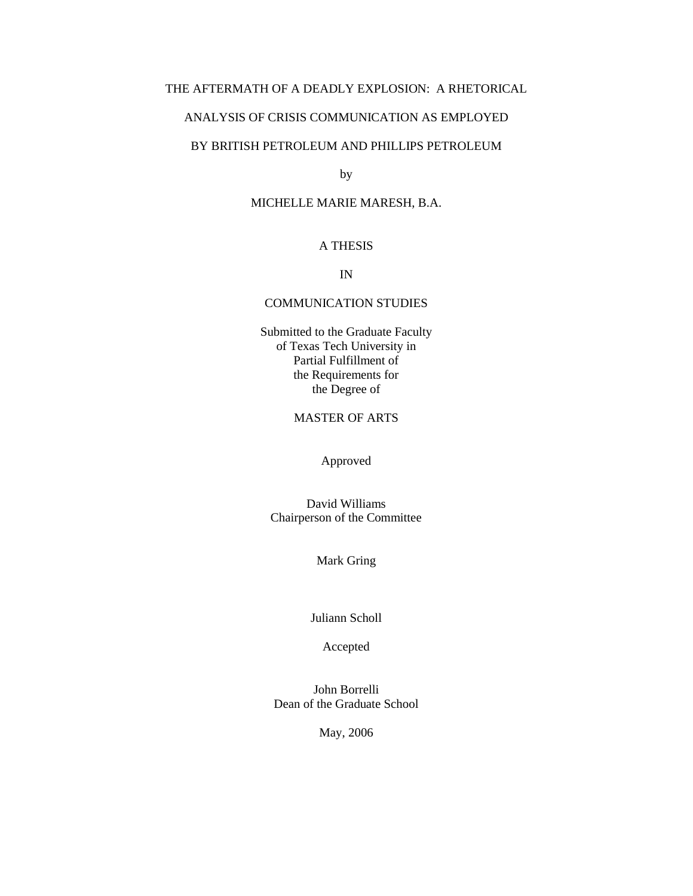# THE AFTERMATH OF A DEADLY EXPLOSION: A RHETORICAL

### ANALYSIS OF CRISIS COMMUNICATION AS EMPLOYED

# BY BRITISH PETROLEUM AND PHILLIPS PETROLEUM

by

### MICHELLE MARIE MARESH, B.A.

## A THESIS

IN

#### COMMUNICATION STUDIES

Submitted to the Graduate Faculty of Texas Tech University in Partial Fulfillment of the Requirements for the Degree of

# MASTER OF ARTS

Approved

David Williams Chairperson of the Committee

Mark Gring

Juliann Scholl

Accepted

John Borrelli Dean of the Graduate School

May, 2006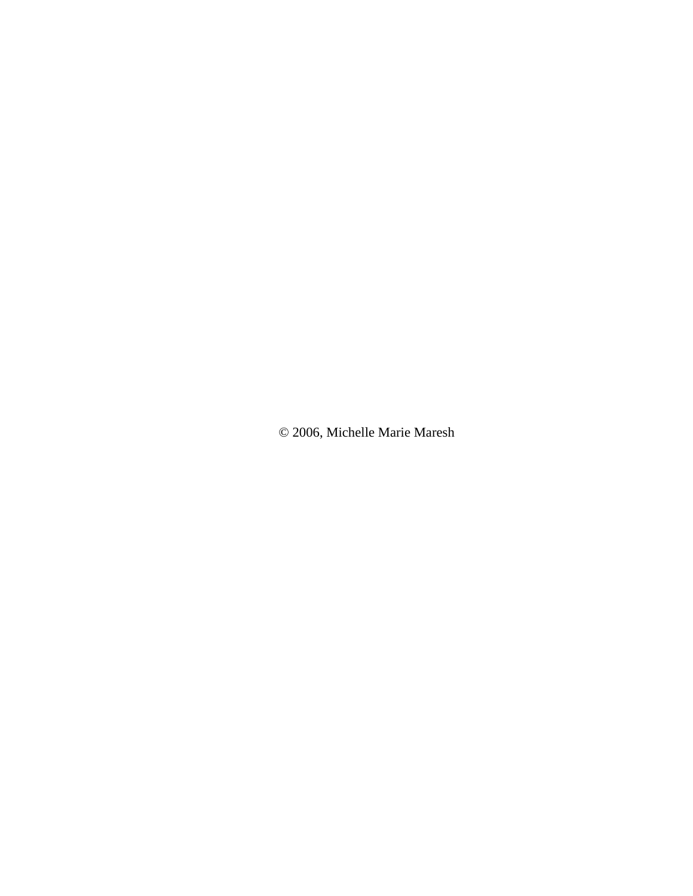© 2006, Michelle Marie Maresh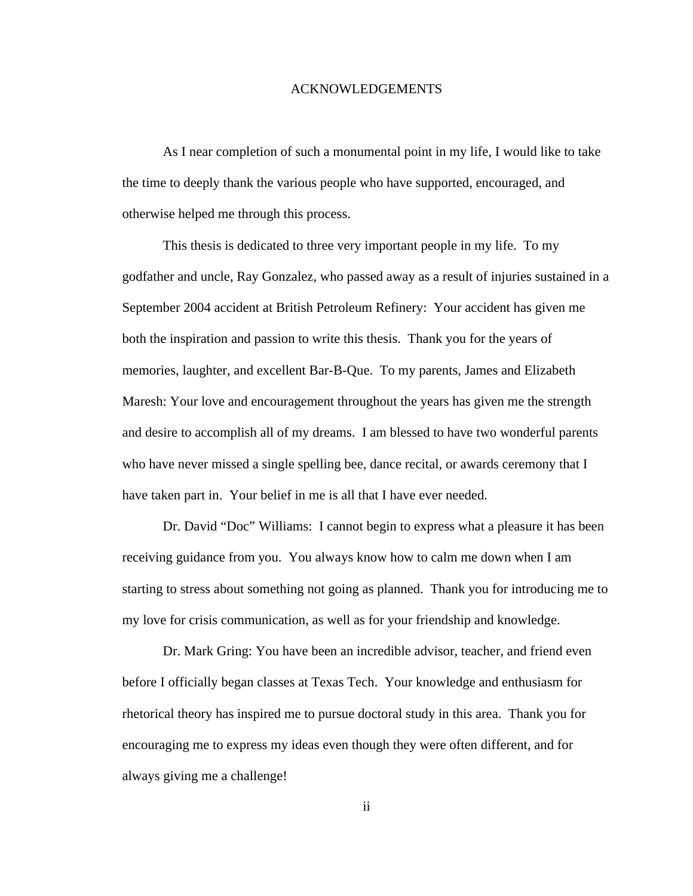#### ACKNOWLEDGEMENTS

As I near completion of such a monumental point in my life, I would like to take the time to deeply thank the various people who have supported, encouraged, and otherwise helped me through this process.

This thesis is dedicated to three very important people in my life. To my godfather and uncle, Ray Gonzalez, who passed away as a result of injuries sustained in a September 2004 accident at British Petroleum Refinery: Your accident has given me both the inspiration and passion to write this thesis. Thank you for the years of memories, laughter, and excellent Bar-B-Que. To my parents, James and Elizabeth Maresh: Your love and encouragement throughout the years has given me the strength and desire to accomplish all of my dreams. I am blessed to have two wonderful parents who have never missed a single spelling bee, dance recital, or awards ceremony that I have taken part in. Your belief in me is all that I have ever needed.

Dr. David "Doc" Williams: I cannot begin to express what a pleasure it has been receiving guidance from you. You always know how to calm me down when I am starting to stress about something not going as planned. Thank you for introducing me to my love for crisis communication, as well as for your friendship and knowledge.

Dr. Mark Gring: You have been an incredible advisor, teacher, and friend even before I officially began classes at Texas Tech. Your knowledge and enthusiasm for rhetorical theory has inspired me to pursue doctoral study in this area. Thank you for encouraging me to express my ideas even though they were often different, and for always giving me a challenge!

ii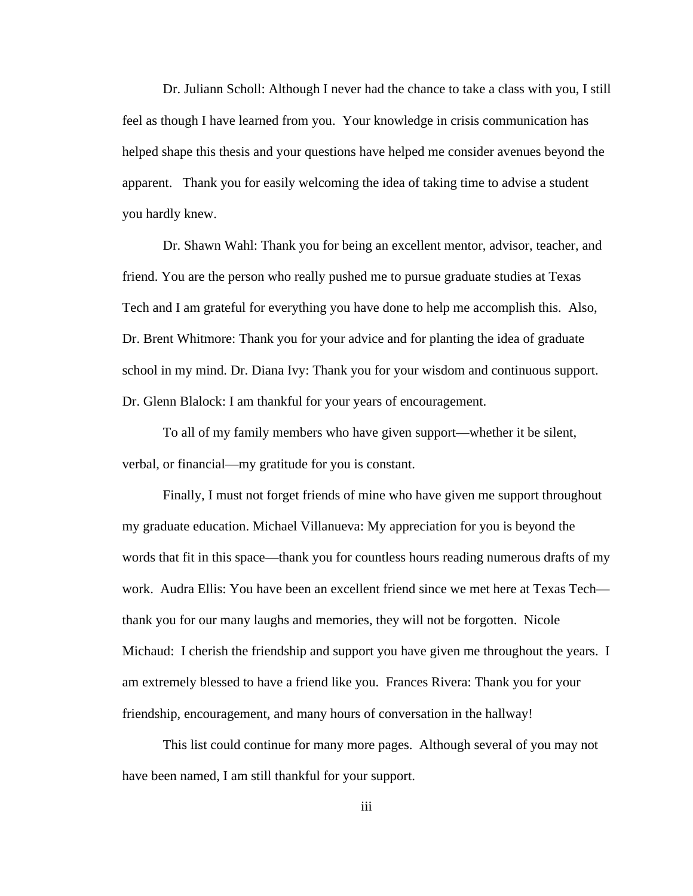Dr. Juliann Scholl: Although I never had the chance to take a class with you, I still feel as though I have learned from you. Your knowledge in crisis communication has helped shape this thesis and your questions have helped me consider avenues beyond the apparent. Thank you for easily welcoming the idea of taking time to advise a student you hardly knew.

Dr. Shawn Wahl: Thank you for being an excellent mentor, advisor, teacher, and friend. You are the person who really pushed me to pursue graduate studies at Texas Tech and I am grateful for everything you have done to help me accomplish this. Also, Dr. Brent Whitmore: Thank you for your advice and for planting the idea of graduate school in my mind. Dr. Diana Ivy: Thank you for your wisdom and continuous support. Dr. Glenn Blalock: I am thankful for your years of encouragement.

To all of my family members who have given support—whether it be silent, verbal, or financial—my gratitude for you is constant.

Finally, I must not forget friends of mine who have given me support throughout my graduate education. Michael Villanueva: My appreciation for you is beyond the words that fit in this space—thank you for countless hours reading numerous drafts of my work. Audra Ellis: You have been an excellent friend since we met here at Texas Tech thank you for our many laughs and memories, they will not be forgotten. Nicole Michaud: I cherish the friendship and support you have given me throughout the years. I am extremely blessed to have a friend like you. Frances Rivera: Thank you for your friendship, encouragement, and many hours of conversation in the hallway!

This list could continue for many more pages. Although several of you may not have been named, I am still thankful for your support.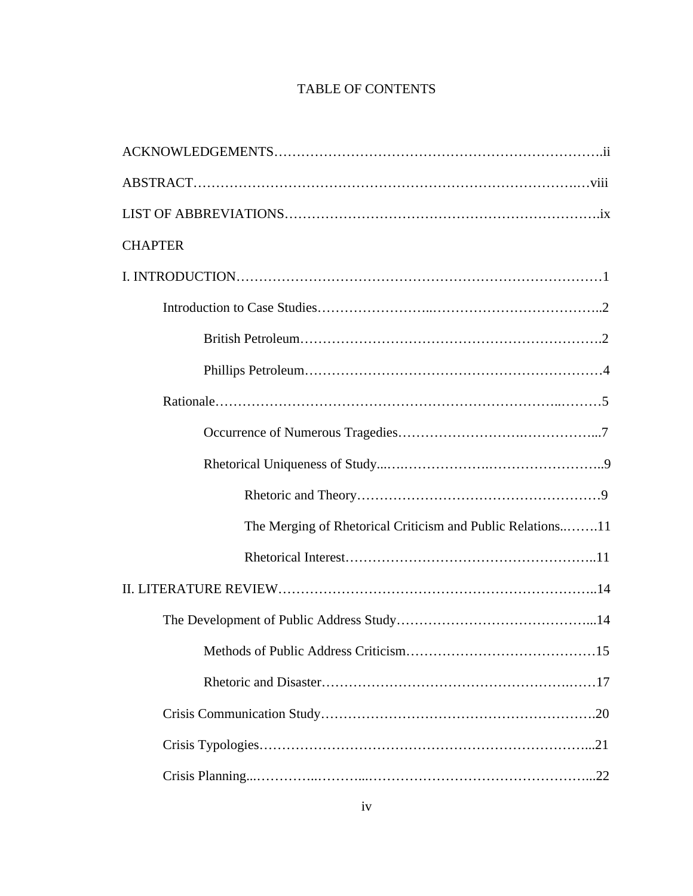# TABLE OF CONTENTS

| <b>CHAPTER</b>                                             |
|------------------------------------------------------------|
|                                                            |
|                                                            |
|                                                            |
|                                                            |
|                                                            |
|                                                            |
|                                                            |
|                                                            |
| The Merging of Rhetorical Criticism and Public Relations11 |
|                                                            |
|                                                            |
|                                                            |
|                                                            |
|                                                            |
|                                                            |
|                                                            |
|                                                            |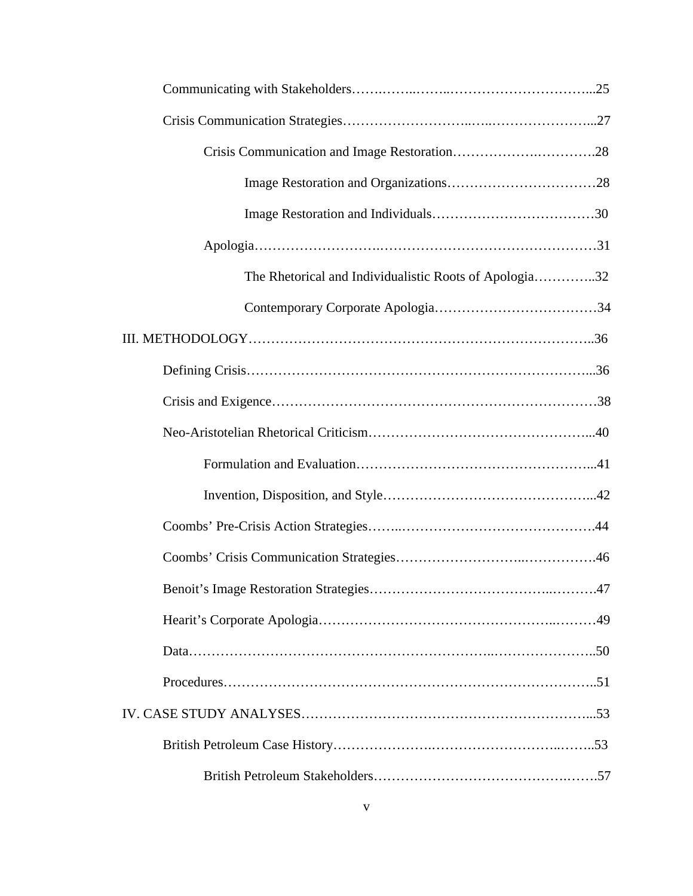| The Rhetorical and Individualistic Roots of Apologia32 |  |
|--------------------------------------------------------|--|
|                                                        |  |
|                                                        |  |
|                                                        |  |
|                                                        |  |
|                                                        |  |
|                                                        |  |
|                                                        |  |
|                                                        |  |
|                                                        |  |
|                                                        |  |
|                                                        |  |
|                                                        |  |
|                                                        |  |
|                                                        |  |
|                                                        |  |
|                                                        |  |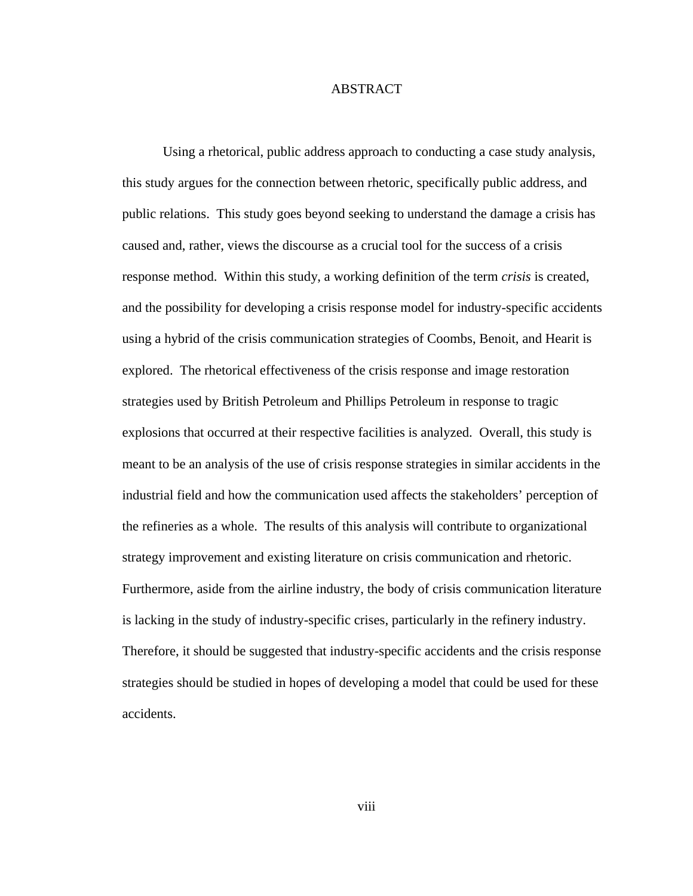## ABSTRACT

Using a rhetorical, public address approach to conducting a case study analysis, this study argues for the connection between rhetoric, specifically public address, and public relations. This study goes beyond seeking to understand the damage a crisis has caused and, rather, views the discourse as a crucial tool for the success of a crisis response method. Within this study, a working definition of the term *crisis* is created, and the possibility for developing a crisis response model for industry-specific accidents using a hybrid of the crisis communication strategies of Coombs, Benoit, and Hearit is explored. The rhetorical effectiveness of the crisis response and image restoration strategies used by British Petroleum and Phillips Petroleum in response to tragic explosions that occurred at their respective facilities is analyzed. Overall, this study is meant to be an analysis of the use of crisis response strategies in similar accidents in the industrial field and how the communication used affects the stakeholders' perception of the refineries as a whole. The results of this analysis will contribute to organizational strategy improvement and existing literature on crisis communication and rhetoric. Furthermore, aside from the airline industry, the body of crisis communication literature is lacking in the study of industry-specific crises, particularly in the refinery industry. Therefore, it should be suggested that industry-specific accidents and the crisis response strategies should be studied in hopes of developing a model that could be used for these accidents.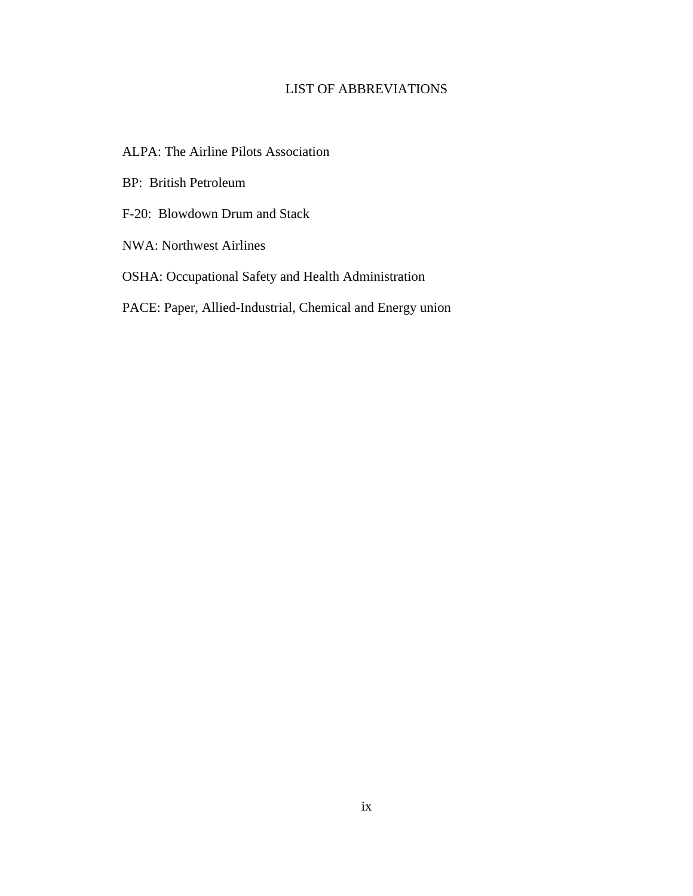# LIST OF ABBREVIATIONS

- ALPA: The Airline Pilots Association
- BP: British Petroleum
- F-20: Blowdown Drum and Stack
- NWA: Northwest Airlines
- OSHA: Occupational Safety and Health Administration
- PACE: Paper, Allied-Industrial, Chemical and Energy union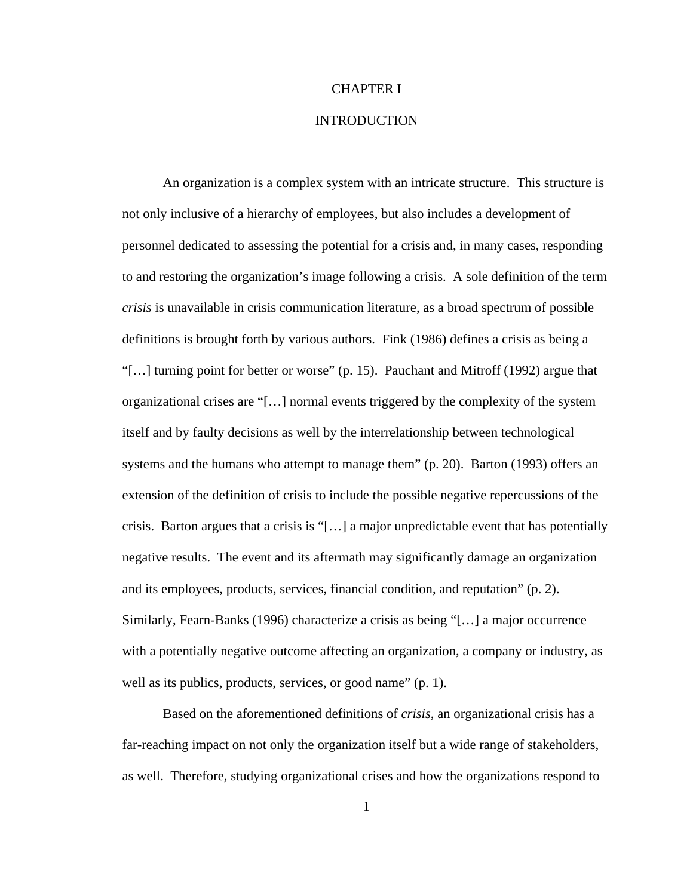#### CHAPTER I

### INTRODUCTION

An organization is a complex system with an intricate structure. This structure is not only inclusive of a hierarchy of employees, but also includes a development of personnel dedicated to assessing the potential for a crisis and, in many cases, responding to and restoring the organization's image following a crisis. A sole definition of the term *crisis* is unavailable in crisis communication literature, as a broad spectrum of possible definitions is brought forth by various authors. Fink (1986) defines a crisis as being a "[…] turning point for better or worse" (p. 15). Pauchant and Mitroff (1992) argue that organizational crises are "[…] normal events triggered by the complexity of the system itself and by faulty decisions as well by the interrelationship between technological systems and the humans who attempt to manage them" (p. 20). Barton (1993) offers an extension of the definition of crisis to include the possible negative repercussions of the crisis. Barton argues that a crisis is "[ $\dots$ ] a major unpredictable event that has potentially negative results. The event and its aftermath may significantly damage an organization and its employees, products, services, financial condition, and reputation" (p. 2). Similarly, Fearn-Banks (1996) characterize a crisis as being "[…] a major occurrence with a potentially negative outcome affecting an organization, a company or industry, as well as its publics, products, services, or good name" (p. 1).

Based on the aforementioned definitions of *crisis*, an organizational crisis has a far-reaching impact on not only the organization itself but a wide range of stakeholders, as well. Therefore, studying organizational crises and how the organizations respond to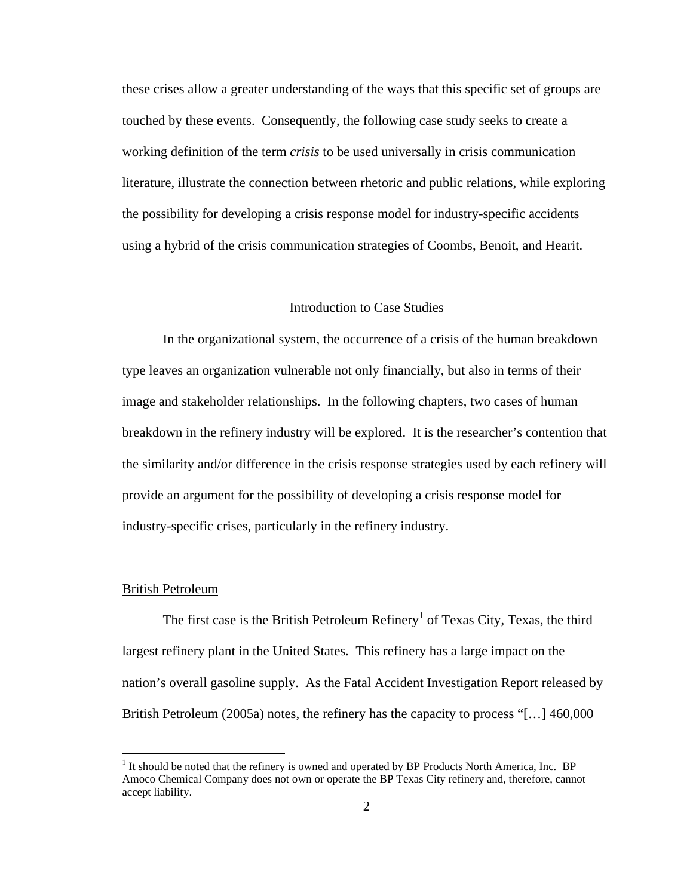these crises allow a greater understanding of the ways that this specific set of groups are touched by these events. Consequently, the following case study seeks to create a working definition of the term *crisis* to be used universally in crisis communication literature, illustrate the connection between rhetoric and public relations, while exploring the possibility for developing a crisis response model for industry-specific accidents using a hybrid of the crisis communication strategies of Coombs, Benoit, and Hearit.

### Introduction to Case Studies

In the organizational system, the occurrence of a crisis of the human breakdown type leaves an organization vulnerable not only financially, but also in terms of their image and stakeholder relationships. In the following chapters, two cases of human breakdown in the refinery industry will be explored. It is the researcher's contention that the similarity and/or difference in the crisis response strategies used by each refinery will provide an argument for the possibility of developing a crisis response model for industry-specific crises, particularly in the refinery industry.

#### British Petroleum

1

The first case is the British Petroleum Refinery<sup>1</sup> of Texas City, Texas, the third largest refinery plant in the United States. This refinery has a large impact on the nation's overall gasoline supply. As the Fatal Accident Investigation Report released by British Petroleum (2005a) notes, the refinery has the capacity to process "[…] 460,000

 $<sup>1</sup>$  It should be noted that the refinery is owned and operated by BP Products North America, Inc. BP</sup> Amoco Chemical Company does not own or operate the BP Texas City refinery and, therefore, cannot accept liability.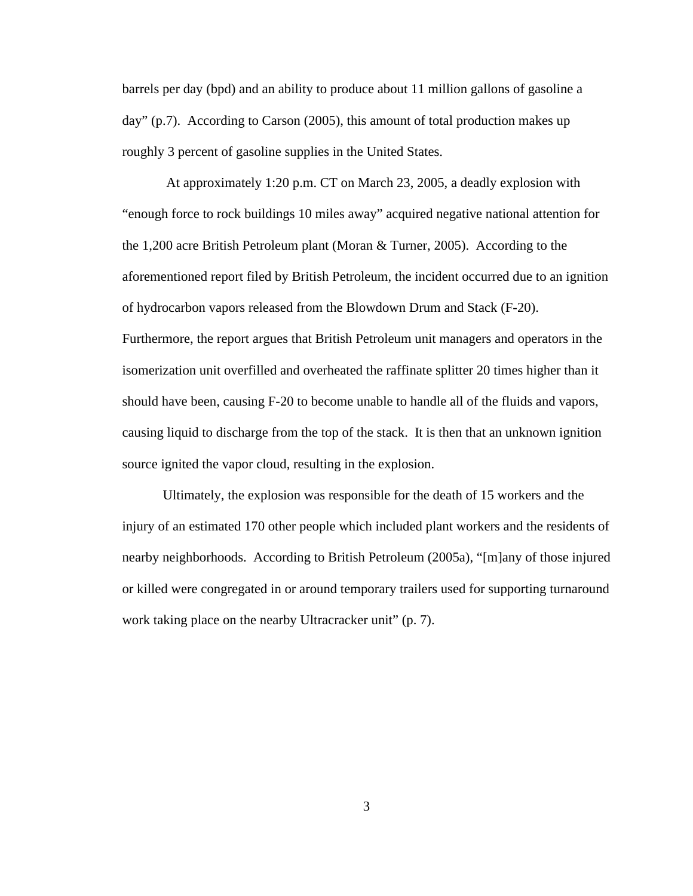barrels per day (bpd) and an ability to produce about 11 million gallons of gasoline a day" (p.7). According to Carson (2005), this amount of total production makes up roughly 3 percent of gasoline supplies in the United States.

At approximately 1:20 p.m. CT on March 23, 2005, a deadly explosion with "enough force to rock buildings 10 miles away" acquired negative national attention for the 1,200 acre British Petroleum plant (Moran & Turner, 2005). According to the aforementioned report filed by British Petroleum, the incident occurred due to an ignition of hydrocarbon vapors released from the Blowdown Drum and Stack (F-20). Furthermore, the report argues that British Petroleum unit managers and operators in the isomerization unit overfilled and overheated the raffinate splitter 20 times higher than it should have been, causing F-20 to become unable to handle all of the fluids and vapors, causing liquid to discharge from the top of the stack. It is then that an unknown ignition source ignited the vapor cloud, resulting in the explosion.

Ultimately, the explosion was responsible for the death of 15 workers and the injury of an estimated 170 other people which included plant workers and the residents of nearby neighborhoods. According to British Petroleum (2005a), "[m]any of those injured or killed were congregated in or around temporary trailers used for supporting turnaround work taking place on the nearby Ultracracker unit" (p. 7).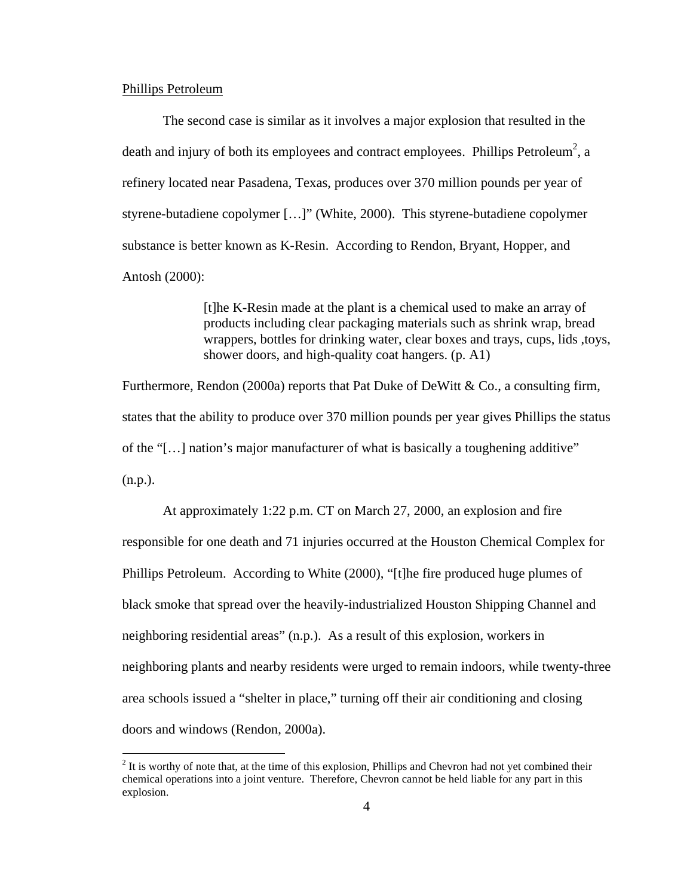### Phillips Petroleum

 $\overline{a}$ 

The second case is similar as it involves a major explosion that resulted in the death and injury of both its employees and contract employees. Phillips Petroleum<sup>2</sup>, a refinery located near Pasadena, Texas, produces over 370 million pounds per year of styrene-butadiene copolymer […]" (White, 2000). This styrene-butadiene copolymer substance is better known as K-Resin. According to Rendon, Bryant, Hopper, and Antosh (2000):

> [t]he K-Resin made at the plant is a chemical used to make an array of products including clear packaging materials such as shrink wrap, bread wrappers, bottles for drinking water, clear boxes and trays, cups, lids ,toys, shower doors, and high-quality coat hangers. (p. A1)

Furthermore, Rendon (2000a) reports that Pat Duke of DeWitt & Co., a consulting firm, states that the ability to produce over 370 million pounds per year gives Phillips the status of the "[…] nation's major manufacturer of what is basically a toughening additive" (n.p.).

At approximately 1:22 p.m. CT on March 27, 2000, an explosion and fire responsible for one death and 71 injuries occurred at the Houston Chemical Complex for Phillips Petroleum. According to White (2000), "[t]he fire produced huge plumes of black smoke that spread over the heavily-industrialized Houston Shipping Channel and neighboring residential areas" (n.p.). As a result of this explosion, workers in neighboring plants and nearby residents were urged to remain indoors, while twenty-three area schools issued a "shelter in place," turning off their air conditioning and closing doors and windows (Rendon, 2000a).

 $2<sup>2</sup>$  It is worthy of note that, at the time of this explosion, Phillips and Chevron had not yet combined their chemical operations into a joint venture. Therefore, Chevron cannot be held liable for any part in this explosion.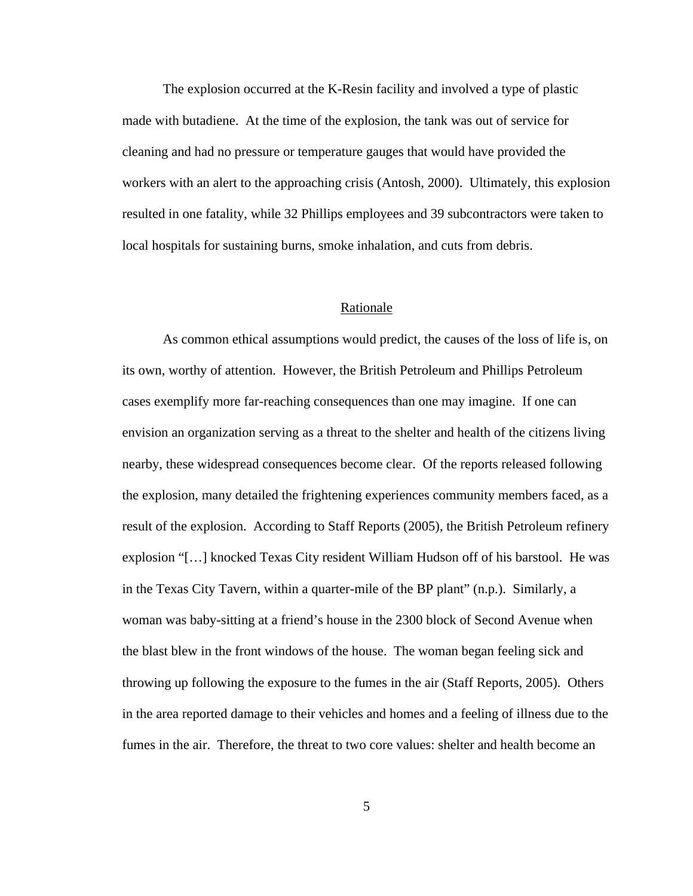The explosion occurred at the K-Resin facility and involved a type of plastic made with butadiene. At the time of the explosion, the tank was out of service for cleaning and had no pressure or temperature gauges that would have provided the workers with an alert to the approaching crisis (Antosh, 2000). Ultimately, this explosion resulted in one fatality, while 32 Phillips employees and 39 subcontractors were taken to local hospitals for sustaining burns, smoke inhalation, and cuts from debris.

#### Rationale

As common ethical assumptions would predict, the causes of the loss of life is, on its own, worthy of attention. However, the British Petroleum and Phillips Petroleum cases exemplify more far-reaching consequences than one may imagine. If one can envision an organization serving as a threat to the shelter and health of the citizens living nearby, these widespread consequences become clear. Of the reports released following the explosion, many detailed the frightening experiences community members faced, as a result of the explosion. According to Staff Reports (2005), the British Petroleum refinery explosion "[…] knocked Texas City resident William Hudson off of his barstool. He was in the Texas City Tavern, within a quarter-mile of the BP plant" (n.p.). Similarly, a woman was baby-sitting at a friend's house in the 2300 block of Second Avenue when the blast blew in the front windows of the house. The woman began feeling sick and throwing up following the exposure to the fumes in the air (Staff Reports, 2005). Others in the area reported damage to their vehicles and homes and a feeling of illness due to the fumes in the air. Therefore, the threat to two core values: shelter and health become an

5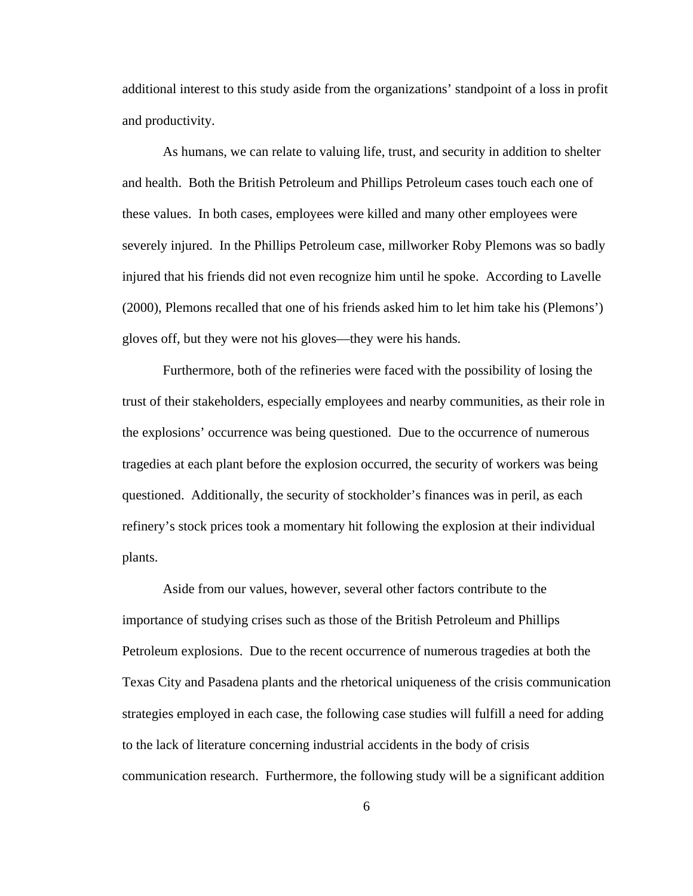additional interest to this study aside from the organizations' standpoint of a loss in profit and productivity.

As humans, we can relate to valuing life, trust, and security in addition to shelter and health. Both the British Petroleum and Phillips Petroleum cases touch each one of these values. In both cases, employees were killed and many other employees were severely injured. In the Phillips Petroleum case, millworker Roby Plemons was so badly injured that his friends did not even recognize him until he spoke. According to Lavelle (2000), Plemons recalled that one of his friends asked him to let him take his (Plemons') gloves off, but they were not his gloves—they were his hands.

Furthermore, both of the refineries were faced with the possibility of losing the trust of their stakeholders, especially employees and nearby communities, as their role in the explosions' occurrence was being questioned. Due to the occurrence of numerous tragedies at each plant before the explosion occurred, the security of workers was being questioned. Additionally, the security of stockholder's finances was in peril, as each refinery's stock prices took a momentary hit following the explosion at their individual plants.

Aside from our values, however, several other factors contribute to the importance of studying crises such as those of the British Petroleum and Phillips Petroleum explosions. Due to the recent occurrence of numerous tragedies at both the Texas City and Pasadena plants and the rhetorical uniqueness of the crisis communication strategies employed in each case, the following case studies will fulfill a need for adding to the lack of literature concerning industrial accidents in the body of crisis communication research. Furthermore, the following study will be a significant addition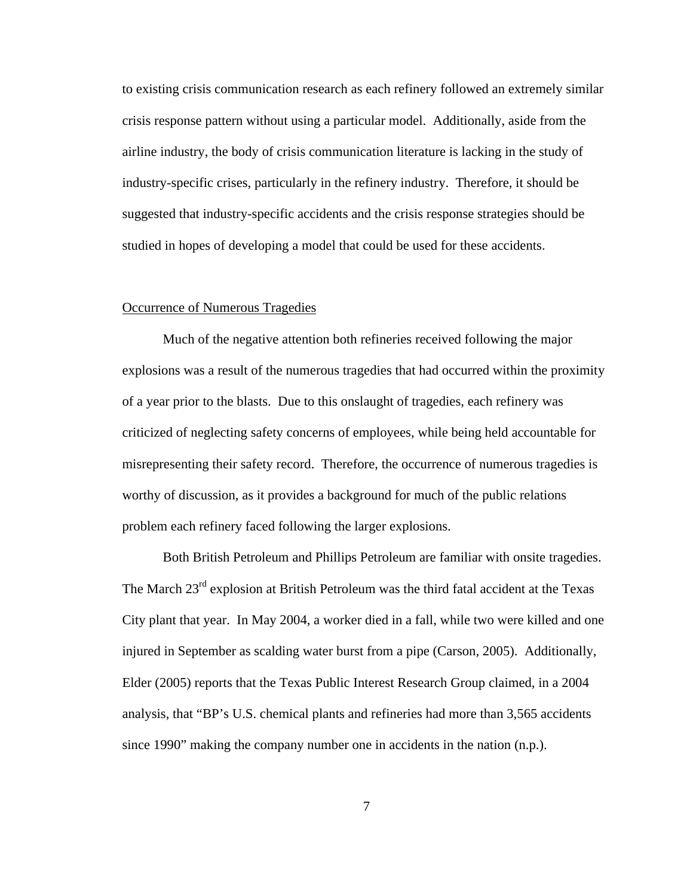to existing crisis communication research as each refinery followed an extremely similar crisis response pattern without using a particular model. Additionally, aside from the airline industry, the body of crisis communication literature is lacking in the study of industry-specific crises, particularly in the refinery industry. Therefore, it should be suggested that industry-specific accidents and the crisis response strategies should be studied in hopes of developing a model that could be used for these accidents.

### Occurrence of Numerous Tragedies

Much of the negative attention both refineries received following the major explosions was a result of the numerous tragedies that had occurred within the proximity of a year prior to the blasts. Due to this onslaught of tragedies, each refinery was criticized of neglecting safety concerns of employees, while being held accountable for misrepresenting their safety record. Therefore, the occurrence of numerous tragedies is worthy of discussion, as it provides a background for much of the public relations problem each refinery faced following the larger explosions.

Both British Petroleum and Phillips Petroleum are familiar with onsite tragedies. The March  $23<sup>rd</sup>$  explosion at British Petroleum was the third fatal accident at the Texas City plant that year. In May 2004, a worker died in a fall, while two were killed and one injured in September as scalding water burst from a pipe (Carson, 2005). Additionally, Elder (2005) reports that the Texas Public Interest Research Group claimed, in a 2004 analysis, that "BP's U.S. chemical plants and refineries had more than 3,565 accidents since 1990" making the company number one in accidents in the nation (n.p.).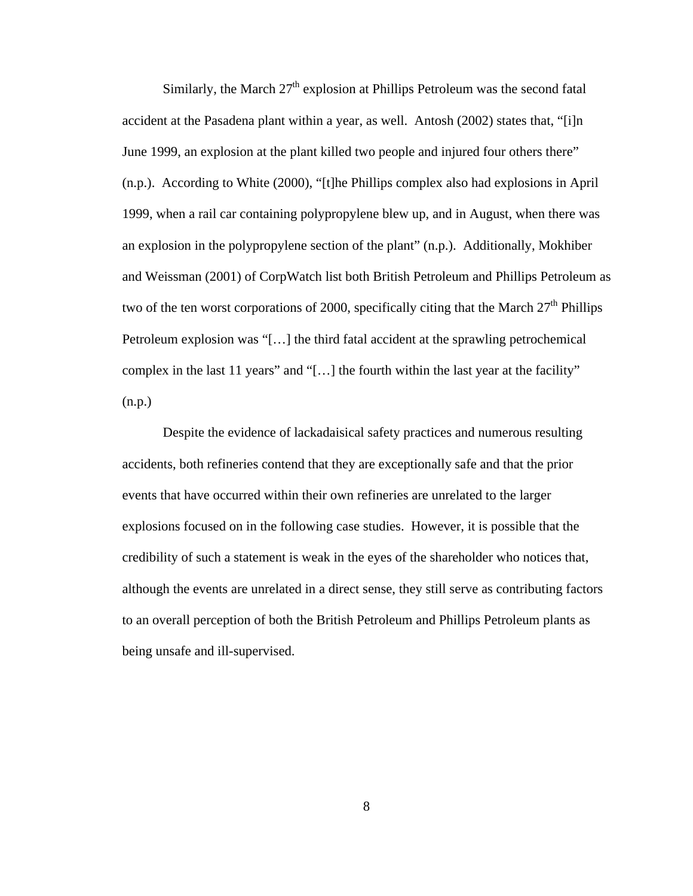Similarly, the March  $27<sup>th</sup>$  explosion at Phillips Petroleum was the second fatal accident at the Pasadena plant within a year, as well. Antosh (2002) states that, "[i]n June 1999, an explosion at the plant killed two people and injured four others there" (n.p.). According to White (2000), "[t]he Phillips complex also had explosions in April 1999, when a rail car containing polypropylene blew up, and in August, when there was an explosion in the polypropylene section of the plant" (n.p.). Additionally, Mokhiber and Weissman (2001) of CorpWatch list both British Petroleum and Phillips Petroleum as two of the ten worst corporations of 2000, specifically citing that the March  $27<sup>th</sup>$  Phillips Petroleum explosion was "[…] the third fatal accident at the sprawling petrochemical complex in the last 11 years" and "[…] the fourth within the last year at the facility" (n.p.)

Despite the evidence of lackadaisical safety practices and numerous resulting accidents, both refineries contend that they are exceptionally safe and that the prior events that have occurred within their own refineries are unrelated to the larger explosions focused on in the following case studies. However, it is possible that the credibility of such a statement is weak in the eyes of the shareholder who notices that, although the events are unrelated in a direct sense, they still serve as contributing factors to an overall perception of both the British Petroleum and Phillips Petroleum plants as being unsafe and ill-supervised.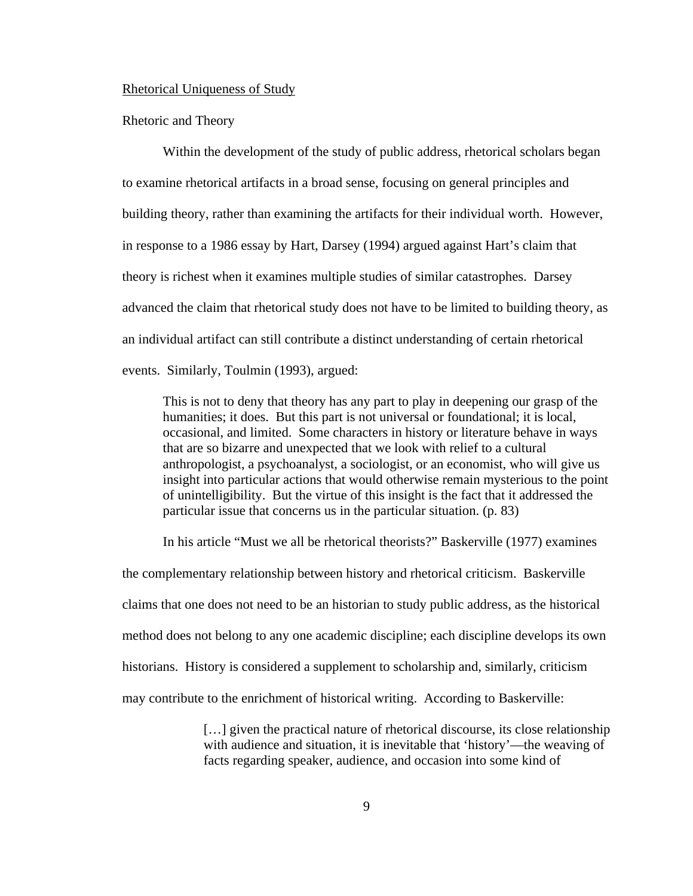#### Rhetorical Uniqueness of Study

#### Rhetoric and Theory

Within the development of the study of public address, rhetorical scholars began to examine rhetorical artifacts in a broad sense, focusing on general principles and building theory, rather than examining the artifacts for their individual worth. However, in response to a 1986 essay by Hart, Darsey (1994) argued against Hart's claim that theory is richest when it examines multiple studies of similar catastrophes. Darsey advanced the claim that rhetorical study does not have to be limited to building theory, as an individual artifact can still contribute a distinct understanding of certain rhetorical events. Similarly, Toulmin (1993), argued:

This is not to deny that theory has any part to play in deepening our grasp of the humanities; it does. But this part is not universal or foundational; it is local, occasional, and limited. Some characters in history or literature behave in ways that are so bizarre and unexpected that we look with relief to a cultural anthropologist, a psychoanalyst, a sociologist, or an economist, who will give us insight into particular actions that would otherwise remain mysterious to the point of unintelligibility. But the virtue of this insight is the fact that it addressed the particular issue that concerns us in the particular situation. (p. 83)

In his article "Must we all be rhetorical theorists?" Baskerville (1977) examines the complementary relationship between history and rhetorical criticism. Baskerville claims that one does not need to be an historian to study public address, as the historical method does not belong to any one academic discipline; each discipline develops its own historians. History is considered a supplement to scholarship and, similarly, criticism may contribute to the enrichment of historical writing. According to Baskerville:

> [...] given the practical nature of rhetorical discourse, its close relationship with audience and situation, it is inevitable that 'history'—the weaving of facts regarding speaker, audience, and occasion into some kind of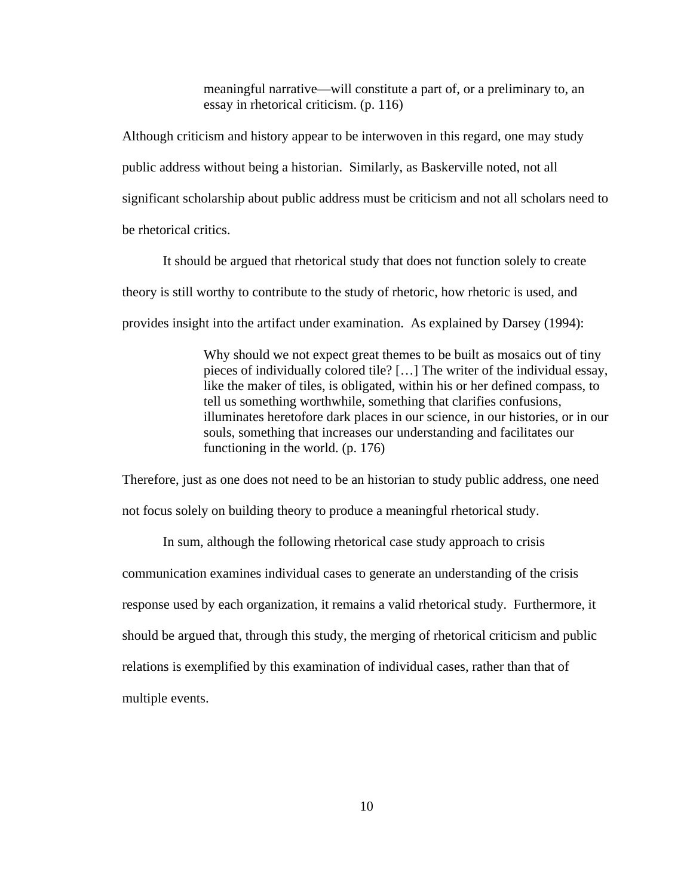meaningful narrative—will constitute a part of, or a preliminary to, an essay in rhetorical criticism. (p. 116)

Although criticism and history appear to be interwoven in this regard, one may study public address without being a historian. Similarly, as Baskerville noted, not all significant scholarship about public address must be criticism and not all scholars need to be rhetorical critics.

It should be argued that rhetorical study that does not function solely to create theory is still worthy to contribute to the study of rhetoric, how rhetoric is used, and provides insight into the artifact under examination. As explained by Darsey (1994):

> Why should we not expect great themes to be built as mosaics out of tiny pieces of individually colored tile? […] The writer of the individual essay, like the maker of tiles, is obligated, within his or her defined compass, to tell us something worthwhile, something that clarifies confusions, illuminates heretofore dark places in our science, in our histories, or in our souls, something that increases our understanding and facilitates our functioning in the world. (p. 176)

Therefore, just as one does not need to be an historian to study public address, one need not focus solely on building theory to produce a meaningful rhetorical study.

In sum, although the following rhetorical case study approach to crisis communication examines individual cases to generate an understanding of the crisis response used by each organization, it remains a valid rhetorical study. Furthermore, it should be argued that, through this study, the merging of rhetorical criticism and public relations is exemplified by this examination of individual cases, rather than that of multiple events.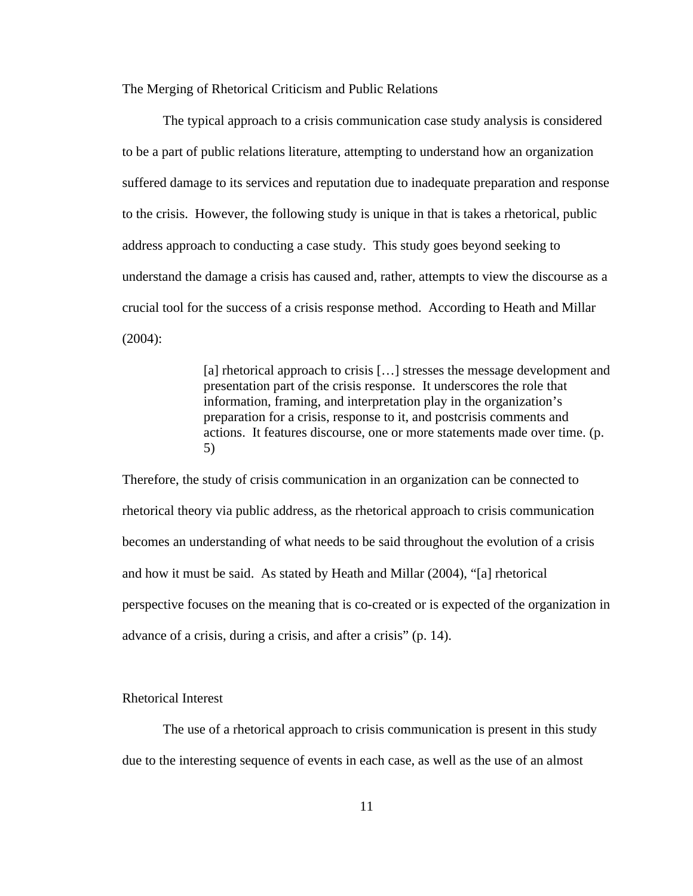The Merging of Rhetorical Criticism and Public Relations

The typical approach to a crisis communication case study analysis is considered to be a part of public relations literature, attempting to understand how an organization suffered damage to its services and reputation due to inadequate preparation and response to the crisis. However, the following study is unique in that is takes a rhetorical, public address approach to conducting a case study. This study goes beyond seeking to understand the damage a crisis has caused and, rather, attempts to view the discourse as a crucial tool for the success of a crisis response method. According to Heath and Millar (2004):

> [a] rhetorical approach to crisis [...] stresses the message development and presentation part of the crisis response. It underscores the role that information, framing, and interpretation play in the organization's preparation for a crisis, response to it, and postcrisis comments and actions. It features discourse, one or more statements made over time. (p. 5)

Therefore, the study of crisis communication in an organization can be connected to rhetorical theory via public address, as the rhetorical approach to crisis communication becomes an understanding of what needs to be said throughout the evolution of a crisis and how it must be said. As stated by Heath and Millar (2004), "[a] rhetorical perspective focuses on the meaning that is co-created or is expected of the organization in advance of a crisis, during a crisis, and after a crisis" (p. 14).

# Rhetorical Interest

The use of a rhetorical approach to crisis communication is present in this study due to the interesting sequence of events in each case, as well as the use of an almost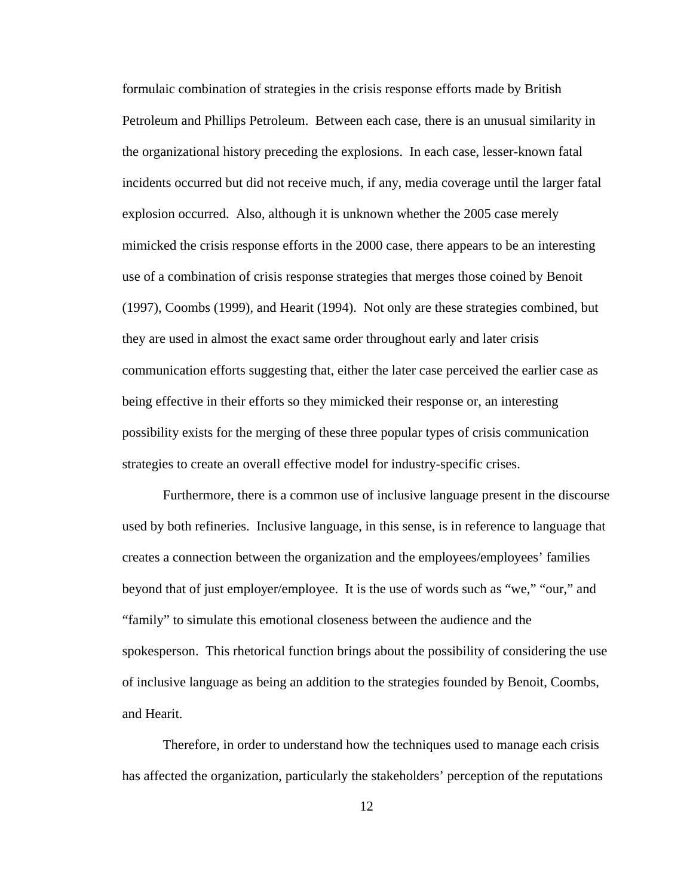formulaic combination of strategies in the crisis response efforts made by British Petroleum and Phillips Petroleum. Between each case, there is an unusual similarity in the organizational history preceding the explosions. In each case, lesser-known fatal incidents occurred but did not receive much, if any, media coverage until the larger fatal explosion occurred. Also, although it is unknown whether the 2005 case merely mimicked the crisis response efforts in the 2000 case, there appears to be an interesting use of a combination of crisis response strategies that merges those coined by Benoit (1997), Coombs (1999), and Hearit (1994). Not only are these strategies combined, but they are used in almost the exact same order throughout early and later crisis communication efforts suggesting that, either the later case perceived the earlier case as being effective in their efforts so they mimicked their response or, an interesting possibility exists for the merging of these three popular types of crisis communication strategies to create an overall effective model for industry-specific crises.

Furthermore, there is a common use of inclusive language present in the discourse used by both refineries. Inclusive language, in this sense, is in reference to language that creates a connection between the organization and the employees/employees' families beyond that of just employer/employee. It is the use of words such as "we," "our," and "family" to simulate this emotional closeness between the audience and the spokesperson. This rhetorical function brings about the possibility of considering the use of inclusive language as being an addition to the strategies founded by Benoit, Coombs, and Hearit.

Therefore, in order to understand how the techniques used to manage each crisis has affected the organization, particularly the stakeholders' perception of the reputations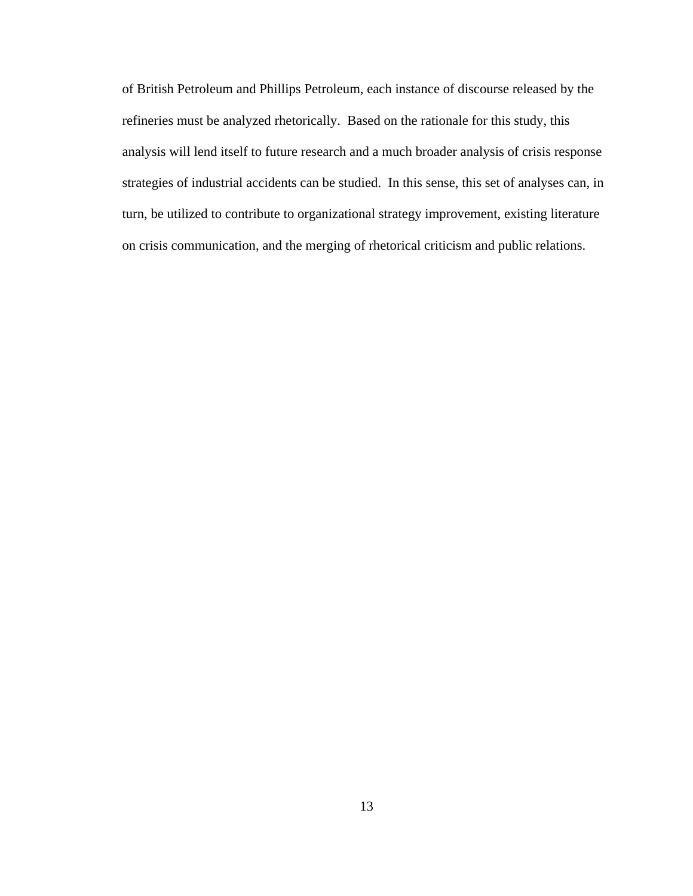of British Petroleum and Phillips Petroleum, each instance of discourse released by the refineries must be analyzed rhetorically. Based on the rationale for this study, this analysis will lend itself to future research and a much broader analysis of crisis response strategies of industrial accidents can be studied. In this sense, this set of analyses can, in turn, be utilized to contribute to organizational strategy improvement, existing literature on crisis communication, and the merging of rhetorical criticism and public relations.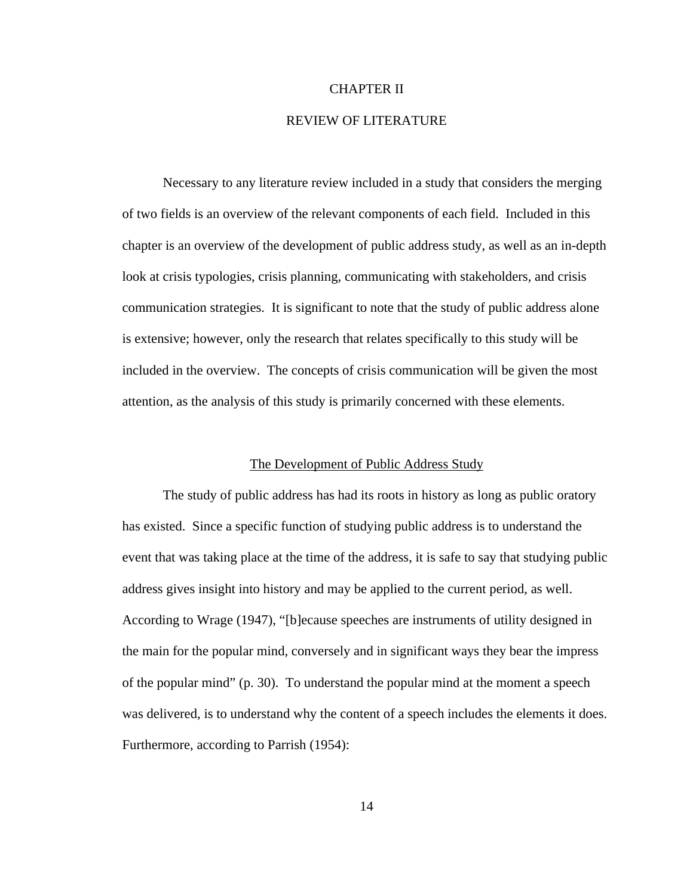### CHAPTER II

# REVIEW OF LITERATURE

Necessary to any literature review included in a study that considers the merging of two fields is an overview of the relevant components of each field. Included in this chapter is an overview of the development of public address study, as well as an in-depth look at crisis typologies, crisis planning, communicating with stakeholders, and crisis communication strategies. It is significant to note that the study of public address alone is extensive; however, only the research that relates specifically to this study will be included in the overview. The concepts of crisis communication will be given the most attention, as the analysis of this study is primarily concerned with these elements.

### The Development of Public Address Study

The study of public address has had its roots in history as long as public oratory has existed. Since a specific function of studying public address is to understand the event that was taking place at the time of the address, it is safe to say that studying public address gives insight into history and may be applied to the current period, as well. According to Wrage (1947), "[b]ecause speeches are instruments of utility designed in the main for the popular mind, conversely and in significant ways they bear the impress of the popular mind" (p. 30). To understand the popular mind at the moment a speech was delivered, is to understand why the content of a speech includes the elements it does. Furthermore, according to Parrish (1954):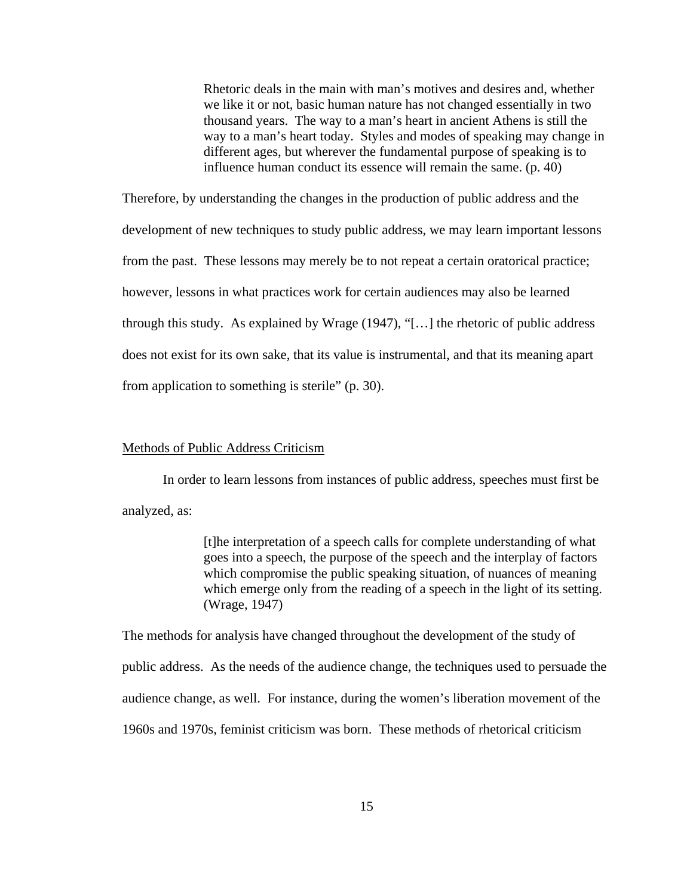Rhetoric deals in the main with man's motives and desires and, whether we like it or not, basic human nature has not changed essentially in two thousand years. The way to a man's heart in ancient Athens is still the way to a man's heart today. Styles and modes of speaking may change in different ages, but wherever the fundamental purpose of speaking is to influence human conduct its essence will remain the same. (p. 40)

Therefore, by understanding the changes in the production of public address and the development of new techniques to study public address, we may learn important lessons from the past. These lessons may merely be to not repeat a certain oratorical practice; however, lessons in what practices work for certain audiences may also be learned through this study. As explained by Wrage (1947), "[…] the rhetoric of public address does not exist for its own sake, that its value is instrumental, and that its meaning apart from application to something is sterile" (p. 30).

#### Methods of Public Address Criticism

In order to learn lessons from instances of public address, speeches must first be analyzed, as:

> [t]he interpretation of a speech calls for complete understanding of what goes into a speech, the purpose of the speech and the interplay of factors which compromise the public speaking situation, of nuances of meaning which emerge only from the reading of a speech in the light of its setting. (Wrage, 1947)

The methods for analysis have changed throughout the development of the study of public address. As the needs of the audience change, the techniques used to persuade the audience change, as well. For instance, during the women's liberation movement of the 1960s and 1970s, feminist criticism was born. These methods of rhetorical criticism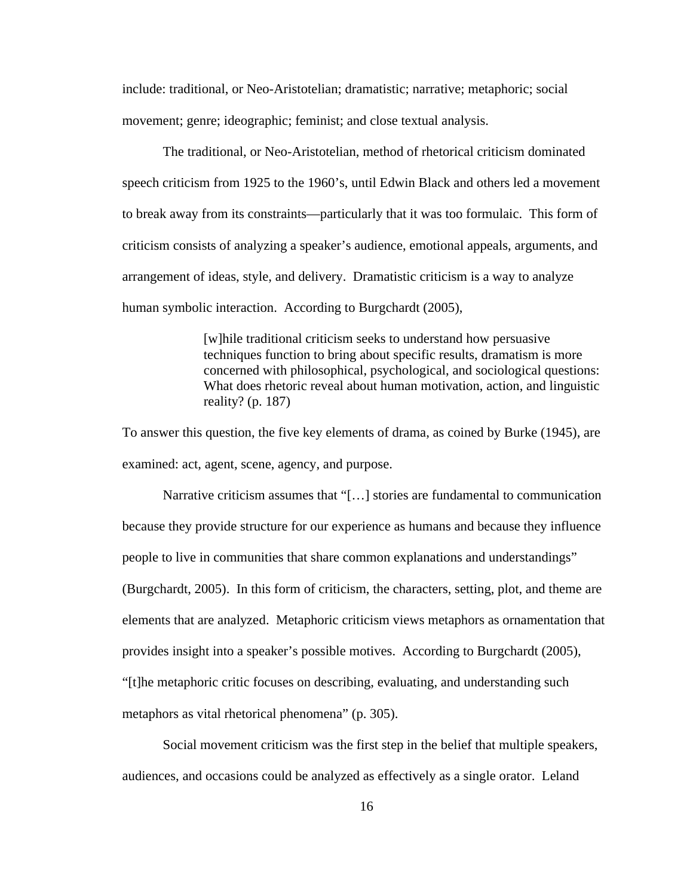include: traditional, or Neo-Aristotelian; dramatistic; narrative; metaphoric; social movement; genre; ideographic; feminist; and close textual analysis.

The traditional, or Neo-Aristotelian, method of rhetorical criticism dominated speech criticism from 1925 to the 1960's, until Edwin Black and others led a movement to break away from its constraints—particularly that it was too formulaic. This form of criticism consists of analyzing a speaker's audience, emotional appeals, arguments, and arrangement of ideas, style, and delivery. Dramatistic criticism is a way to analyze human symbolic interaction. According to Burgchardt (2005),

> [w]hile traditional criticism seeks to understand how persuasive techniques function to bring about specific results, dramatism is more concerned with philosophical, psychological, and sociological questions: What does rhetoric reveal about human motivation, action, and linguistic reality? (p. 187)

To answer this question, the five key elements of drama, as coined by Burke (1945), are examined: act, agent, scene, agency, and purpose.

Narrative criticism assumes that "[…] stories are fundamental to communication because they provide structure for our experience as humans and because they influence people to live in communities that share common explanations and understandings" (Burgchardt, 2005). In this form of criticism, the characters, setting, plot, and theme are elements that are analyzed. Metaphoric criticism views metaphors as ornamentation that provides insight into a speaker's possible motives. According to Burgchardt (2005), "[t]he metaphoric critic focuses on describing, evaluating, and understanding such metaphors as vital rhetorical phenomena" (p. 305).

Social movement criticism was the first step in the belief that multiple speakers, audiences, and occasions could be analyzed as effectively as a single orator. Leland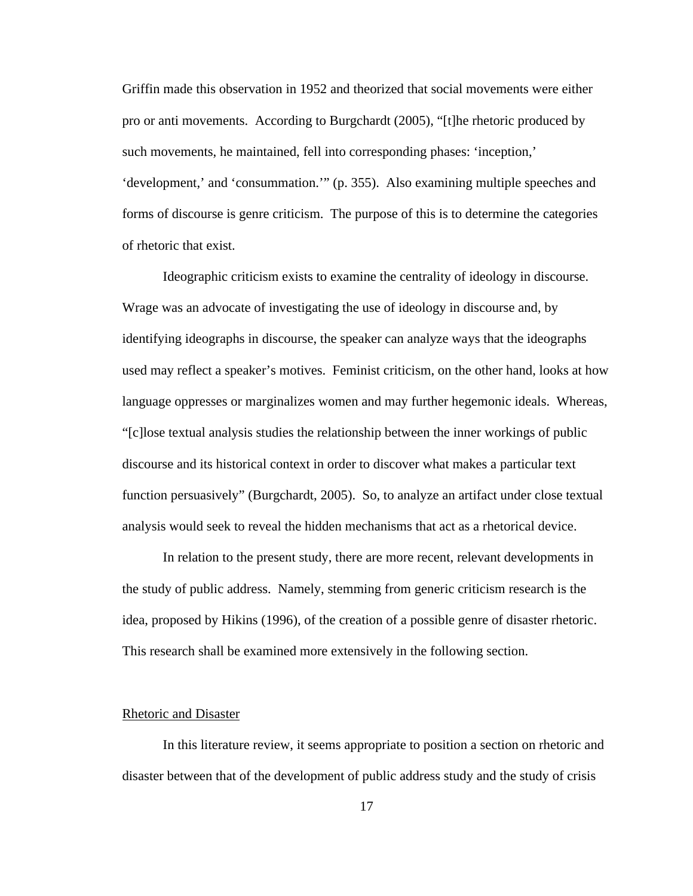Griffin made this observation in 1952 and theorized that social movements were either pro or anti movements. According to Burgchardt (2005), "[t]he rhetoric produced by such movements, he maintained, fell into corresponding phases: 'inception,' 'development,' and 'consummation.'" (p. 355). Also examining multiple speeches and forms of discourse is genre criticism. The purpose of this is to determine the categories of rhetoric that exist.

Ideographic criticism exists to examine the centrality of ideology in discourse. Wrage was an advocate of investigating the use of ideology in discourse and, by identifying ideographs in discourse, the speaker can analyze ways that the ideographs used may reflect a speaker's motives. Feminist criticism, on the other hand, looks at how language oppresses or marginalizes women and may further hegemonic ideals. Whereas, "[c]lose textual analysis studies the relationship between the inner workings of public discourse and its historical context in order to discover what makes a particular text function persuasively" (Burgchardt, 2005). So, to analyze an artifact under close textual analysis would seek to reveal the hidden mechanisms that act as a rhetorical device.

In relation to the present study, there are more recent, relevant developments in the study of public address. Namely, stemming from generic criticism research is the idea, proposed by Hikins (1996), of the creation of a possible genre of disaster rhetoric. This research shall be examined more extensively in the following section.

#### Rhetoric and Disaster

In this literature review, it seems appropriate to position a section on rhetoric and disaster between that of the development of public address study and the study of crisis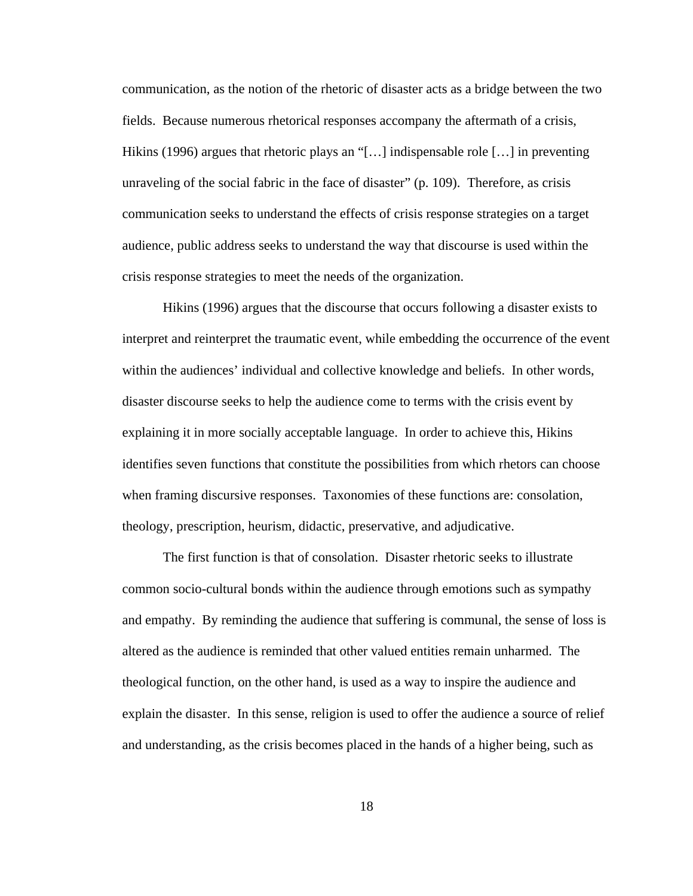communication, as the notion of the rhetoric of disaster acts as a bridge between the two fields. Because numerous rhetorical responses accompany the aftermath of a crisis, Hikins (1996) argues that rhetoric plays an "[…] indispensable role […] in preventing unraveling of the social fabric in the face of disaster" (p. 109). Therefore, as crisis communication seeks to understand the effects of crisis response strategies on a target audience, public address seeks to understand the way that discourse is used within the crisis response strategies to meet the needs of the organization.

Hikins (1996) argues that the discourse that occurs following a disaster exists to interpret and reinterpret the traumatic event, while embedding the occurrence of the event within the audiences' individual and collective knowledge and beliefs. In other words, disaster discourse seeks to help the audience come to terms with the crisis event by explaining it in more socially acceptable language. In order to achieve this, Hikins identifies seven functions that constitute the possibilities from which rhetors can choose when framing discursive responses. Taxonomies of these functions are: consolation, theology, prescription, heurism, didactic, preservative, and adjudicative.

The first function is that of consolation. Disaster rhetoric seeks to illustrate common socio-cultural bonds within the audience through emotions such as sympathy and empathy. By reminding the audience that suffering is communal, the sense of loss is altered as the audience is reminded that other valued entities remain unharmed. The theological function, on the other hand, is used as a way to inspire the audience and explain the disaster. In this sense, religion is used to offer the audience a source of relief and understanding, as the crisis becomes placed in the hands of a higher being, such as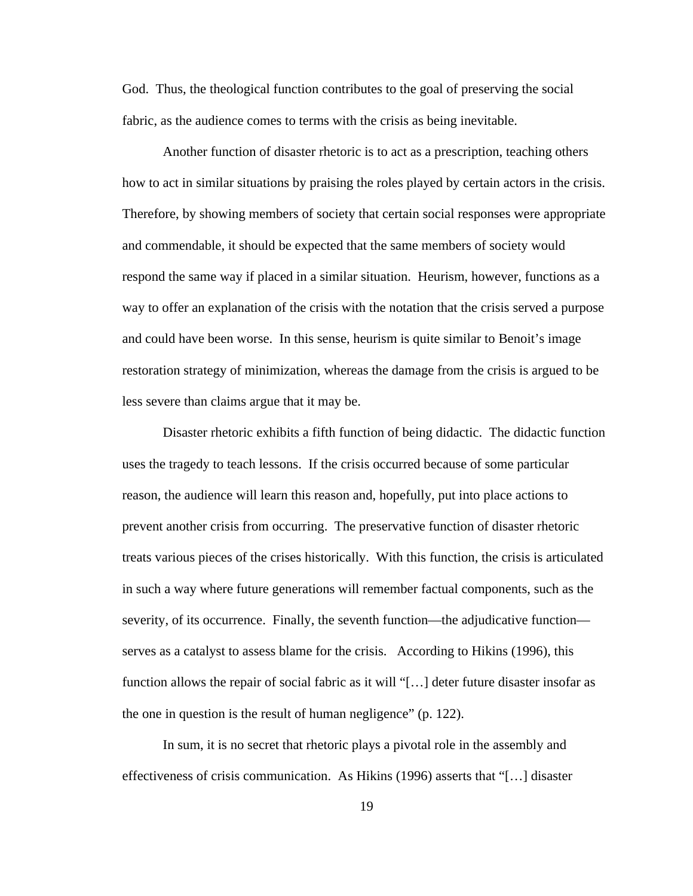God. Thus, the theological function contributes to the goal of preserving the social fabric, as the audience comes to terms with the crisis as being inevitable.

Another function of disaster rhetoric is to act as a prescription, teaching others how to act in similar situations by praising the roles played by certain actors in the crisis. Therefore, by showing members of society that certain social responses were appropriate and commendable, it should be expected that the same members of society would respond the same way if placed in a similar situation. Heurism, however, functions as a way to offer an explanation of the crisis with the notation that the crisis served a purpose and could have been worse. In this sense, heurism is quite similar to Benoit's image restoration strategy of minimization, whereas the damage from the crisis is argued to be less severe than claims argue that it may be.

Disaster rhetoric exhibits a fifth function of being didactic. The didactic function uses the tragedy to teach lessons. If the crisis occurred because of some particular reason, the audience will learn this reason and, hopefully, put into place actions to prevent another crisis from occurring. The preservative function of disaster rhetoric treats various pieces of the crises historically. With this function, the crisis is articulated in such a way where future generations will remember factual components, such as the severity, of its occurrence. Finally, the seventh function—the adjudicative function serves as a catalyst to assess blame for the crisis. According to Hikins (1996), this function allows the repair of social fabric as it will "[…] deter future disaster insofar as the one in question is the result of human negligence" (p. 122).

In sum, it is no secret that rhetoric plays a pivotal role in the assembly and effectiveness of crisis communication. As Hikins (1996) asserts that "[…] disaster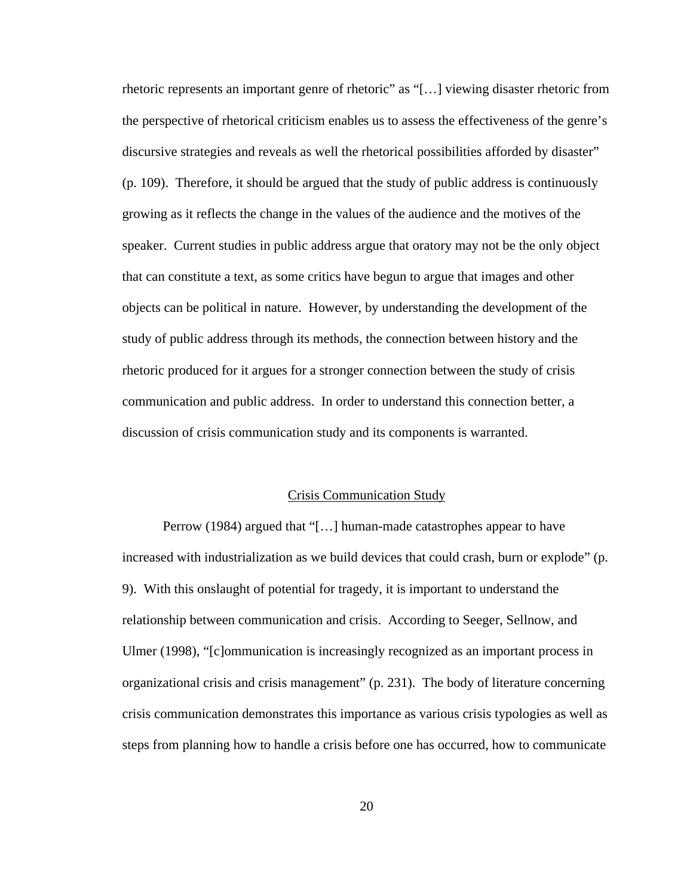rhetoric represents an important genre of rhetoric" as "[…] viewing disaster rhetoric from the perspective of rhetorical criticism enables us to assess the effectiveness of the genre's discursive strategies and reveals as well the rhetorical possibilities afforded by disaster" (p. 109). Therefore, it should be argued that the study of public address is continuously growing as it reflects the change in the values of the audience and the motives of the speaker. Current studies in public address argue that oratory may not be the only object that can constitute a text, as some critics have begun to argue that images and other objects can be political in nature. However, by understanding the development of the study of public address through its methods, the connection between history and the rhetoric produced for it argues for a stronger connection between the study of crisis communication and public address. In order to understand this connection better, a discussion of crisis communication study and its components is warranted.

#### Crisis Communication Study

Perrow (1984) argued that "[…] human-made catastrophes appear to have increased with industrialization as we build devices that could crash, burn or explode" (p. 9). With this onslaught of potential for tragedy, it is important to understand the relationship between communication and crisis. According to Seeger, Sellnow, and Ulmer (1998), "[c]ommunication is increasingly recognized as an important process in organizational crisis and crisis management" (p. 231). The body of literature concerning crisis communication demonstrates this importance as various crisis typologies as well as steps from planning how to handle a crisis before one has occurred, how to communicate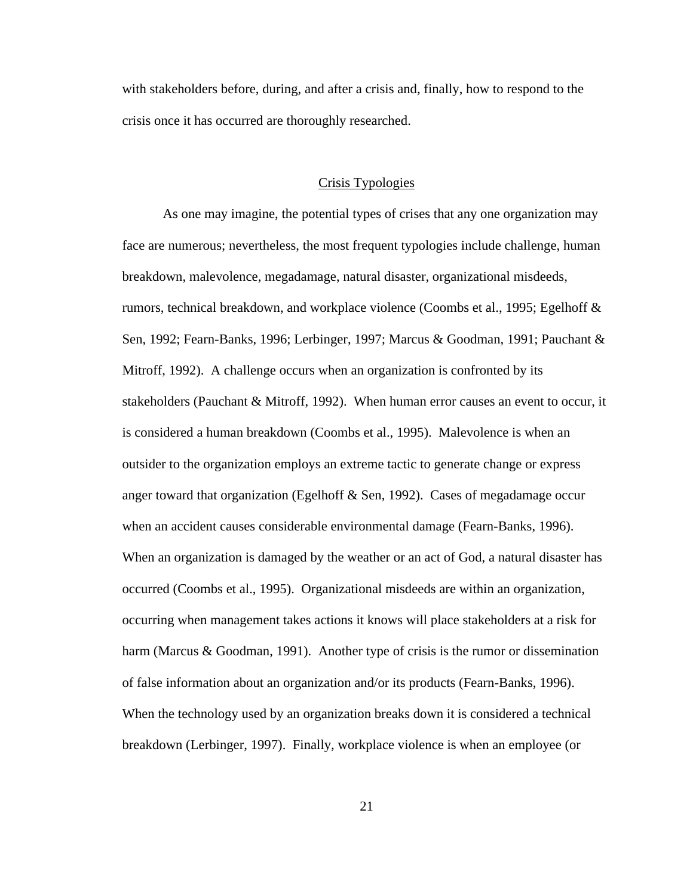with stakeholders before, during, and after a crisis and, finally, how to respond to the crisis once it has occurred are thoroughly researched.

#### Crisis Typologies

As one may imagine, the potential types of crises that any one organization may face are numerous; nevertheless, the most frequent typologies include challenge, human breakdown, malevolence, megadamage, natural disaster, organizational misdeeds, rumors, technical breakdown, and workplace violence (Coombs et al., 1995; Egelhoff & Sen, 1992; Fearn-Banks, 1996; Lerbinger, 1997; Marcus & Goodman, 1991; Pauchant & Mitroff, 1992). A challenge occurs when an organization is confronted by its stakeholders (Pauchant & Mitroff, 1992). When human error causes an event to occur, it is considered a human breakdown (Coombs et al., 1995). Malevolence is when an outsider to the organization employs an extreme tactic to generate change or express anger toward that organization (Egelhoff  $\&$  Sen, 1992). Cases of megadamage occur when an accident causes considerable environmental damage (Fearn-Banks, 1996). When an organization is damaged by the weather or an act of God, a natural disaster has occurred (Coombs et al., 1995). Organizational misdeeds are within an organization, occurring when management takes actions it knows will place stakeholders at a risk for harm (Marcus & Goodman, 1991). Another type of crisis is the rumor or dissemination of false information about an organization and/or its products (Fearn-Banks, 1996). When the technology used by an organization breaks down it is considered a technical breakdown (Lerbinger, 1997). Finally, workplace violence is when an employee (or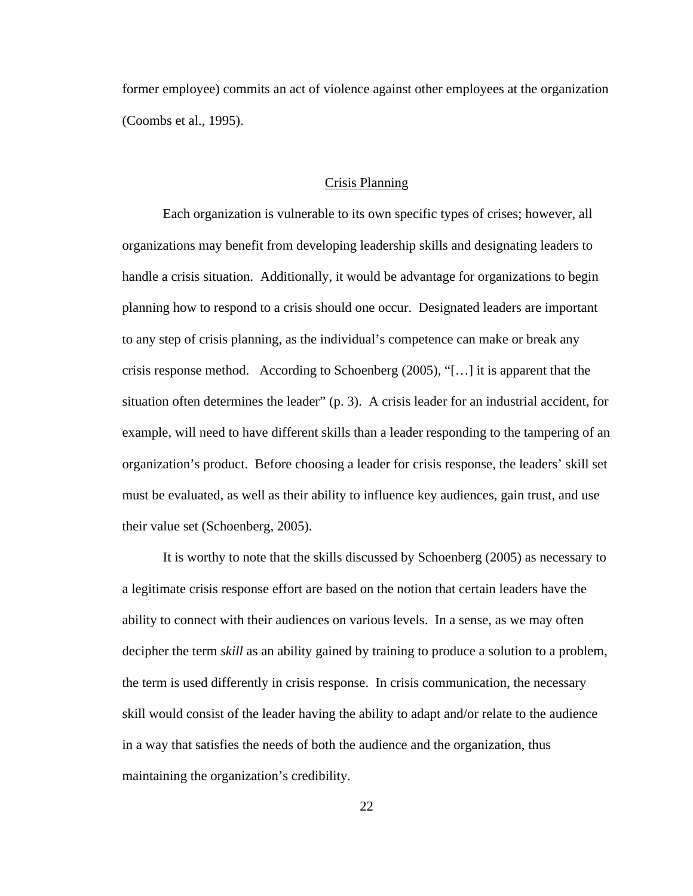former employee) commits an act of violence against other employees at the organization (Coombs et al., 1995).

#### Crisis Planning

Each organization is vulnerable to its own specific types of crises; however, all organizations may benefit from developing leadership skills and designating leaders to handle a crisis situation. Additionally, it would be advantage for organizations to begin planning how to respond to a crisis should one occur. Designated leaders are important to any step of crisis planning, as the individual's competence can make or break any crisis response method. According to Schoenberg  $(2005)$ , "[...] it is apparent that the situation often determines the leader" (p. 3). A crisis leader for an industrial accident, for example, will need to have different skills than a leader responding to the tampering of an organization's product. Before choosing a leader for crisis response, the leaders' skill set must be evaluated, as well as their ability to influence key audiences, gain trust, and use their value set (Schoenberg, 2005).

It is worthy to note that the skills discussed by Schoenberg (2005) as necessary to a legitimate crisis response effort are based on the notion that certain leaders have the ability to connect with their audiences on various levels. In a sense, as we may often decipher the term *skill* as an ability gained by training to produce a solution to a problem, the term is used differently in crisis response. In crisis communication, the necessary skill would consist of the leader having the ability to adapt and/or relate to the audience in a way that satisfies the needs of both the audience and the organization, thus maintaining the organization's credibility.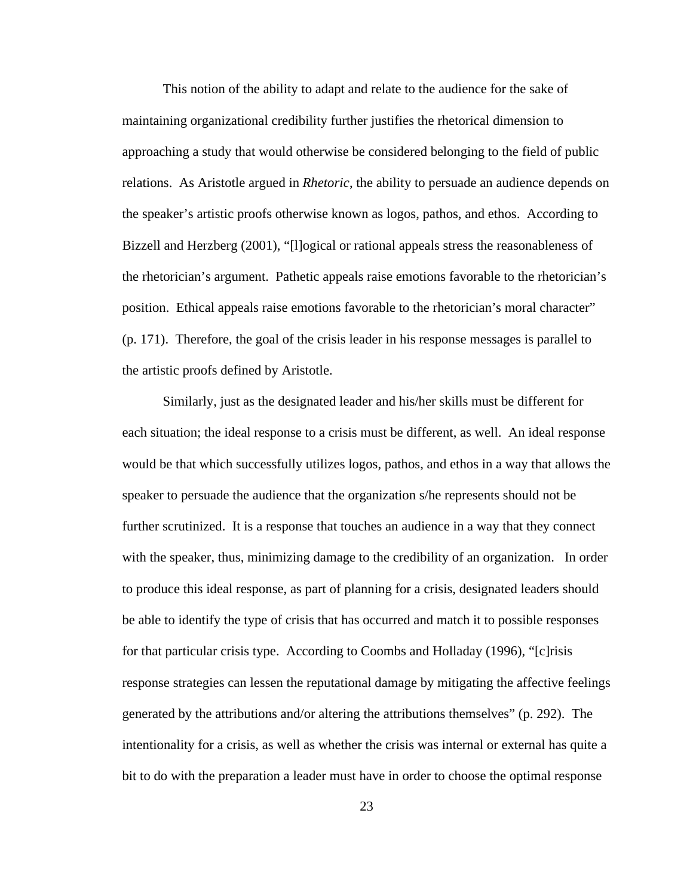This notion of the ability to adapt and relate to the audience for the sake of maintaining organizational credibility further justifies the rhetorical dimension to approaching a study that would otherwise be considered belonging to the field of public relations. As Aristotle argued in *Rhetoric*, the ability to persuade an audience depends on the speaker's artistic proofs otherwise known as logos, pathos, and ethos. According to Bizzell and Herzberg (2001), "[l]ogical or rational appeals stress the reasonableness of the rhetorician's argument. Pathetic appeals raise emotions favorable to the rhetorician's position. Ethical appeals raise emotions favorable to the rhetorician's moral character" (p. 171). Therefore, the goal of the crisis leader in his response messages is parallel to the artistic proofs defined by Aristotle.

Similarly, just as the designated leader and his/her skills must be different for each situation; the ideal response to a crisis must be different, as well. An ideal response would be that which successfully utilizes logos, pathos, and ethos in a way that allows the speaker to persuade the audience that the organization s/he represents should not be further scrutinized. It is a response that touches an audience in a way that they connect with the speaker, thus, minimizing damage to the credibility of an organization. In order to produce this ideal response, as part of planning for a crisis, designated leaders should be able to identify the type of crisis that has occurred and match it to possible responses for that particular crisis type. According to Coombs and Holladay (1996), "[c]risis response strategies can lessen the reputational damage by mitigating the affective feelings generated by the attributions and/or altering the attributions themselves" (p. 292). The intentionality for a crisis, as well as whether the crisis was internal or external has quite a bit to do with the preparation a leader must have in order to choose the optimal response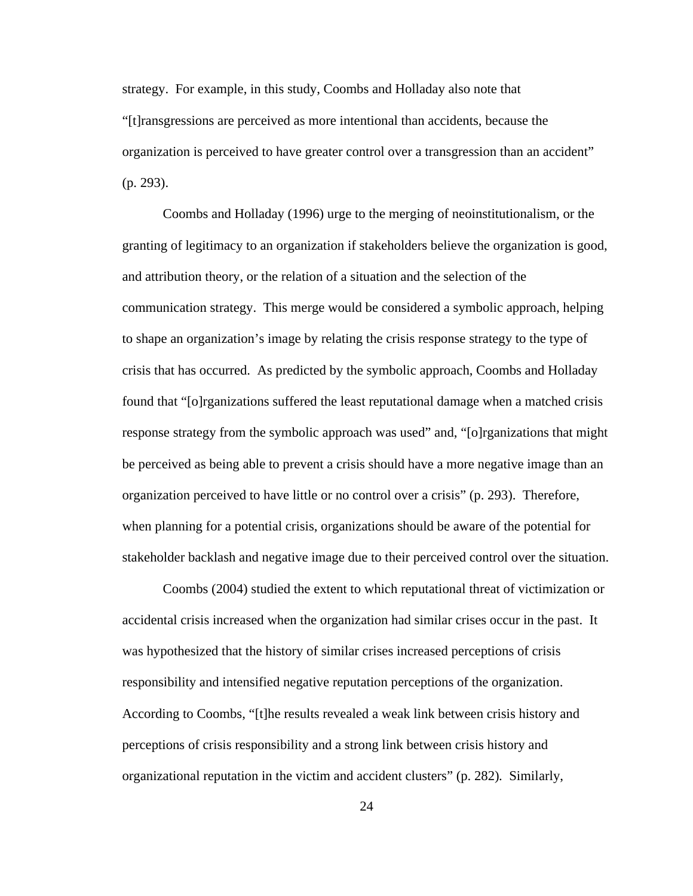strategy. For example, in this study, Coombs and Holladay also note that "[t]ransgressions are perceived as more intentional than accidents, because the organization is perceived to have greater control over a transgression than an accident" (p. 293).

Coombs and Holladay (1996) urge to the merging of neoinstitutionalism, or the granting of legitimacy to an organization if stakeholders believe the organization is good, and attribution theory, or the relation of a situation and the selection of the communication strategy. This merge would be considered a symbolic approach, helping to shape an organization's image by relating the crisis response strategy to the type of crisis that has occurred. As predicted by the symbolic approach, Coombs and Holladay found that "[o]rganizations suffered the least reputational damage when a matched crisis response strategy from the symbolic approach was used" and, "[o]rganizations that might be perceived as being able to prevent a crisis should have a more negative image than an organization perceived to have little or no control over a crisis" (p. 293). Therefore, when planning for a potential crisis, organizations should be aware of the potential for stakeholder backlash and negative image due to their perceived control over the situation.

Coombs (2004) studied the extent to which reputational threat of victimization or accidental crisis increased when the organization had similar crises occur in the past. It was hypothesized that the history of similar crises increased perceptions of crisis responsibility and intensified negative reputation perceptions of the organization. According to Coombs, "[t]he results revealed a weak link between crisis history and perceptions of crisis responsibility and a strong link between crisis history and organizational reputation in the victim and accident clusters" (p. 282). Similarly,

24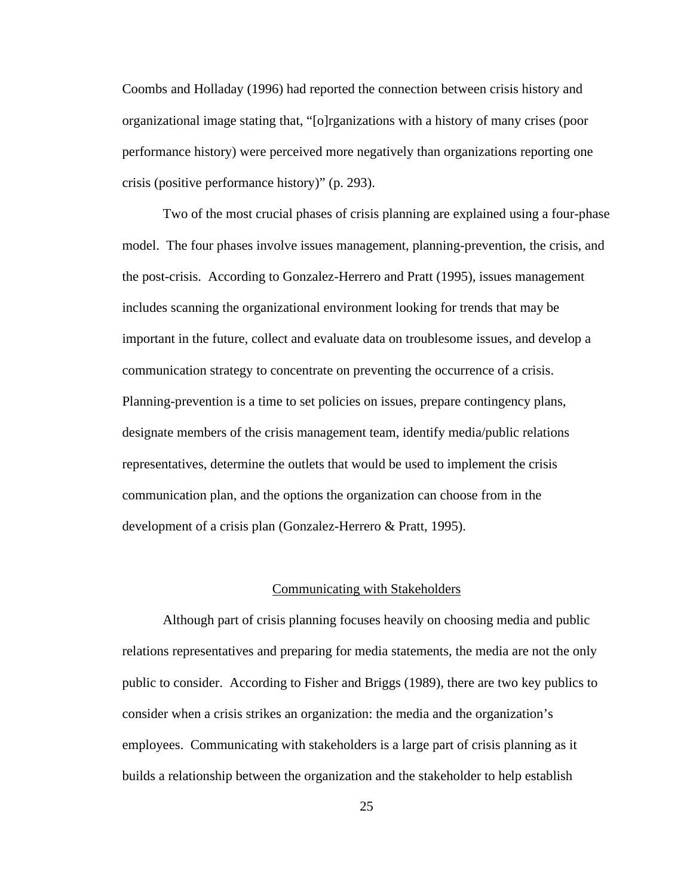Coombs and Holladay (1996) had reported the connection between crisis history and organizational image stating that, "[o]rganizations with a history of many crises (poor performance history) were perceived more negatively than organizations reporting one crisis (positive performance history)" (p. 293).

Two of the most crucial phases of crisis planning are explained using a four-phase model. The four phases involve issues management, planning-prevention, the crisis, and the post-crisis. According to Gonzalez-Herrero and Pratt (1995), issues management includes scanning the organizational environment looking for trends that may be important in the future, collect and evaluate data on troublesome issues, and develop a communication strategy to concentrate on preventing the occurrence of a crisis. Planning-prevention is a time to set policies on issues, prepare contingency plans, designate members of the crisis management team, identify media/public relations representatives, determine the outlets that would be used to implement the crisis communication plan, and the options the organization can choose from in the development of a crisis plan (Gonzalez-Herrero & Pratt, 1995).

#### Communicating with Stakeholders

Although part of crisis planning focuses heavily on choosing media and public relations representatives and preparing for media statements, the media are not the only public to consider. According to Fisher and Briggs (1989), there are two key publics to consider when a crisis strikes an organization: the media and the organization's employees. Communicating with stakeholders is a large part of crisis planning as it builds a relationship between the organization and the stakeholder to help establish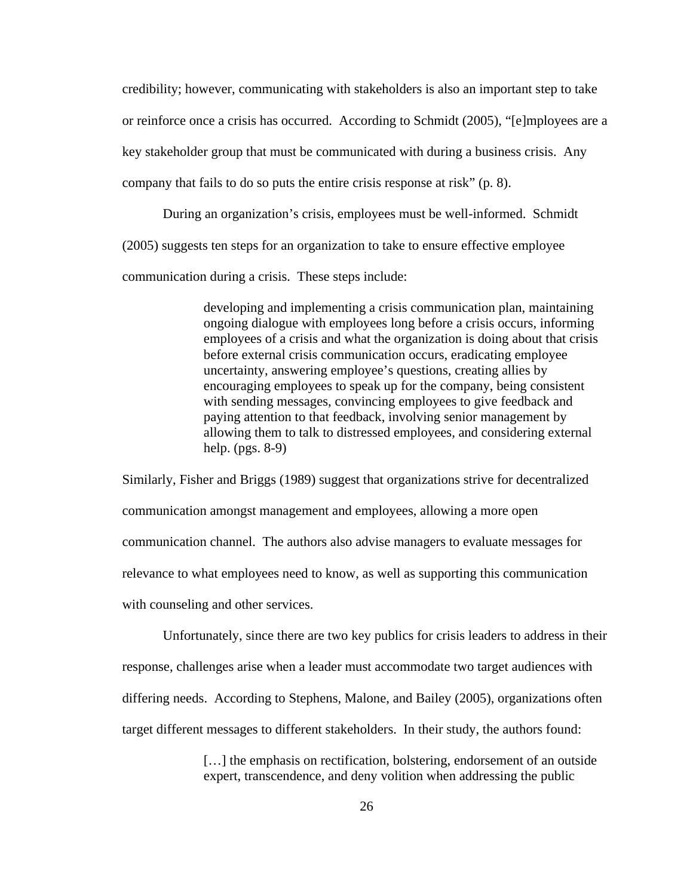credibility; however, communicating with stakeholders is also an important step to take or reinforce once a crisis has occurred. According to Schmidt (2005), "[e]mployees are a key stakeholder group that must be communicated with during a business crisis. Any company that fails to do so puts the entire crisis response at risk" (p. 8).

During an organization's crisis, employees must be well-informed. Schmidt (2005) suggests ten steps for an organization to take to ensure effective employee communication during a crisis. These steps include:

> developing and implementing a crisis communication plan, maintaining ongoing dialogue with employees long before a crisis occurs, informing employees of a crisis and what the organization is doing about that crisis before external crisis communication occurs, eradicating employee uncertainty, answering employee's questions, creating allies by encouraging employees to speak up for the company, being consistent with sending messages, convincing employees to give feedback and paying attention to that feedback, involving senior management by allowing them to talk to distressed employees, and considering external help. (pgs. 8-9)

Similarly, Fisher and Briggs (1989) suggest that organizations strive for decentralized communication amongst management and employees, allowing a more open communication channel. The authors also advise managers to evaluate messages for relevance to what employees need to know, as well as supporting this communication with counseling and other services.

Unfortunately, since there are two key publics for crisis leaders to address in their response, challenges arise when a leader must accommodate two target audiences with differing needs. According to Stephens, Malone, and Bailey (2005), organizations often target different messages to different stakeholders. In their study, the authors found:

> […] the emphasis on rectification, bolstering, endorsement of an outside expert, transcendence, and deny volition when addressing the public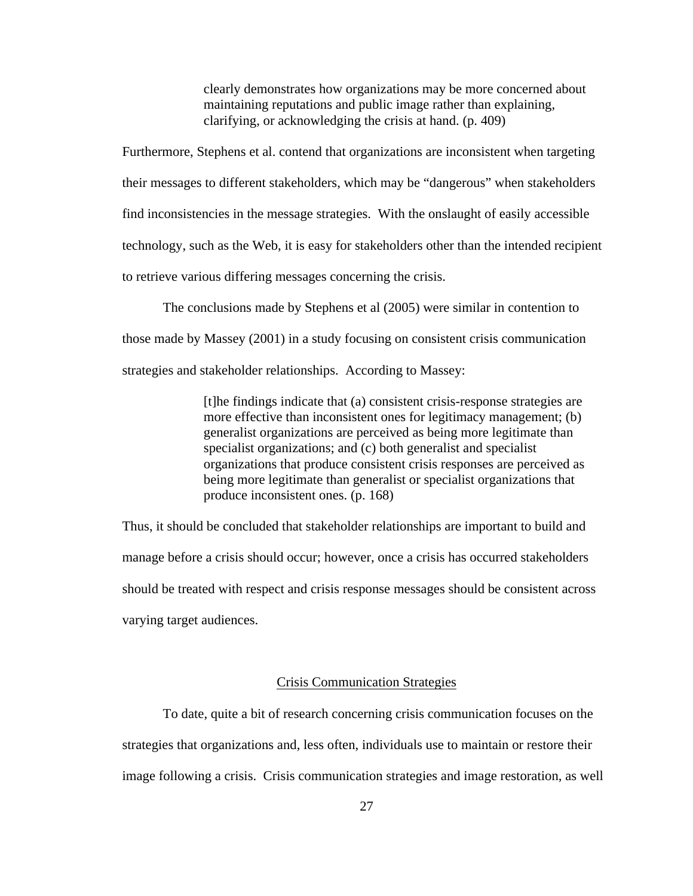clearly demonstrates how organizations may be more concerned about maintaining reputations and public image rather than explaining, clarifying, or acknowledging the crisis at hand. (p. 409)

Furthermore, Stephens et al. contend that organizations are inconsistent when targeting their messages to different stakeholders, which may be "dangerous" when stakeholders find inconsistencies in the message strategies. With the onslaught of easily accessible technology, such as the Web, it is easy for stakeholders other than the intended recipient to retrieve various differing messages concerning the crisis.

The conclusions made by Stephens et al (2005) were similar in contention to those made by Massey (2001) in a study focusing on consistent crisis communication strategies and stakeholder relationships. According to Massey:

> [t]he findings indicate that (a) consistent crisis-response strategies are more effective than inconsistent ones for legitimacy management; (b) generalist organizations are perceived as being more legitimate than specialist organizations; and (c) both generalist and specialist organizations that produce consistent crisis responses are perceived as being more legitimate than generalist or specialist organizations that produce inconsistent ones. (p. 168)

Thus, it should be concluded that stakeholder relationships are important to build and manage before a crisis should occur; however, once a crisis has occurred stakeholders should be treated with respect and crisis response messages should be consistent across varying target audiences.

### Crisis Communication Strategies

To date, quite a bit of research concerning crisis communication focuses on the strategies that organizations and, less often, individuals use to maintain or restore their image following a crisis. Crisis communication strategies and image restoration, as well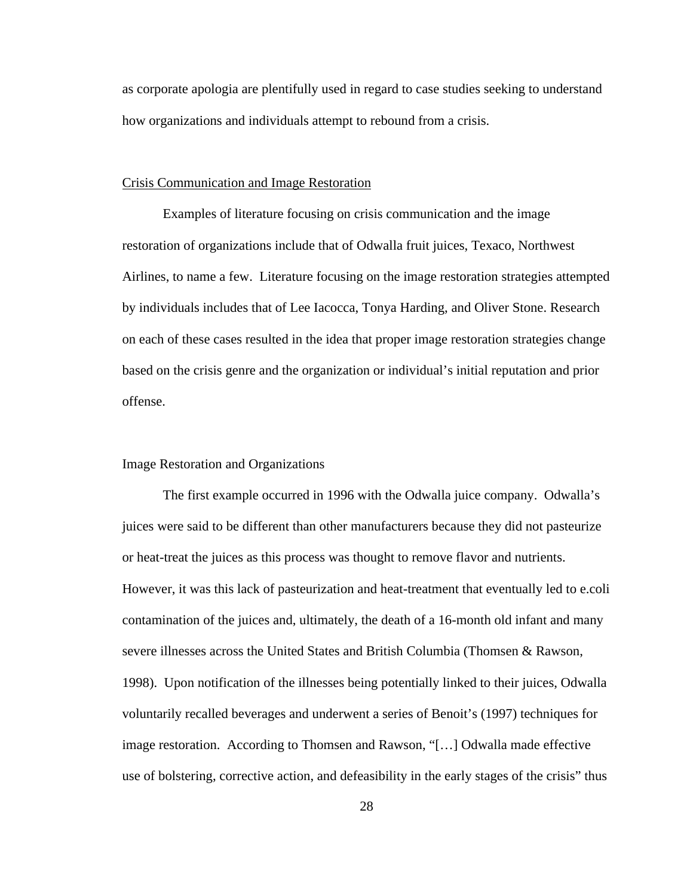as corporate apologia are plentifully used in regard to case studies seeking to understand how organizations and individuals attempt to rebound from a crisis.

## Crisis Communication and Image Restoration

Examples of literature focusing on crisis communication and the image restoration of organizations include that of Odwalla fruit juices, Texaco, Northwest Airlines, to name a few. Literature focusing on the image restoration strategies attempted by individuals includes that of Lee Iacocca, Tonya Harding, and Oliver Stone. Research on each of these cases resulted in the idea that proper image restoration strategies change based on the crisis genre and the organization or individual's initial reputation and prior offense.

#### Image Restoration and Organizations

The first example occurred in 1996 with the Odwalla juice company. Odwalla's juices were said to be different than other manufacturers because they did not pasteurize or heat-treat the juices as this process was thought to remove flavor and nutrients. However, it was this lack of pasteurization and heat-treatment that eventually led to e.coli contamination of the juices and, ultimately, the death of a 16-month old infant and many severe illnesses across the United States and British Columbia (Thomsen & Rawson, 1998). Upon notification of the illnesses being potentially linked to their juices, Odwalla voluntarily recalled beverages and underwent a series of Benoit's (1997) techniques for image restoration. According to Thomsen and Rawson, "[…] Odwalla made effective use of bolstering, corrective action, and defeasibility in the early stages of the crisis" thus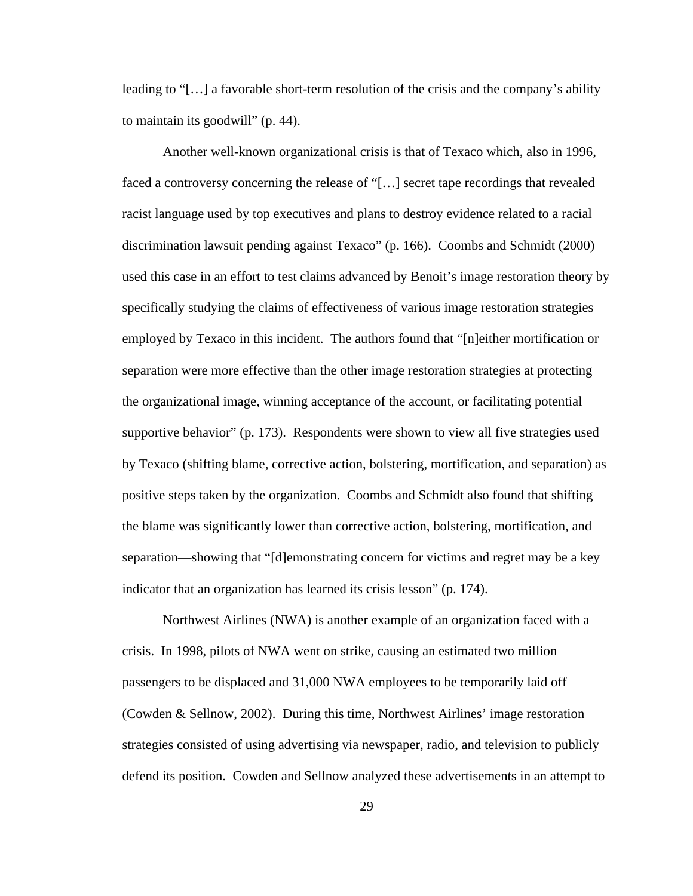leading to "[…] a favorable short-term resolution of the crisis and the company's ability to maintain its goodwill" (p. 44).

Another well-known organizational crisis is that of Texaco which, also in 1996, faced a controversy concerning the release of "[…] secret tape recordings that revealed racist language used by top executives and plans to destroy evidence related to a racial discrimination lawsuit pending against Texaco" (p. 166). Coombs and Schmidt (2000) used this case in an effort to test claims advanced by Benoit's image restoration theory by specifically studying the claims of effectiveness of various image restoration strategies employed by Texaco in this incident. The authors found that "[n]either mortification or separation were more effective than the other image restoration strategies at protecting the organizational image, winning acceptance of the account, or facilitating potential supportive behavior" (p. 173). Respondents were shown to view all five strategies used by Texaco (shifting blame, corrective action, bolstering, mortification, and separation) as positive steps taken by the organization. Coombs and Schmidt also found that shifting the blame was significantly lower than corrective action, bolstering, mortification, and separation—showing that "[d]emonstrating concern for victims and regret may be a key indicator that an organization has learned its crisis lesson" (p. 174).

Northwest Airlines (NWA) is another example of an organization faced with a crisis. In 1998, pilots of NWA went on strike, causing an estimated two million passengers to be displaced and 31,000 NWA employees to be temporarily laid off (Cowden & Sellnow, 2002). During this time, Northwest Airlines' image restoration strategies consisted of using advertising via newspaper, radio, and television to publicly defend its position. Cowden and Sellnow analyzed these advertisements in an attempt to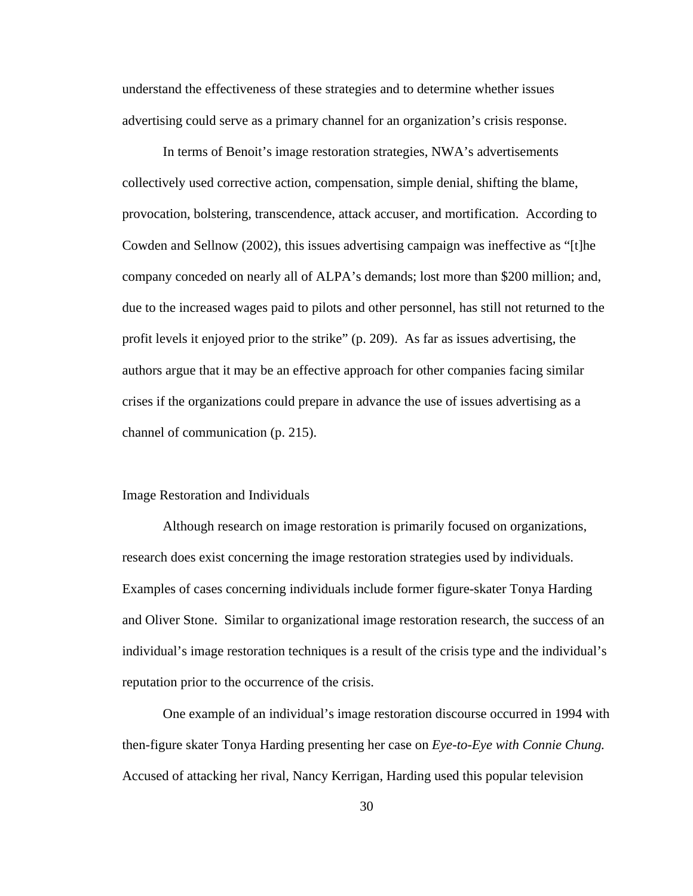understand the effectiveness of these strategies and to determine whether issues advertising could serve as a primary channel for an organization's crisis response.

In terms of Benoit's image restoration strategies, NWA's advertisements collectively used corrective action, compensation, simple denial, shifting the blame, provocation, bolstering, transcendence, attack accuser, and mortification. According to Cowden and Sellnow (2002), this issues advertising campaign was ineffective as "[t]he company conceded on nearly all of ALPA's demands; lost more than \$200 million; and, due to the increased wages paid to pilots and other personnel, has still not returned to the profit levels it enjoyed prior to the strike" (p. 209). As far as issues advertising, the authors argue that it may be an effective approach for other companies facing similar crises if the organizations could prepare in advance the use of issues advertising as a channel of communication (p. 215).

#### Image Restoration and Individuals

Although research on image restoration is primarily focused on organizations, research does exist concerning the image restoration strategies used by individuals. Examples of cases concerning individuals include former figure-skater Tonya Harding and Oliver Stone. Similar to organizational image restoration research, the success of an individual's image restoration techniques is a result of the crisis type and the individual's reputation prior to the occurrence of the crisis.

One example of an individual's image restoration discourse occurred in 1994 with then-figure skater Tonya Harding presenting her case on *Eye-to-Eye with Connie Chung.* Accused of attacking her rival, Nancy Kerrigan, Harding used this popular television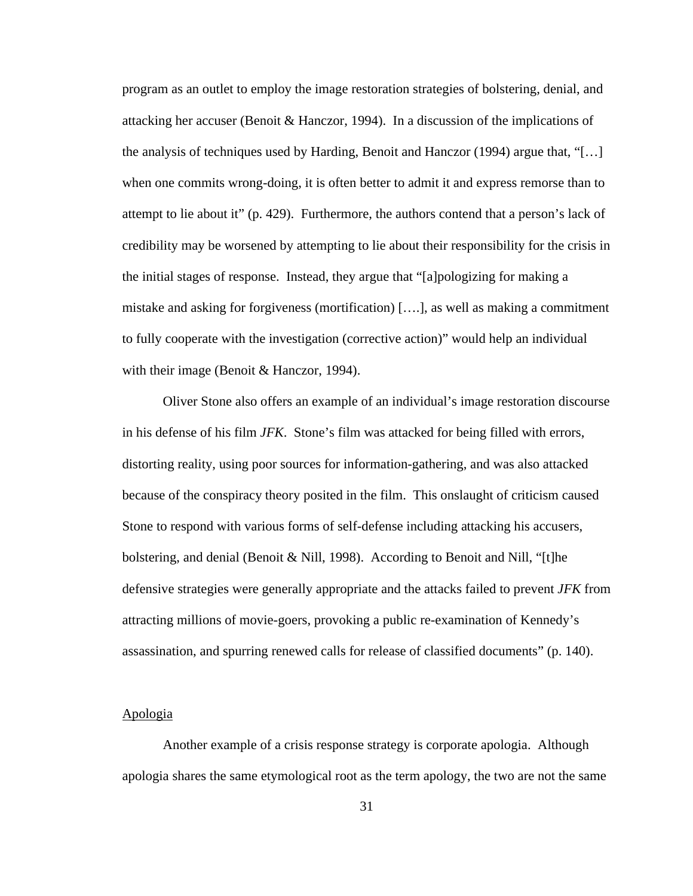program as an outlet to employ the image restoration strategies of bolstering, denial, and attacking her accuser (Benoit & Hanczor, 1994). In a discussion of the implications of the analysis of techniques used by Harding, Benoit and Hanczor (1994) argue that, "[…] when one commits wrong-doing, it is often better to admit it and express remorse than to attempt to lie about it" (p. 429). Furthermore, the authors contend that a person's lack of credibility may be worsened by attempting to lie about their responsibility for the crisis in the initial stages of response. Instead, they argue that "[a]pologizing for making a mistake and asking for forgiveness (mortification) [….], as well as making a commitment to fully cooperate with the investigation (corrective action)" would help an individual with their image (Benoit & Hanczor, 1994).

Oliver Stone also offers an example of an individual's image restoration discourse in his defense of his film *JFK*. Stone's film was attacked for being filled with errors, distorting reality, using poor sources for information-gathering, and was also attacked because of the conspiracy theory posited in the film. This onslaught of criticism caused Stone to respond with various forms of self-defense including attacking his accusers, bolstering, and denial (Benoit & Nill, 1998). According to Benoit and Nill, "[t]he defensive strategies were generally appropriate and the attacks failed to prevent *JFK* from attracting millions of movie-goers, provoking a public re-examination of Kennedy's assassination, and spurring renewed calls for release of classified documents" (p. 140).

### Apologia

Another example of a crisis response strategy is corporate apologia. Although apologia shares the same etymological root as the term apology, the two are not the same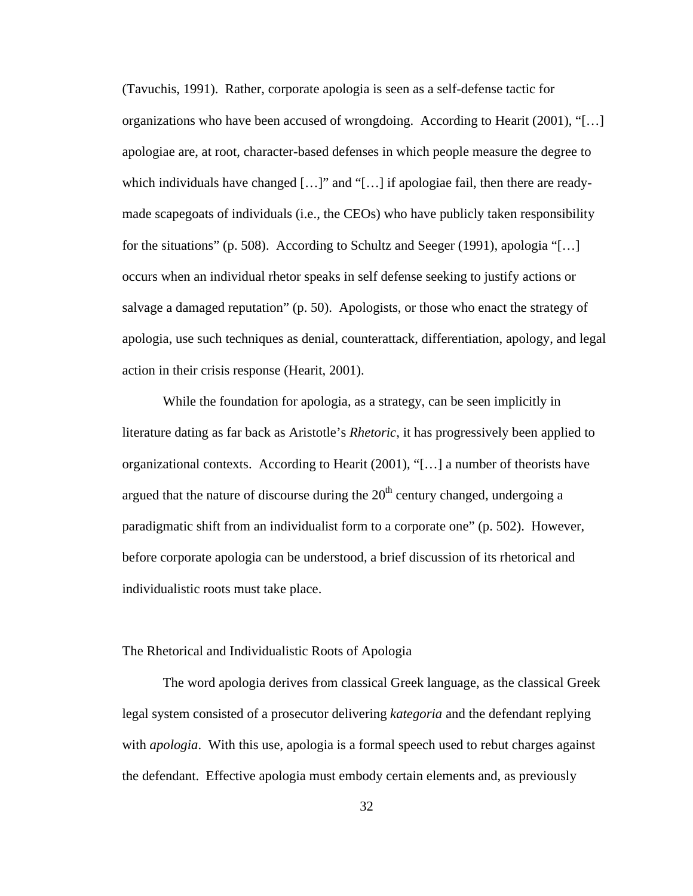(Tavuchis, 1991). Rather, corporate apologia is seen as a self-defense tactic for organizations who have been accused of wrongdoing. According to Hearit (2001), "[…] apologiae are, at root, character-based defenses in which people measure the degree to which individuals have changed  $[\dots]$ " and "[ $\dots$ ] if apologiae fail, then there are readymade scapegoats of individuals (i.e., the CEOs) who have publicly taken responsibility for the situations" (p. 508). According to Schultz and Seeger (1991), apologia "[…] occurs when an individual rhetor speaks in self defense seeking to justify actions or salvage a damaged reputation" (p. 50). Apologists, or those who enact the strategy of apologia, use such techniques as denial, counterattack, differentiation, apology, and legal action in their crisis response (Hearit, 2001).

While the foundation for apologia, as a strategy, can be seen implicitly in literature dating as far back as Aristotle's *Rhetoric*, it has progressively been applied to organizational contexts. According to Hearit (2001), "[…] a number of theorists have argued that the nature of discourse during the  $20<sup>th</sup>$  century changed, undergoing a paradigmatic shift from an individualist form to a corporate one" (p. 502). However, before corporate apologia can be understood, a brief discussion of its rhetorical and individualistic roots must take place.

### The Rhetorical and Individualistic Roots of Apologia

The word apologia derives from classical Greek language, as the classical Greek legal system consisted of a prosecutor delivering *kategoria* and the defendant replying with *apologia*. With this use, apologia is a formal speech used to rebut charges against the defendant. Effective apologia must embody certain elements and, as previously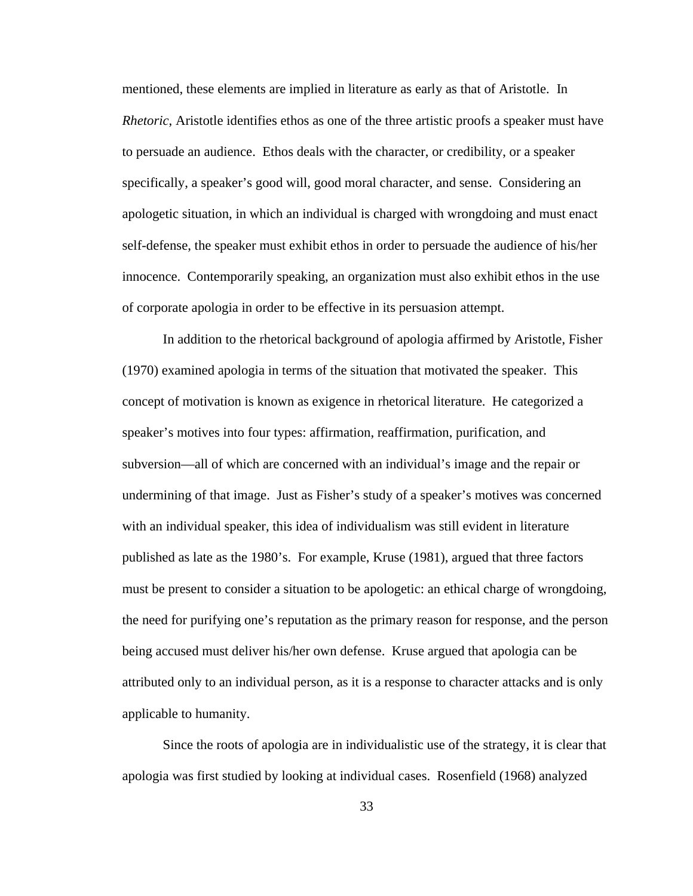mentioned, these elements are implied in literature as early as that of Aristotle. In *Rhetoric*, Aristotle identifies ethos as one of the three artistic proofs a speaker must have to persuade an audience. Ethos deals with the character, or credibility, or a speaker specifically, a speaker's good will, good moral character, and sense. Considering an apologetic situation, in which an individual is charged with wrongdoing and must enact self-defense, the speaker must exhibit ethos in order to persuade the audience of his/her innocence. Contemporarily speaking, an organization must also exhibit ethos in the use of corporate apologia in order to be effective in its persuasion attempt.

In addition to the rhetorical background of apologia affirmed by Aristotle, Fisher (1970) examined apologia in terms of the situation that motivated the speaker. This concept of motivation is known as exigence in rhetorical literature. He categorized a speaker's motives into four types: affirmation, reaffirmation, purification, and subversion—all of which are concerned with an individual's image and the repair or undermining of that image. Just as Fisher's study of a speaker's motives was concerned with an individual speaker, this idea of individualism was still evident in literature published as late as the 1980's. For example, Kruse (1981), argued that three factors must be present to consider a situation to be apologetic: an ethical charge of wrongdoing, the need for purifying one's reputation as the primary reason for response, and the person being accused must deliver his/her own defense. Kruse argued that apologia can be attributed only to an individual person, as it is a response to character attacks and is only applicable to humanity.

Since the roots of apologia are in individualistic use of the strategy, it is clear that apologia was first studied by looking at individual cases. Rosenfield (1968) analyzed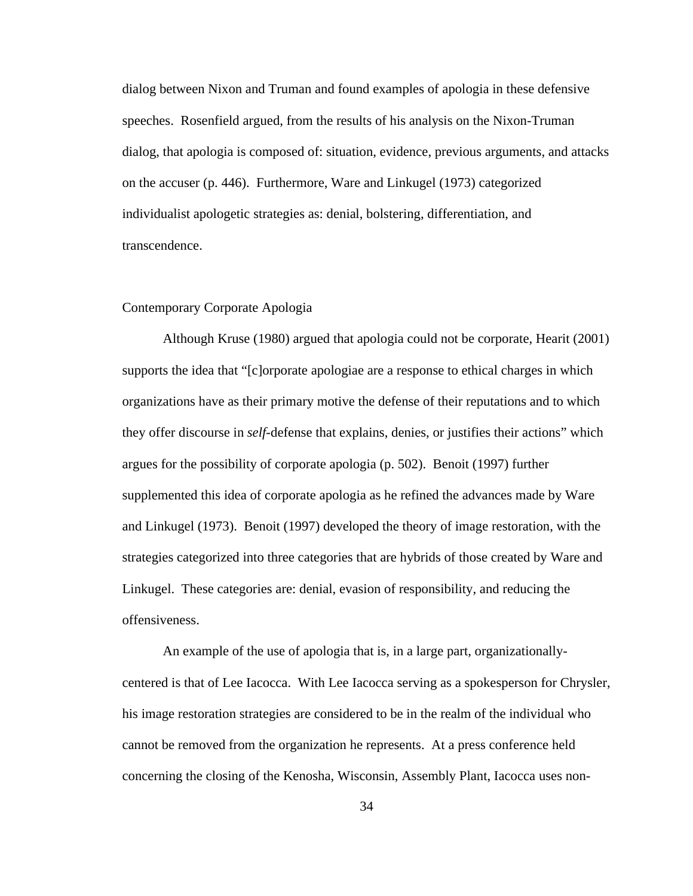dialog between Nixon and Truman and found examples of apologia in these defensive speeches. Rosenfield argued, from the results of his analysis on the Nixon-Truman dialog, that apologia is composed of: situation, evidence, previous arguments, and attacks on the accuser (p. 446). Furthermore, Ware and Linkugel (1973) categorized individualist apologetic strategies as: denial, bolstering, differentiation, and transcendence.

### Contemporary Corporate Apologia

Although Kruse (1980) argued that apologia could not be corporate, Hearit (2001) supports the idea that "[c]orporate apologiae are a response to ethical charges in which organizations have as their primary motive the defense of their reputations and to which they offer discourse in *self-*defense that explains, denies, or justifies their actions" which argues for the possibility of corporate apologia (p. 502). Benoit (1997) further supplemented this idea of corporate apologia as he refined the advances made by Ware and Linkugel (1973). Benoit (1997) developed the theory of image restoration, with the strategies categorized into three categories that are hybrids of those created by Ware and Linkugel. These categories are: denial, evasion of responsibility, and reducing the offensiveness.

An example of the use of apologia that is, in a large part, organizationallycentered is that of Lee Iacocca. With Lee Iacocca serving as a spokesperson for Chrysler, his image restoration strategies are considered to be in the realm of the individual who cannot be removed from the organization he represents. At a press conference held concerning the closing of the Kenosha, Wisconsin, Assembly Plant, Iacocca uses non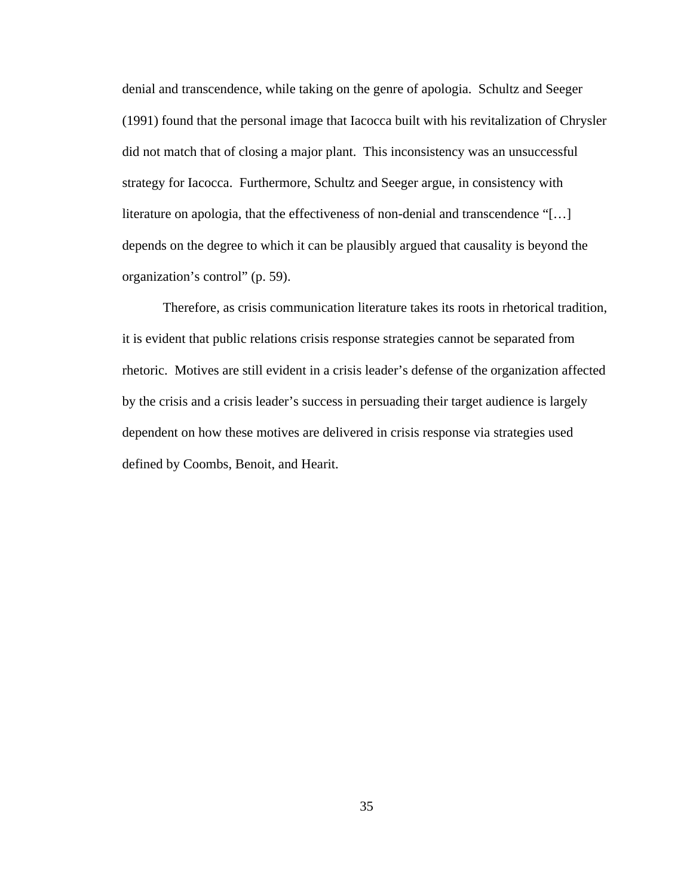denial and transcendence, while taking on the genre of apologia. Schultz and Seeger (1991) found that the personal image that Iacocca built with his revitalization of Chrysler did not match that of closing a major plant. This inconsistency was an unsuccessful strategy for Iacocca. Furthermore, Schultz and Seeger argue, in consistency with literature on apologia, that the effectiveness of non-denial and transcendence "[…] depends on the degree to which it can be plausibly argued that causality is beyond the organization's control" (p. 59).

Therefore, as crisis communication literature takes its roots in rhetorical tradition, it is evident that public relations crisis response strategies cannot be separated from rhetoric. Motives are still evident in a crisis leader's defense of the organization affected by the crisis and a crisis leader's success in persuading their target audience is largely dependent on how these motives are delivered in crisis response via strategies used defined by Coombs, Benoit, and Hearit.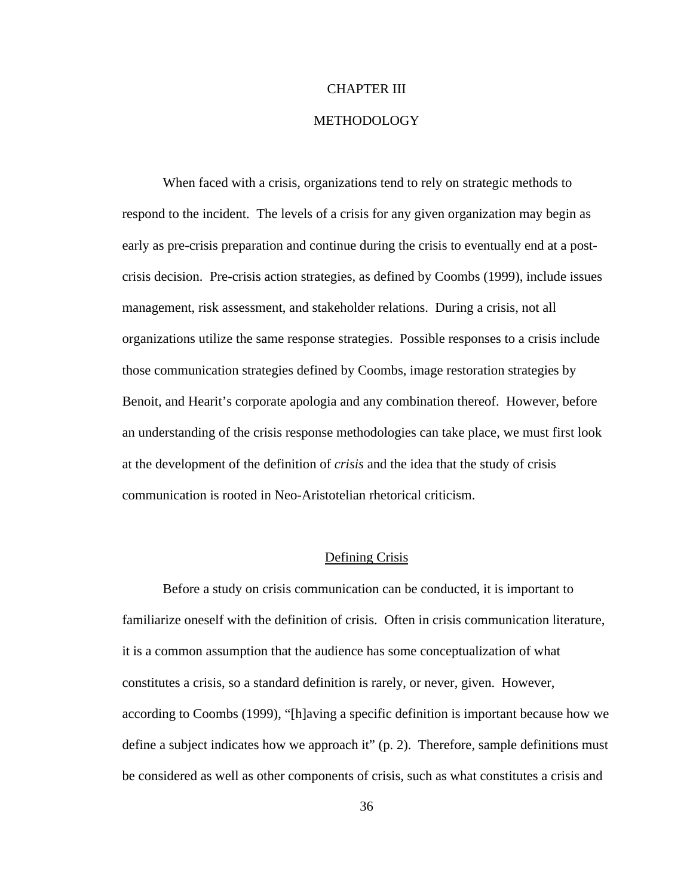## CHAPTER III

# METHODOLOGY

When faced with a crisis, organizations tend to rely on strategic methods to respond to the incident. The levels of a crisis for any given organization may begin as early as pre-crisis preparation and continue during the crisis to eventually end at a postcrisis decision. Pre-crisis action strategies, as defined by Coombs (1999), include issues management, risk assessment, and stakeholder relations. During a crisis, not all organizations utilize the same response strategies. Possible responses to a crisis include those communication strategies defined by Coombs, image restoration strategies by Benoit, and Hearit's corporate apologia and any combination thereof. However, before an understanding of the crisis response methodologies can take place, we must first look at the development of the definition of *crisis* and the idea that the study of crisis communication is rooted in Neo-Aristotelian rhetorical criticism.

## Defining Crisis

Before a study on crisis communication can be conducted, it is important to familiarize oneself with the definition of crisis. Often in crisis communication literature, it is a common assumption that the audience has some conceptualization of what constitutes a crisis, so a standard definition is rarely, or never, given. However, according to Coombs (1999), "[h]aving a specific definition is important because how we define a subject indicates how we approach it" (p. 2). Therefore, sample definitions must be considered as well as other components of crisis, such as what constitutes a crisis and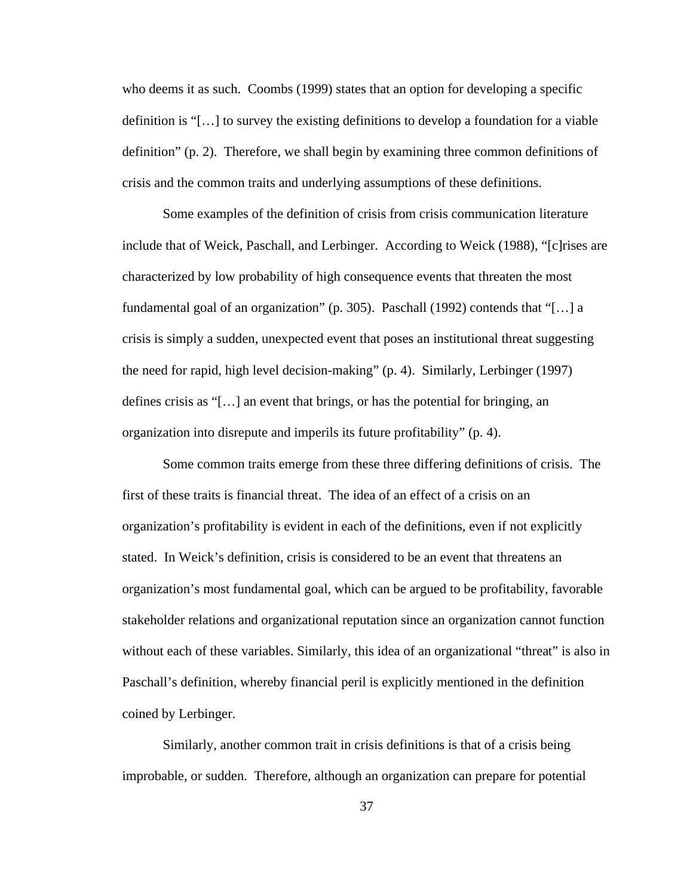who deems it as such. Coombs (1999) states that an option for developing a specific definition is "[…] to survey the existing definitions to develop a foundation for a viable definition" (p. 2). Therefore, we shall begin by examining three common definitions of crisis and the common traits and underlying assumptions of these definitions.

Some examples of the definition of crisis from crisis communication literature include that of Weick, Paschall, and Lerbinger. According to Weick (1988), "[c]rises are characterized by low probability of high consequence events that threaten the most fundamental goal of an organization" (p. 305). Paschall (1992) contends that "[…] a crisis is simply a sudden, unexpected event that poses an institutional threat suggesting the need for rapid, high level decision-making" (p. 4). Similarly, Lerbinger (1997) defines crisis as "[…] an event that brings, or has the potential for bringing, an organization into disrepute and imperils its future profitability" (p. 4).

Some common traits emerge from these three differing definitions of crisis. The first of these traits is financial threat. The idea of an effect of a crisis on an organization's profitability is evident in each of the definitions, even if not explicitly stated. In Weick's definition, crisis is considered to be an event that threatens an organization's most fundamental goal, which can be argued to be profitability, favorable stakeholder relations and organizational reputation since an organization cannot function without each of these variables. Similarly, this idea of an organizational "threat" is also in Paschall's definition, whereby financial peril is explicitly mentioned in the definition coined by Lerbinger.

Similarly, another common trait in crisis definitions is that of a crisis being improbable, or sudden. Therefore, although an organization can prepare for potential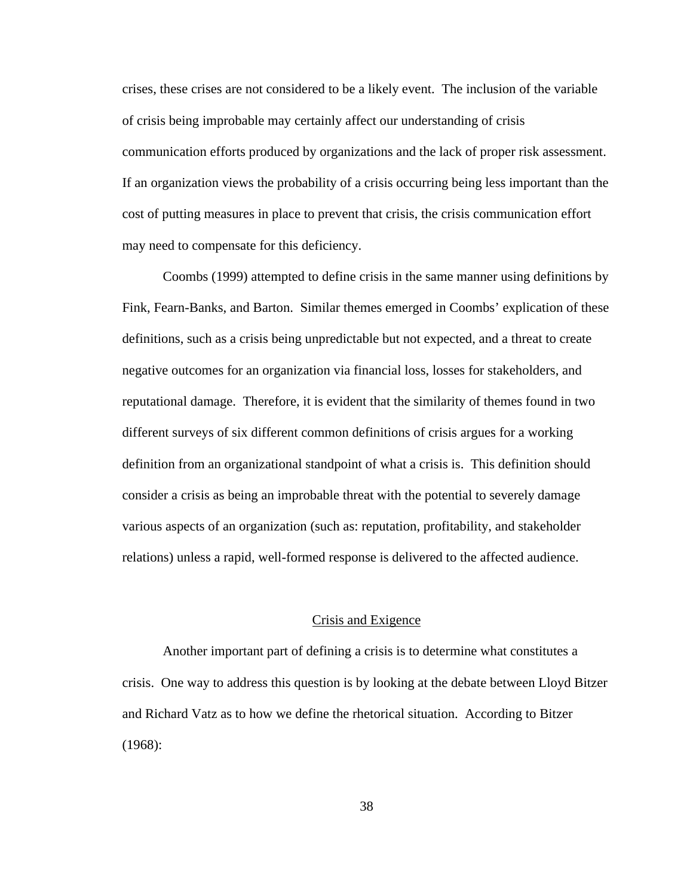crises, these crises are not considered to be a likely event. The inclusion of the variable of crisis being improbable may certainly affect our understanding of crisis communication efforts produced by organizations and the lack of proper risk assessment. If an organization views the probability of a crisis occurring being less important than the cost of putting measures in place to prevent that crisis, the crisis communication effort may need to compensate for this deficiency.

Coombs (1999) attempted to define crisis in the same manner using definitions by Fink, Fearn-Banks, and Barton. Similar themes emerged in Coombs' explication of these definitions, such as a crisis being unpredictable but not expected, and a threat to create negative outcomes for an organization via financial loss, losses for stakeholders, and reputational damage. Therefore, it is evident that the similarity of themes found in two different surveys of six different common definitions of crisis argues for a working definition from an organizational standpoint of what a crisis is. This definition should consider a crisis as being an improbable threat with the potential to severely damage various aspects of an organization (such as: reputation, profitability, and stakeholder relations) unless a rapid, well-formed response is delivered to the affected audience.

#### Crisis and Exigence

Another important part of defining a crisis is to determine what constitutes a crisis. One way to address this question is by looking at the debate between Lloyd Bitzer and Richard Vatz as to how we define the rhetorical situation. According to Bitzer (1968):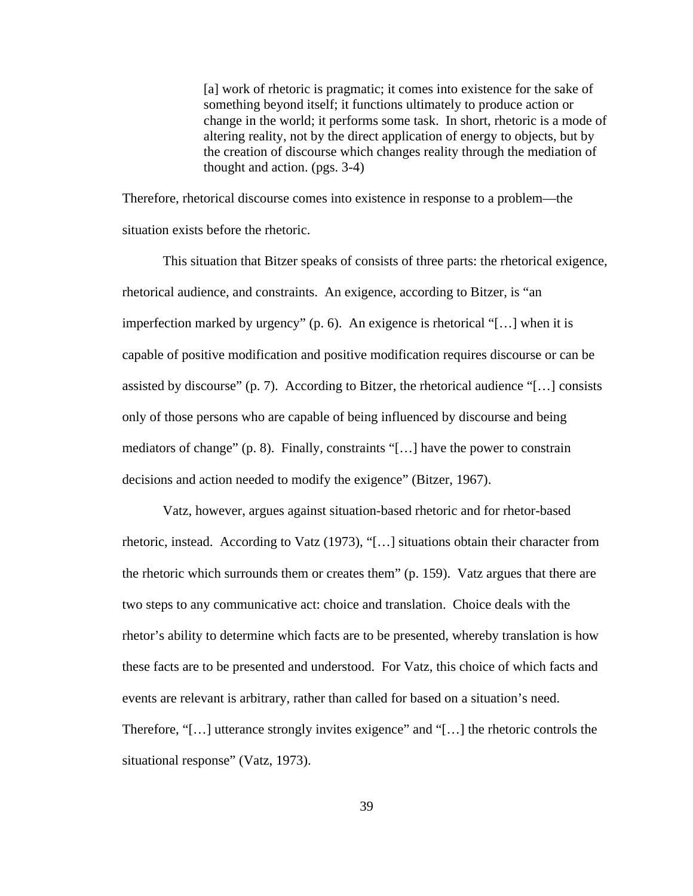[a] work of rhetoric is pragmatic; it comes into existence for the sake of something beyond itself; it functions ultimately to produce action or change in the world; it performs some task. In short, rhetoric is a mode of altering reality, not by the direct application of energy to objects, but by the creation of discourse which changes reality through the mediation of thought and action. (pgs. 3-4)

Therefore, rhetorical discourse comes into existence in response to a problem—the situation exists before the rhetoric.

This situation that Bitzer speaks of consists of three parts: the rhetorical exigence, rhetorical audience, and constraints. An exigence, according to Bitzer, is "an imperfection marked by urgency" (p. 6). An exigence is rhetorical "[…] when it is capable of positive modification and positive modification requires discourse or can be assisted by discourse" (p. 7). According to Bitzer, the rhetorical audience "[...] consists only of those persons who are capable of being influenced by discourse and being mediators of change" (p. 8). Finally, constraints "[…] have the power to constrain decisions and action needed to modify the exigence" (Bitzer, 1967).

Vatz, however, argues against situation-based rhetoric and for rhetor-based rhetoric, instead. According to Vatz (1973), "[…] situations obtain their character from the rhetoric which surrounds them or creates them" (p. 159). Vatz argues that there are two steps to any communicative act: choice and translation. Choice deals with the rhetor's ability to determine which facts are to be presented, whereby translation is how these facts are to be presented and understood. For Vatz, this choice of which facts and events are relevant is arbitrary, rather than called for based on a situation's need. Therefore, "[…] utterance strongly invites exigence" and "[…] the rhetoric controls the situational response" (Vatz, 1973).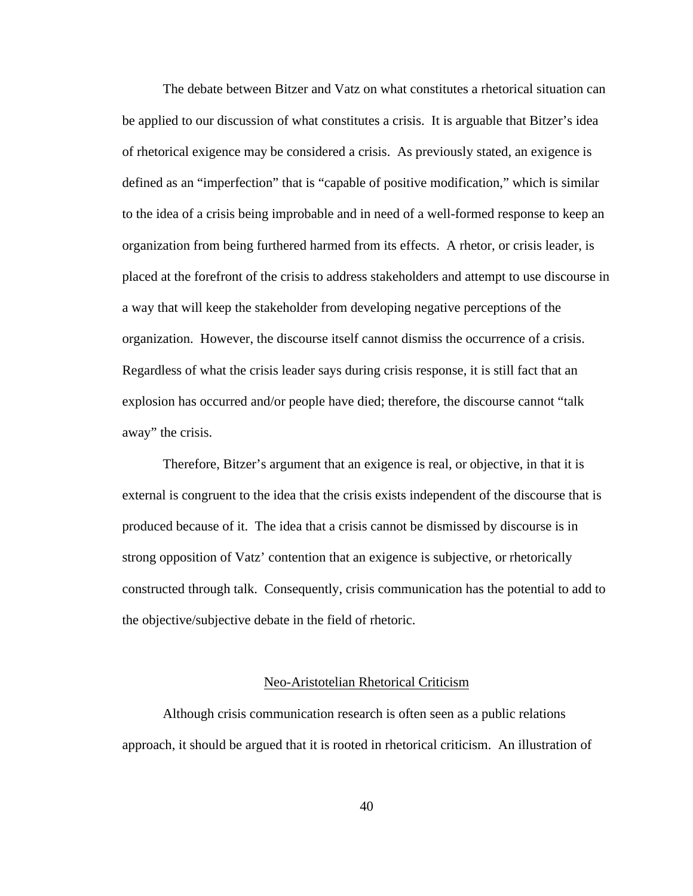The debate between Bitzer and Vatz on what constitutes a rhetorical situation can be applied to our discussion of what constitutes a crisis. It is arguable that Bitzer's idea of rhetorical exigence may be considered a crisis. As previously stated, an exigence is defined as an "imperfection" that is "capable of positive modification," which is similar to the idea of a crisis being improbable and in need of a well-formed response to keep an organization from being furthered harmed from its effects. A rhetor, or crisis leader, is placed at the forefront of the crisis to address stakeholders and attempt to use discourse in a way that will keep the stakeholder from developing negative perceptions of the organization. However, the discourse itself cannot dismiss the occurrence of a crisis. Regardless of what the crisis leader says during crisis response, it is still fact that an explosion has occurred and/or people have died; therefore, the discourse cannot "talk away" the crisis.

Therefore, Bitzer's argument that an exigence is real, or objective, in that it is external is congruent to the idea that the crisis exists independent of the discourse that is produced because of it. The idea that a crisis cannot be dismissed by discourse is in strong opposition of Vatz' contention that an exigence is subjective, or rhetorically constructed through talk. Consequently, crisis communication has the potential to add to the objective/subjective debate in the field of rhetoric.

#### Neo-Aristotelian Rhetorical Criticism

Although crisis communication research is often seen as a public relations approach, it should be argued that it is rooted in rhetorical criticism. An illustration of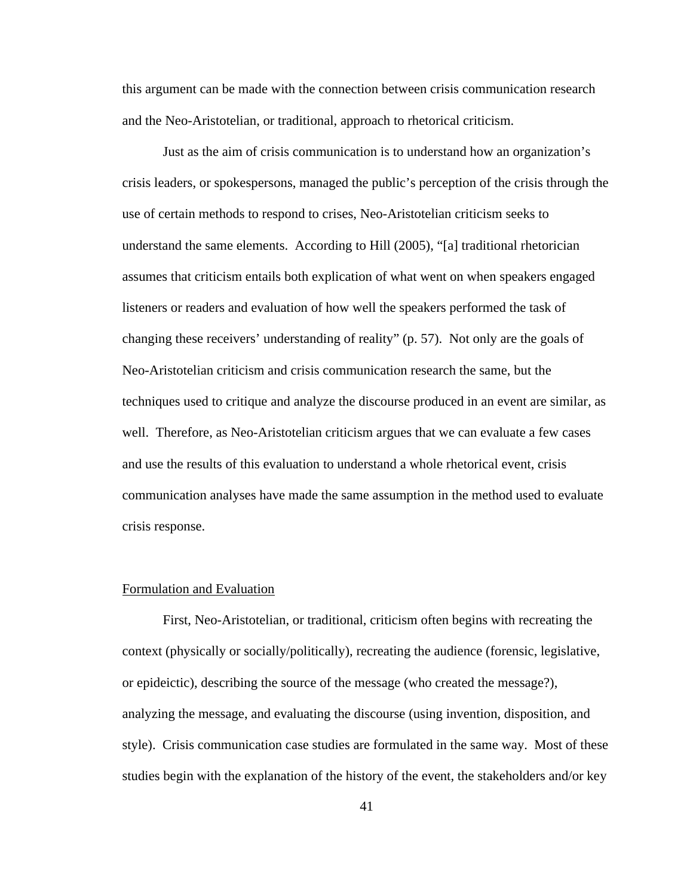this argument can be made with the connection between crisis communication research and the Neo-Aristotelian, or traditional, approach to rhetorical criticism.

Just as the aim of crisis communication is to understand how an organization's crisis leaders, or spokespersons, managed the public's perception of the crisis through the use of certain methods to respond to crises, Neo-Aristotelian criticism seeks to understand the same elements. According to Hill (2005), "[a] traditional rhetorician assumes that criticism entails both explication of what went on when speakers engaged listeners or readers and evaluation of how well the speakers performed the task of changing these receivers' understanding of reality" (p. 57). Not only are the goals of Neo-Aristotelian criticism and crisis communication research the same, but the techniques used to critique and analyze the discourse produced in an event are similar, as well. Therefore, as Neo-Aristotelian criticism argues that we can evaluate a few cases and use the results of this evaluation to understand a whole rhetorical event, crisis communication analyses have made the same assumption in the method used to evaluate crisis response.

#### Formulation and Evaluation

First, Neo-Aristotelian, or traditional, criticism often begins with recreating the context (physically or socially/politically), recreating the audience (forensic, legislative, or epideictic), describing the source of the message (who created the message?), analyzing the message, and evaluating the discourse (using invention, disposition, and style). Crisis communication case studies are formulated in the same way. Most of these studies begin with the explanation of the history of the event, the stakeholders and/or key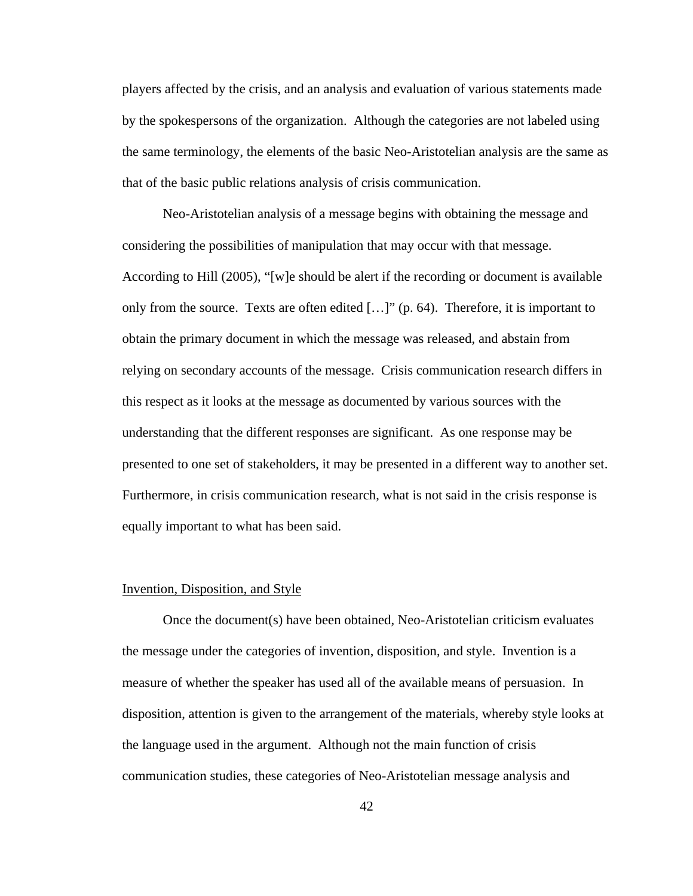players affected by the crisis, and an analysis and evaluation of various statements made by the spokespersons of the organization. Although the categories are not labeled using the same terminology, the elements of the basic Neo-Aristotelian analysis are the same as that of the basic public relations analysis of crisis communication.

Neo-Aristotelian analysis of a message begins with obtaining the message and considering the possibilities of manipulation that may occur with that message. According to Hill (2005), "[w]e should be alert if the recording or document is available only from the source. Texts are often edited  $[\dots]$ " (p. 64). Therefore, it is important to obtain the primary document in which the message was released, and abstain from relying on secondary accounts of the message. Crisis communication research differs in this respect as it looks at the message as documented by various sources with the understanding that the different responses are significant. As one response may be presented to one set of stakeholders, it may be presented in a different way to another set. Furthermore, in crisis communication research, what is not said in the crisis response is equally important to what has been said.

#### Invention, Disposition, and Style

Once the document(s) have been obtained, Neo-Aristotelian criticism evaluates the message under the categories of invention, disposition, and style. Invention is a measure of whether the speaker has used all of the available means of persuasion. In disposition, attention is given to the arrangement of the materials, whereby style looks at the language used in the argument. Although not the main function of crisis communication studies, these categories of Neo-Aristotelian message analysis and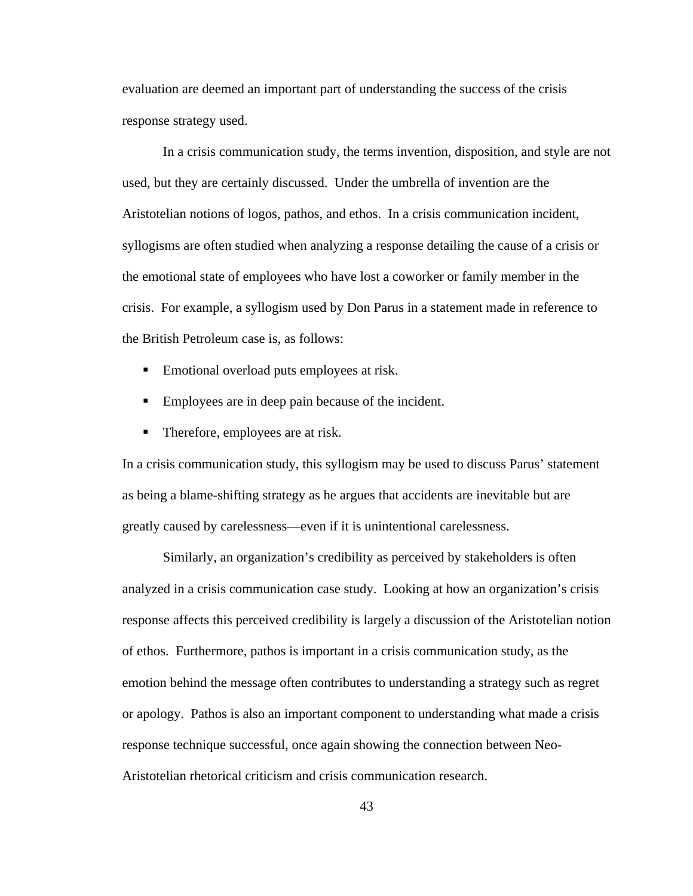evaluation are deemed an important part of understanding the success of the crisis response strategy used.

In a crisis communication study, the terms invention, disposition, and style are not used, but they are certainly discussed. Under the umbrella of invention are the Aristotelian notions of logos, pathos, and ethos. In a crisis communication incident, syllogisms are often studied when analyzing a response detailing the cause of a crisis or the emotional state of employees who have lost a coworker or family member in the crisis. For example, a syllogism used by Don Parus in a statement made in reference to the British Petroleum case is, as follows:

- Emotional overload puts employees at risk.
- Employees are in deep pain because of the incident.
- Therefore, employees are at risk.

In a crisis communication study, this syllogism may be used to discuss Parus' statement as being a blame-shifting strategy as he argues that accidents are inevitable but are greatly caused by carelessness—even if it is unintentional carelessness.

Similarly, an organization's credibility as perceived by stakeholders is often analyzed in a crisis communication case study. Looking at how an organization's crisis response affects this perceived credibility is largely a discussion of the Aristotelian notion of ethos. Furthermore, pathos is important in a crisis communication study, as the emotion behind the message often contributes to understanding a strategy such as regret or apology. Pathos is also an important component to understanding what made a crisis response technique successful, once again showing the connection between Neo-Aristotelian rhetorical criticism and crisis communication research.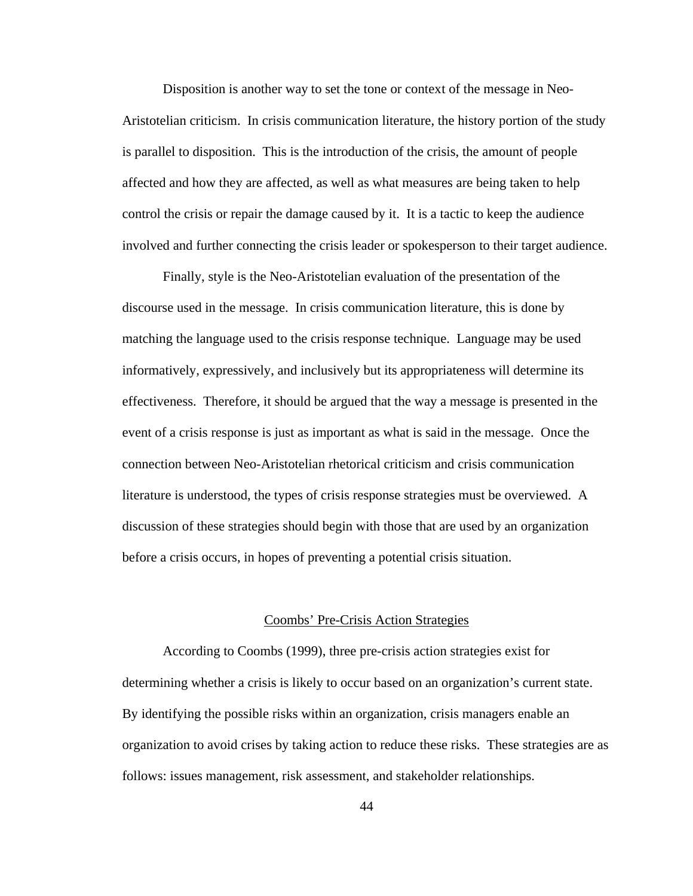Disposition is another way to set the tone or context of the message in Neo-Aristotelian criticism. In crisis communication literature, the history portion of the study is parallel to disposition. This is the introduction of the crisis, the amount of people affected and how they are affected, as well as what measures are being taken to help control the crisis or repair the damage caused by it. It is a tactic to keep the audience involved and further connecting the crisis leader or spokesperson to their target audience.

Finally, style is the Neo-Aristotelian evaluation of the presentation of the discourse used in the message. In crisis communication literature, this is done by matching the language used to the crisis response technique. Language may be used informatively, expressively, and inclusively but its appropriateness will determine its effectiveness. Therefore, it should be argued that the way a message is presented in the event of a crisis response is just as important as what is said in the message. Once the connection between Neo-Aristotelian rhetorical criticism and crisis communication literature is understood, the types of crisis response strategies must be overviewed. A discussion of these strategies should begin with those that are used by an organization before a crisis occurs, in hopes of preventing a potential crisis situation.

#### Coombs' Pre-Crisis Action Strategies

According to Coombs (1999), three pre-crisis action strategies exist for determining whether a crisis is likely to occur based on an organization's current state. By identifying the possible risks within an organization, crisis managers enable an organization to avoid crises by taking action to reduce these risks. These strategies are as follows: issues management, risk assessment, and stakeholder relationships.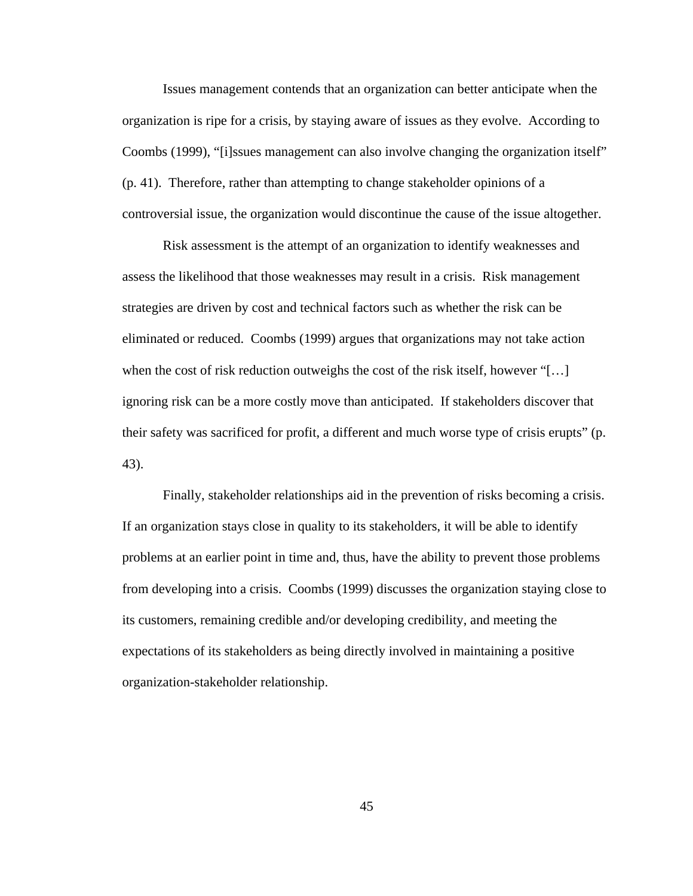Issues management contends that an organization can better anticipate when the organization is ripe for a crisis, by staying aware of issues as they evolve. According to Coombs (1999), "[i]ssues management can also involve changing the organization itself" (p. 41). Therefore, rather than attempting to change stakeholder opinions of a controversial issue, the organization would discontinue the cause of the issue altogether.

Risk assessment is the attempt of an organization to identify weaknesses and assess the likelihood that those weaknesses may result in a crisis. Risk management strategies are driven by cost and technical factors such as whether the risk can be eliminated or reduced. Coombs (1999) argues that organizations may not take action when the cost of risk reduction outweighs the cost of the risk itself, however "[...] ignoring risk can be a more costly move than anticipated. If stakeholders discover that their safety was sacrificed for profit, a different and much worse type of crisis erupts" (p. 43).

Finally, stakeholder relationships aid in the prevention of risks becoming a crisis. If an organization stays close in quality to its stakeholders, it will be able to identify problems at an earlier point in time and, thus, have the ability to prevent those problems from developing into a crisis. Coombs (1999) discusses the organization staying close to its customers, remaining credible and/or developing credibility, and meeting the expectations of its stakeholders as being directly involved in maintaining a positive organization-stakeholder relationship.

45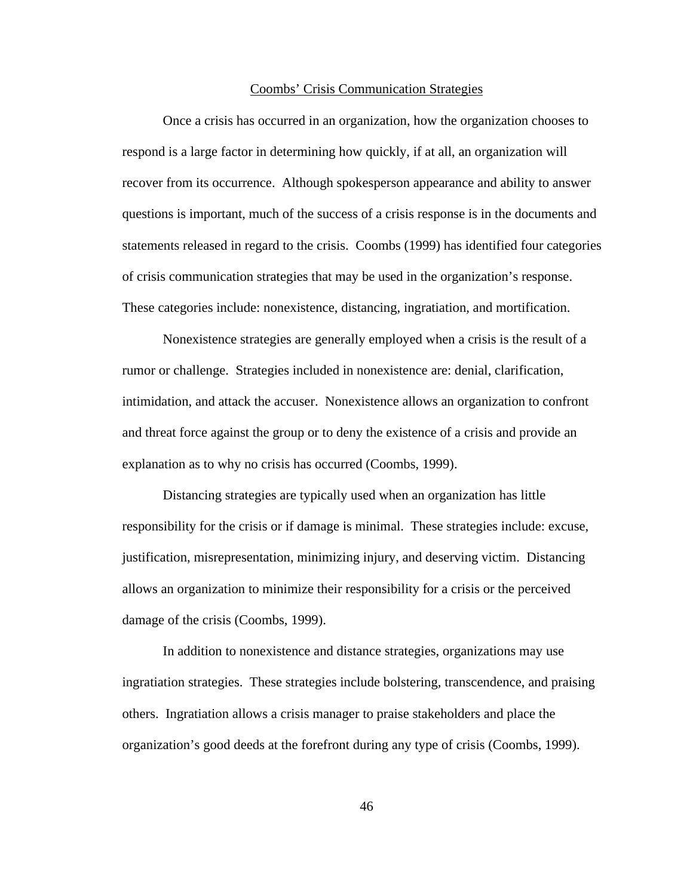#### Coombs' Crisis Communication Strategies

Once a crisis has occurred in an organization, how the organization chooses to respond is a large factor in determining how quickly, if at all, an organization will recover from its occurrence. Although spokesperson appearance and ability to answer questions is important, much of the success of a crisis response is in the documents and statements released in regard to the crisis. Coombs (1999) has identified four categories of crisis communication strategies that may be used in the organization's response. These categories include: nonexistence, distancing, ingratiation, and mortification.

Nonexistence strategies are generally employed when a crisis is the result of a rumor or challenge. Strategies included in nonexistence are: denial, clarification, intimidation, and attack the accuser. Nonexistence allows an organization to confront and threat force against the group or to deny the existence of a crisis and provide an explanation as to why no crisis has occurred (Coombs, 1999).

Distancing strategies are typically used when an organization has little responsibility for the crisis or if damage is minimal. These strategies include: excuse, justification, misrepresentation, minimizing injury, and deserving victim. Distancing allows an organization to minimize their responsibility for a crisis or the perceived damage of the crisis (Coombs, 1999).

In addition to nonexistence and distance strategies, organizations may use ingratiation strategies. These strategies include bolstering, transcendence, and praising others. Ingratiation allows a crisis manager to praise stakeholders and place the organization's good deeds at the forefront during any type of crisis (Coombs, 1999).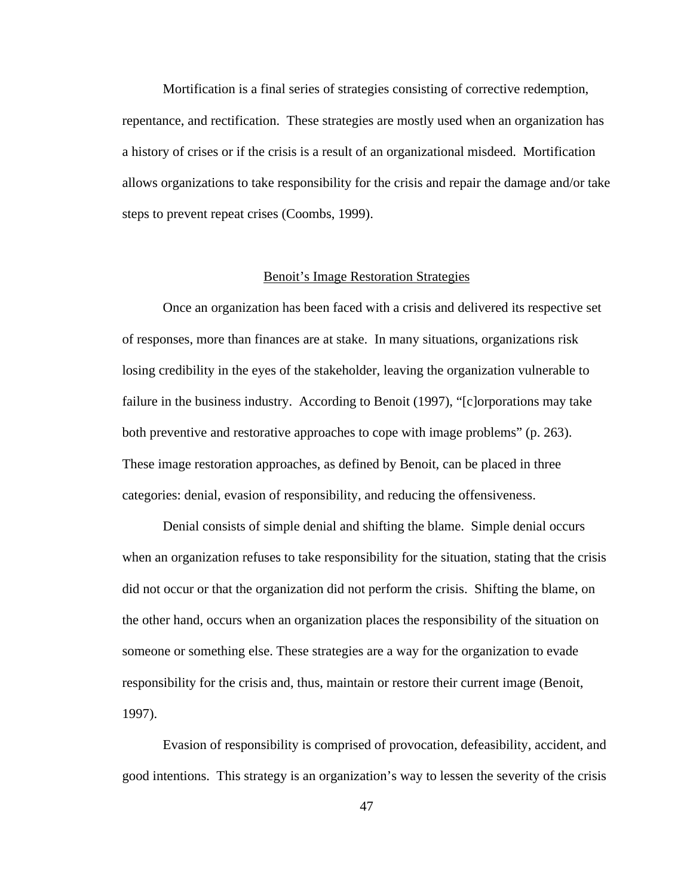Mortification is a final series of strategies consisting of corrective redemption, repentance, and rectification. These strategies are mostly used when an organization has a history of crises or if the crisis is a result of an organizational misdeed. Mortification allows organizations to take responsibility for the crisis and repair the damage and/or take steps to prevent repeat crises (Coombs, 1999).

### Benoit's Image Restoration Strategies

Once an organization has been faced with a crisis and delivered its respective set of responses, more than finances are at stake. In many situations, organizations risk losing credibility in the eyes of the stakeholder, leaving the organization vulnerable to failure in the business industry. According to Benoit (1997), "[c]orporations may take both preventive and restorative approaches to cope with image problems" (p. 263). These image restoration approaches, as defined by Benoit, can be placed in three categories: denial, evasion of responsibility, and reducing the offensiveness.

Denial consists of simple denial and shifting the blame. Simple denial occurs when an organization refuses to take responsibility for the situation, stating that the crisis did not occur or that the organization did not perform the crisis. Shifting the blame, on the other hand, occurs when an organization places the responsibility of the situation on someone or something else. These strategies are a way for the organization to evade responsibility for the crisis and, thus, maintain or restore their current image (Benoit, 1997).

Evasion of responsibility is comprised of provocation, defeasibility, accident, and good intentions. This strategy is an organization's way to lessen the severity of the crisis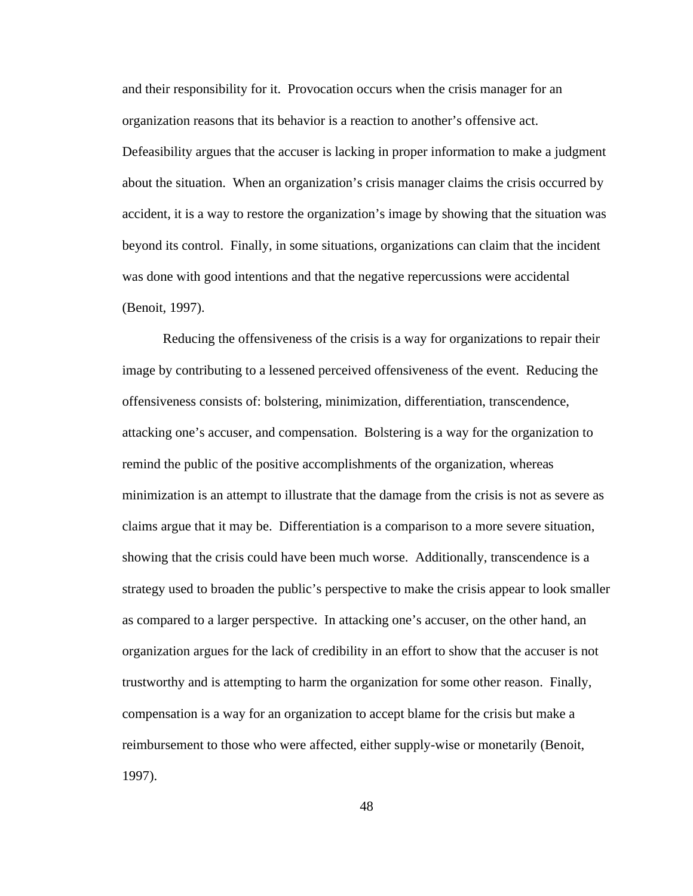and their responsibility for it. Provocation occurs when the crisis manager for an organization reasons that its behavior is a reaction to another's offensive act. Defeasibility argues that the accuser is lacking in proper information to make a judgment about the situation. When an organization's crisis manager claims the crisis occurred by accident, it is a way to restore the organization's image by showing that the situation was beyond its control. Finally, in some situations, organizations can claim that the incident was done with good intentions and that the negative repercussions were accidental (Benoit, 1997).

Reducing the offensiveness of the crisis is a way for organizations to repair their image by contributing to a lessened perceived offensiveness of the event. Reducing the offensiveness consists of: bolstering, minimization, differentiation, transcendence, attacking one's accuser, and compensation. Bolstering is a way for the organization to remind the public of the positive accomplishments of the organization, whereas minimization is an attempt to illustrate that the damage from the crisis is not as severe as claims argue that it may be. Differentiation is a comparison to a more severe situation, showing that the crisis could have been much worse. Additionally, transcendence is a strategy used to broaden the public's perspective to make the crisis appear to look smaller as compared to a larger perspective. In attacking one's accuser, on the other hand, an organization argues for the lack of credibility in an effort to show that the accuser is not trustworthy and is attempting to harm the organization for some other reason. Finally, compensation is a way for an organization to accept blame for the crisis but make a reimbursement to those who were affected, either supply-wise or monetarily (Benoit, 1997).

48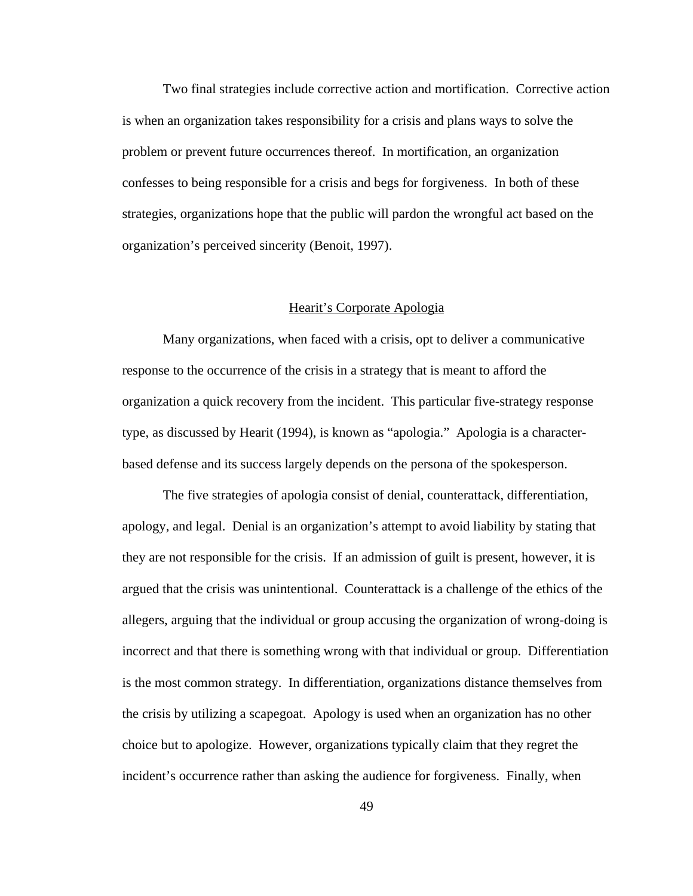Two final strategies include corrective action and mortification. Corrective action is when an organization takes responsibility for a crisis and plans ways to solve the problem or prevent future occurrences thereof. In mortification, an organization confesses to being responsible for a crisis and begs for forgiveness. In both of these strategies, organizations hope that the public will pardon the wrongful act based on the organization's perceived sincerity (Benoit, 1997).

#### Hearit's Corporate Apologia

Many organizations, when faced with a crisis, opt to deliver a communicative response to the occurrence of the crisis in a strategy that is meant to afford the organization a quick recovery from the incident. This particular five-strategy response type, as discussed by Hearit (1994), is known as "apologia." Apologia is a characterbased defense and its success largely depends on the persona of the spokesperson.

The five strategies of apologia consist of denial, counterattack, differentiation, apology, and legal. Denial is an organization's attempt to avoid liability by stating that they are not responsible for the crisis. If an admission of guilt is present, however, it is argued that the crisis was unintentional. Counterattack is a challenge of the ethics of the allegers, arguing that the individual or group accusing the organization of wrong-doing is incorrect and that there is something wrong with that individual or group. Differentiation is the most common strategy. In differentiation, organizations distance themselves from the crisis by utilizing a scapegoat. Apology is used when an organization has no other choice but to apologize. However, organizations typically claim that they regret the incident's occurrence rather than asking the audience for forgiveness. Finally, when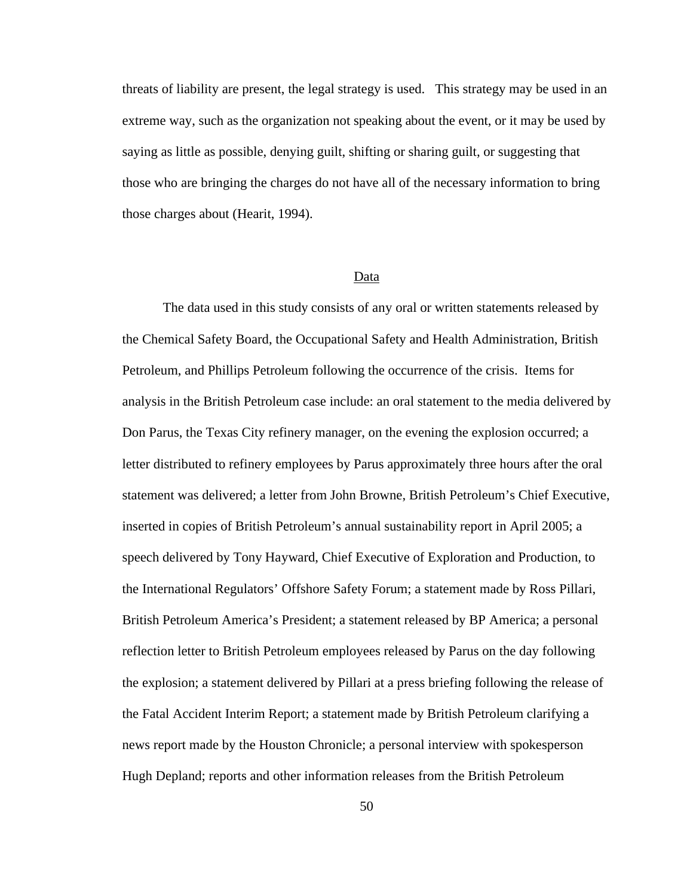threats of liability are present, the legal strategy is used. This strategy may be used in an extreme way, such as the organization not speaking about the event, or it may be used by saying as little as possible, denying guilt, shifting or sharing guilt, or suggesting that those who are bringing the charges do not have all of the necessary information to bring those charges about (Hearit, 1994).

## Data

The data used in this study consists of any oral or written statements released by the Chemical Safety Board, the Occupational Safety and Health Administration, British Petroleum, and Phillips Petroleum following the occurrence of the crisis. Items for analysis in the British Petroleum case include: an oral statement to the media delivered by Don Parus, the Texas City refinery manager, on the evening the explosion occurred; a letter distributed to refinery employees by Parus approximately three hours after the oral statement was delivered; a letter from John Browne, British Petroleum's Chief Executive, inserted in copies of British Petroleum's annual sustainability report in April 2005; a speech delivered by Tony Hayward, Chief Executive of Exploration and Production, to the International Regulators' Offshore Safety Forum; a statement made by Ross Pillari, British Petroleum America's President; a statement released by BP America; a personal reflection letter to British Petroleum employees released by Parus on the day following the explosion; a statement delivered by Pillari at a press briefing following the release of the Fatal Accident Interim Report; a statement made by British Petroleum clarifying a news report made by the Houston Chronicle; a personal interview with spokesperson Hugh Depland; reports and other information releases from the British Petroleum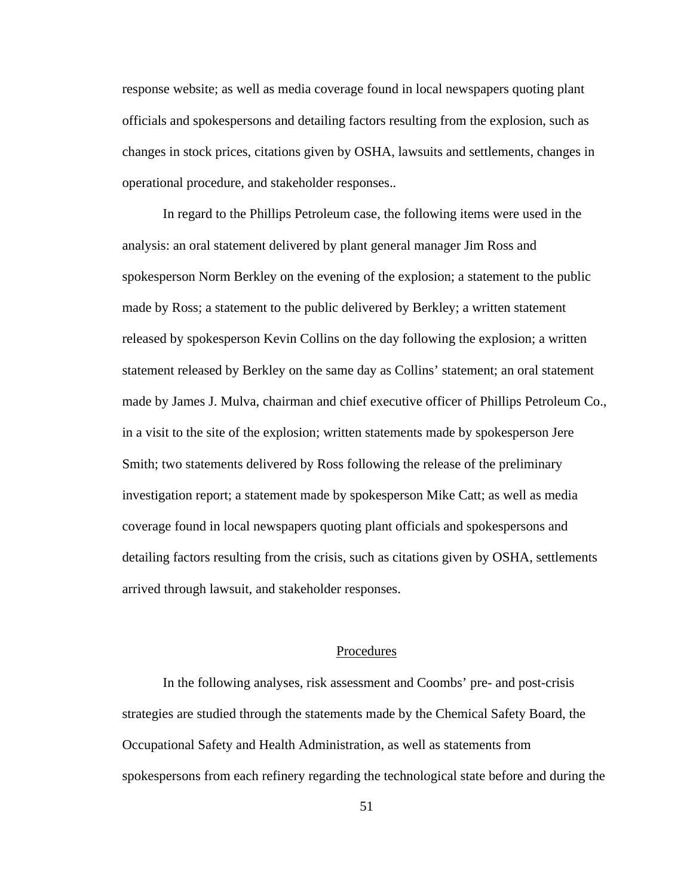response website; as well as media coverage found in local newspapers quoting plant officials and spokespersons and detailing factors resulting from the explosion, such as changes in stock prices, citations given by OSHA, lawsuits and settlements, changes in operational procedure, and stakeholder responses..

In regard to the Phillips Petroleum case, the following items were used in the analysis: an oral statement delivered by plant general manager Jim Ross and spokesperson Norm Berkley on the evening of the explosion; a statement to the public made by Ross; a statement to the public delivered by Berkley; a written statement released by spokesperson Kevin Collins on the day following the explosion; a written statement released by Berkley on the same day as Collins' statement; an oral statement made by James J. Mulva, chairman and chief executive officer of Phillips Petroleum Co., in a visit to the site of the explosion; written statements made by spokesperson Jere Smith; two statements delivered by Ross following the release of the preliminary investigation report; a statement made by spokesperson Mike Catt; as well as media coverage found in local newspapers quoting plant officials and spokespersons and detailing factors resulting from the crisis, such as citations given by OSHA, settlements arrived through lawsuit, and stakeholder responses.

### Procedures

In the following analyses, risk assessment and Coombs' pre- and post-crisis strategies are studied through the statements made by the Chemical Safety Board, the Occupational Safety and Health Administration, as well as statements from spokespersons from each refinery regarding the technological state before and during the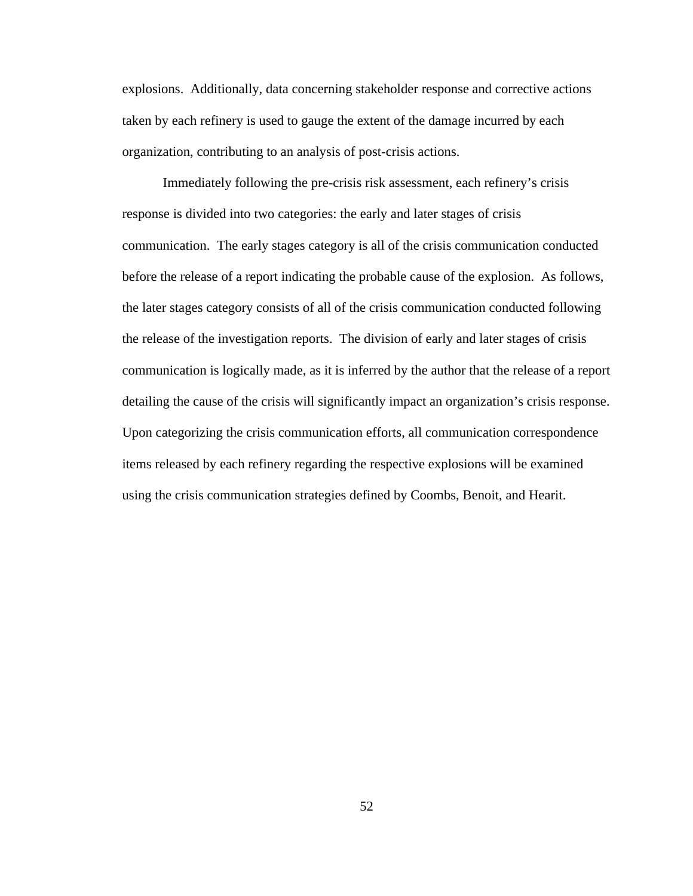explosions. Additionally, data concerning stakeholder response and corrective actions taken by each refinery is used to gauge the extent of the damage incurred by each organization, contributing to an analysis of post-crisis actions.

Immediately following the pre-crisis risk assessment, each refinery's crisis response is divided into two categories: the early and later stages of crisis communication. The early stages category is all of the crisis communication conducted before the release of a report indicating the probable cause of the explosion. As follows, the later stages category consists of all of the crisis communication conducted following the release of the investigation reports. The division of early and later stages of crisis communication is logically made, as it is inferred by the author that the release of a report detailing the cause of the crisis will significantly impact an organization's crisis response. Upon categorizing the crisis communication efforts, all communication correspondence items released by each refinery regarding the respective explosions will be examined using the crisis communication strategies defined by Coombs, Benoit, and Hearit.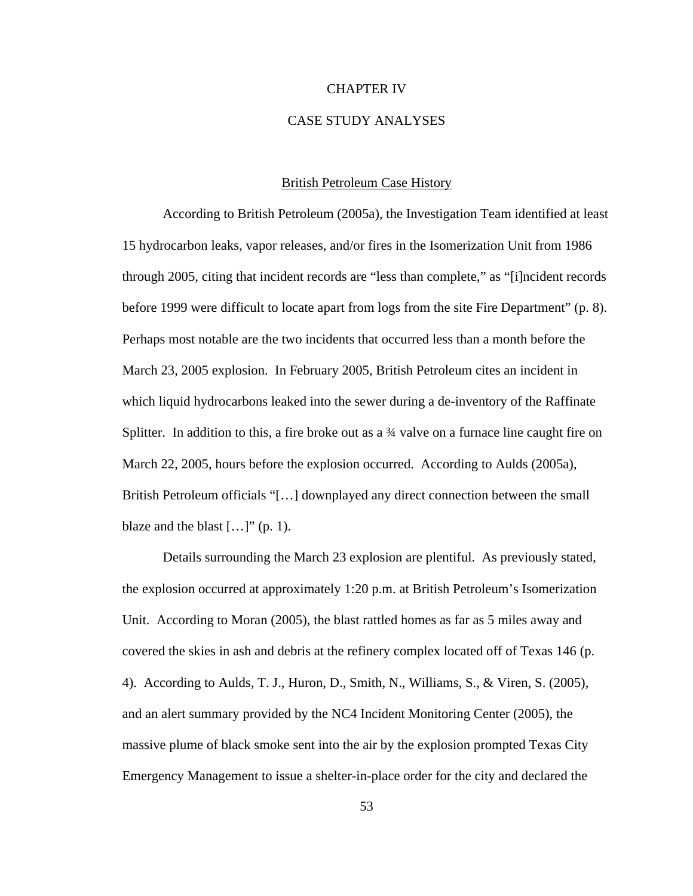#### CHAPTER IV

## CASE STUDY ANALYSES

## British Petroleum Case History

According to British Petroleum (2005a), the Investigation Team identified at least 15 hydrocarbon leaks, vapor releases, and/or fires in the Isomerization Unit from 1986 through 2005, citing that incident records are "less than complete," as "[i]ncident records before 1999 were difficult to locate apart from logs from the site Fire Department" (p. 8). Perhaps most notable are the two incidents that occurred less than a month before the March 23, 2005 explosion. In February 2005, British Petroleum cites an incident in which liquid hydrocarbons leaked into the sewer during a de-inventory of the Raffinate Splitter. In addition to this, a fire broke out as a  $\frac{3}{4}$  valve on a furnace line caught fire on March 22, 2005, hours before the explosion occurred. According to Aulds (2005a), British Petroleum officials "[…] downplayed any direct connection between the small blaze and the blast  $[...]$ " (p. 1).

Details surrounding the March 23 explosion are plentiful. As previously stated, the explosion occurred at approximately 1:20 p.m. at British Petroleum's Isomerization Unit. According to Moran (2005), the blast rattled homes as far as 5 miles away and covered the skies in ash and debris at the refinery complex located off of Texas 146 (p. 4). According to Aulds, T. J., Huron, D., Smith, N., Williams, S., & Viren, S. (2005), and an alert summary provided by the NC4 Incident Monitoring Center (2005), the massive plume of black smoke sent into the air by the explosion prompted Texas City Emergency Management to issue a shelter-in-place order for the city and declared the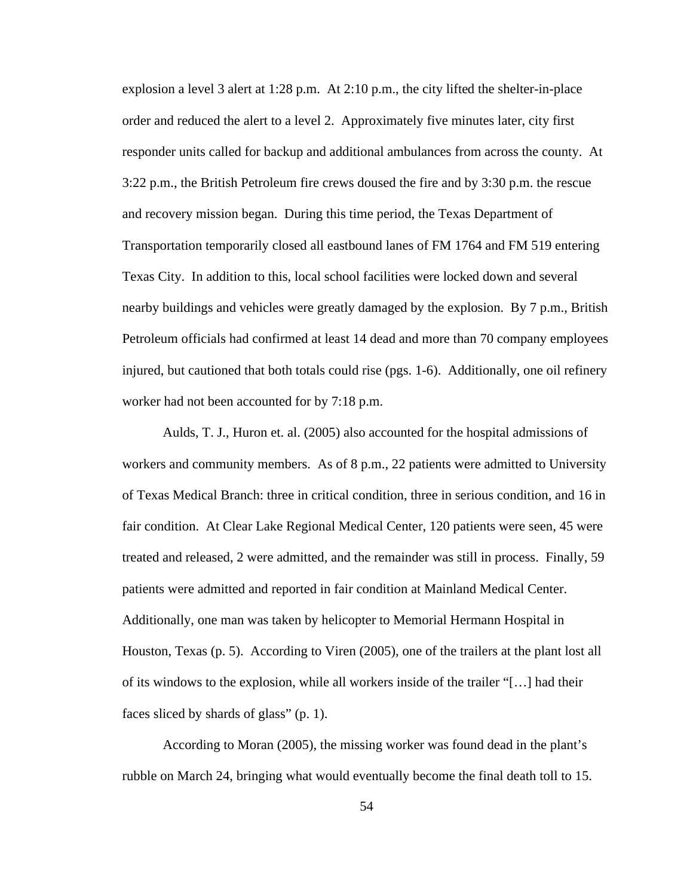explosion a level 3 alert at 1:28 p.m. At 2:10 p.m., the city lifted the shelter-in-place order and reduced the alert to a level 2. Approximately five minutes later, city first responder units called for backup and additional ambulances from across the county. At 3:22 p.m., the British Petroleum fire crews doused the fire and by 3:30 p.m. the rescue and recovery mission began. During this time period, the Texas Department of Transportation temporarily closed all eastbound lanes of FM 1764 and FM 519 entering Texas City. In addition to this, local school facilities were locked down and several nearby buildings and vehicles were greatly damaged by the explosion. By 7 p.m., British Petroleum officials had confirmed at least 14 dead and more than 70 company employees injured, but cautioned that both totals could rise (pgs. 1-6). Additionally, one oil refinery worker had not been accounted for by 7:18 p.m.

Aulds, T. J., Huron et. al. (2005) also accounted for the hospital admissions of workers and community members. As of 8 p.m., 22 patients were admitted to University of Texas Medical Branch: three in critical condition, three in serious condition, and 16 in fair condition. At Clear Lake Regional Medical Center, 120 patients were seen, 45 were treated and released, 2 were admitted, and the remainder was still in process. Finally, 59 patients were admitted and reported in fair condition at Mainland Medical Center. Additionally, one man was taken by helicopter to Memorial Hermann Hospital in Houston, Texas (p. 5). According to Viren (2005), one of the trailers at the plant lost all of its windows to the explosion, while all workers inside of the trailer "[…] had their faces sliced by shards of glass" (p. 1).

According to Moran (2005), the missing worker was found dead in the plant's rubble on March 24, bringing what would eventually become the final death toll to 15.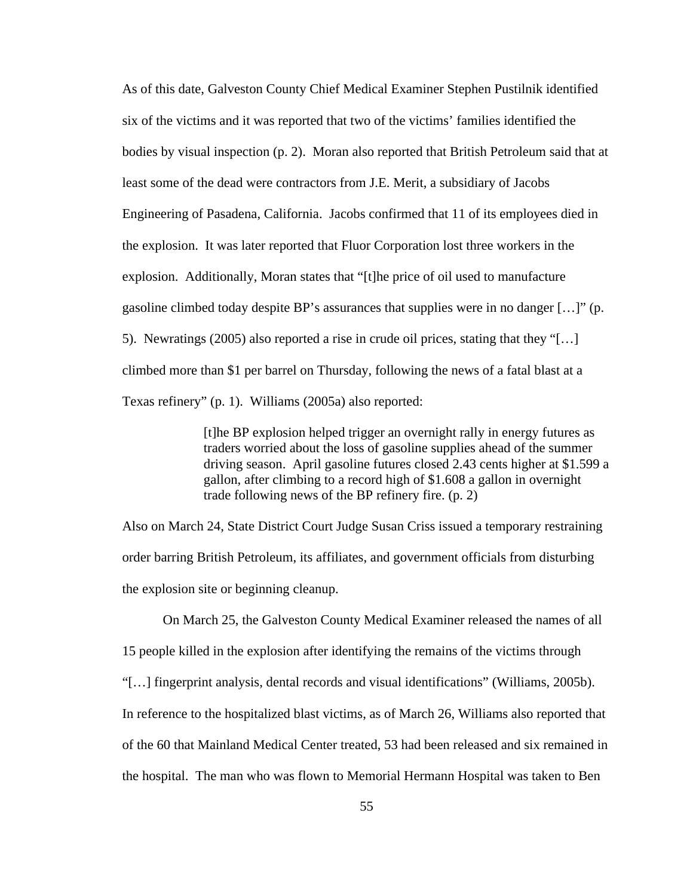As of this date, Galveston County Chief Medical Examiner Stephen Pustilnik identified six of the victims and it was reported that two of the victims' families identified the bodies by visual inspection (p. 2). Moran also reported that British Petroleum said that at least some of the dead were contractors from J.E. Merit, a subsidiary of Jacobs Engineering of Pasadena, California. Jacobs confirmed that 11 of its employees died in the explosion. It was later reported that Fluor Corporation lost three workers in the explosion. Additionally, Moran states that "[t]he price of oil used to manufacture gasoline climbed today despite BP's assurances that supplies were in no danger […]" (p. 5). Newratings (2005) also reported a rise in crude oil prices, stating that they "[…] climbed more than \$1 per barrel on Thursday, following the news of a fatal blast at a Texas refinery" (p. 1). Williams (2005a) also reported:

> [t]he BP explosion helped trigger an overnight rally in energy futures as traders worried about the loss of gasoline supplies ahead of the summer driving season. April gasoline futures closed 2.43 cents higher at \$1.599 a gallon, after climbing to a record high of \$1.608 a gallon in overnight trade following news of the BP refinery fire. (p. 2)

Also on March 24, State District Court Judge Susan Criss issued a temporary restraining order barring British Petroleum, its affiliates, and government officials from disturbing the explosion site or beginning cleanup.

On March 25, the Galveston County Medical Examiner released the names of all 15 people killed in the explosion after identifying the remains of the victims through "[…] fingerprint analysis, dental records and visual identifications" (Williams, 2005b). In reference to the hospitalized blast victims, as of March 26, Williams also reported that of the 60 that Mainland Medical Center treated, 53 had been released and six remained in the hospital. The man who was flown to Memorial Hermann Hospital was taken to Ben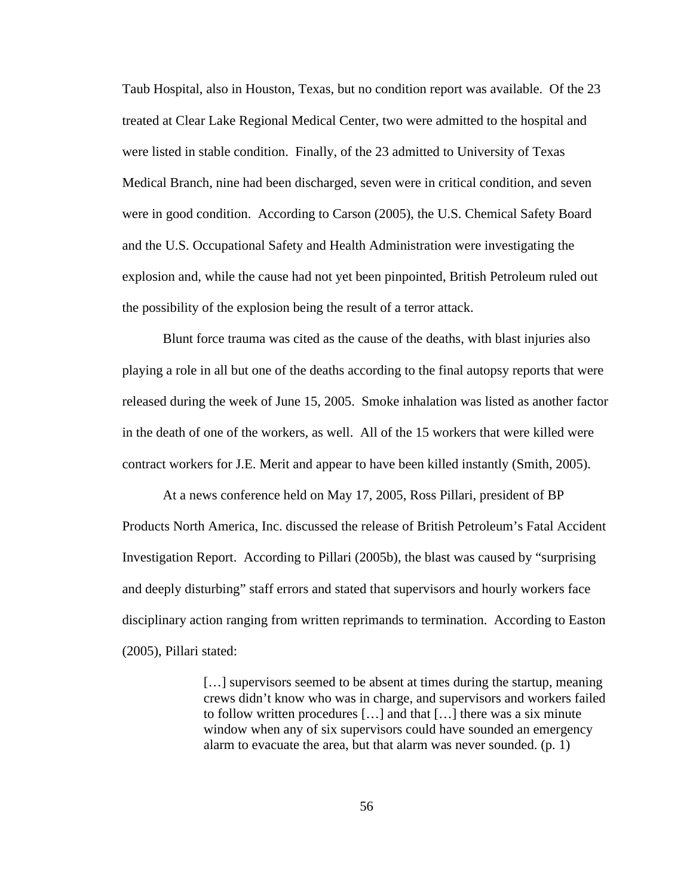Taub Hospital, also in Houston, Texas, but no condition report was available. Of the 23 treated at Clear Lake Regional Medical Center, two were admitted to the hospital and were listed in stable condition. Finally, of the 23 admitted to University of Texas Medical Branch, nine had been discharged, seven were in critical condition, and seven were in good condition. According to Carson (2005), the U.S. Chemical Safety Board and the U.S. Occupational Safety and Health Administration were investigating the explosion and, while the cause had not yet been pinpointed, British Petroleum ruled out the possibility of the explosion being the result of a terror attack.

Blunt force trauma was cited as the cause of the deaths, with blast injuries also playing a role in all but one of the deaths according to the final autopsy reports that were released during the week of June 15, 2005. Smoke inhalation was listed as another factor in the death of one of the workers, as well. All of the 15 workers that were killed were contract workers for J.E. Merit and appear to have been killed instantly (Smith, 2005).

At a news conference held on May 17, 2005, Ross Pillari, president of BP Products North America, Inc. discussed the release of British Petroleum's Fatal Accident Investigation Report. According to Pillari (2005b), the blast was caused by "surprising and deeply disturbing" staff errors and stated that supervisors and hourly workers face disciplinary action ranging from written reprimands to termination. According to Easton (2005), Pillari stated:

> […] supervisors seemed to be absent at times during the startup, meaning crews didn't know who was in charge, and supervisors and workers failed to follow written procedures […] and that […] there was a six minute window when any of six supervisors could have sounded an emergency alarm to evacuate the area, but that alarm was never sounded. (p. 1)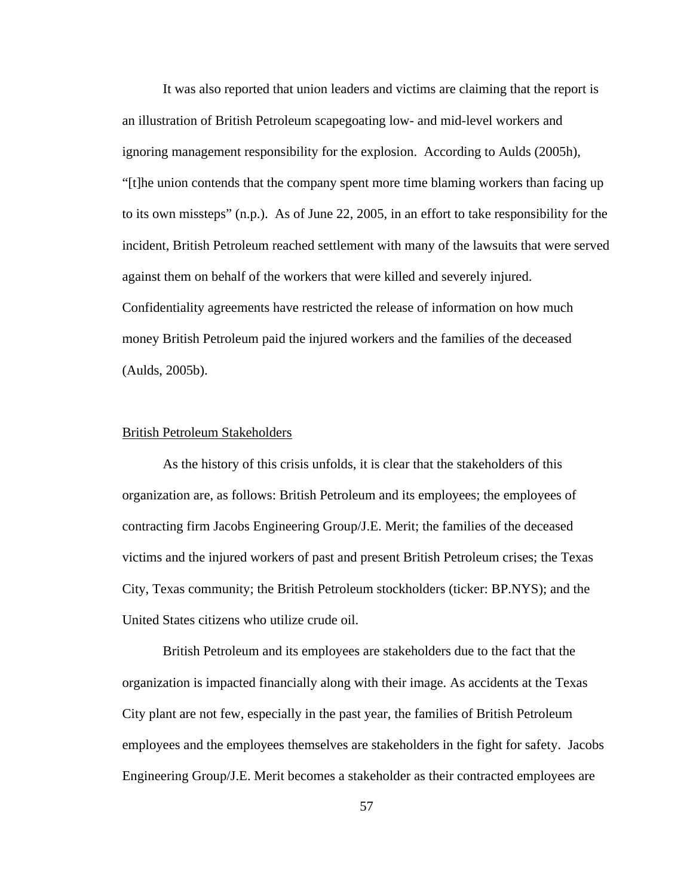It was also reported that union leaders and victims are claiming that the report is an illustration of British Petroleum scapegoating low- and mid-level workers and ignoring management responsibility for the explosion. According to Aulds (2005h), "[t]he union contends that the company spent more time blaming workers than facing up to its own missteps" (n.p.). As of June 22, 2005, in an effort to take responsibility for the incident, British Petroleum reached settlement with many of the lawsuits that were served against them on behalf of the workers that were killed and severely injured. Confidentiality agreements have restricted the release of information on how much money British Petroleum paid the injured workers and the families of the deceased (Aulds, 2005b).

### British Petroleum Stakeholders

As the history of this crisis unfolds, it is clear that the stakeholders of this organization are, as follows: British Petroleum and its employees; the employees of contracting firm Jacobs Engineering Group/J.E. Merit; the families of the deceased victims and the injured workers of past and present British Petroleum crises; the Texas City, Texas community; the British Petroleum stockholders (ticker: BP.NYS); and the United States citizens who utilize crude oil.

British Petroleum and its employees are stakeholders due to the fact that the organization is impacted financially along with their image. As accidents at the Texas City plant are not few, especially in the past year, the families of British Petroleum employees and the employees themselves are stakeholders in the fight for safety. Jacobs Engineering Group/J.E. Merit becomes a stakeholder as their contracted employees are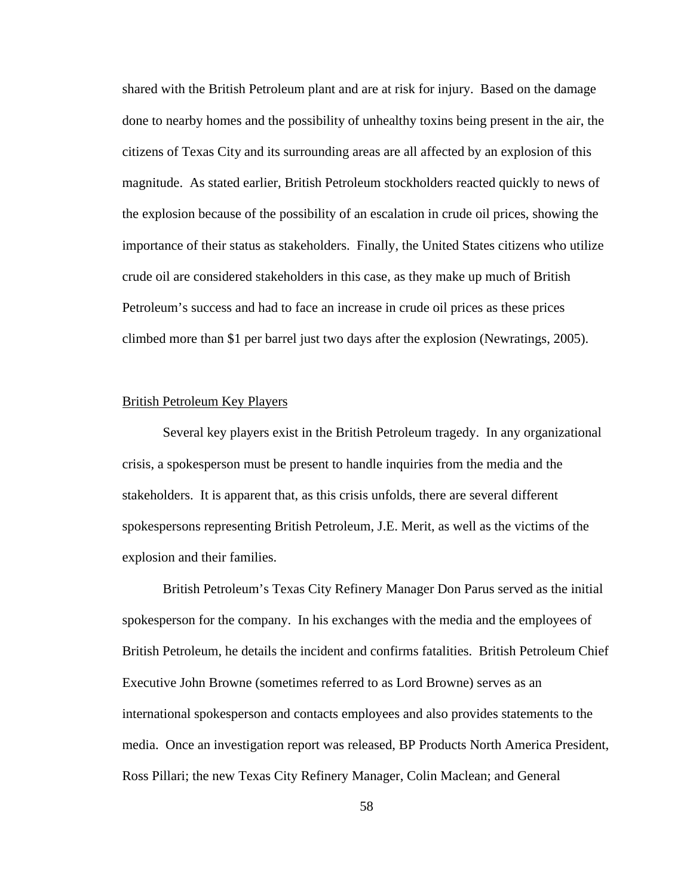shared with the British Petroleum plant and are at risk for injury. Based on the damage done to nearby homes and the possibility of unhealthy toxins being present in the air, the citizens of Texas City and its surrounding areas are all affected by an explosion of this magnitude. As stated earlier, British Petroleum stockholders reacted quickly to news of the explosion because of the possibility of an escalation in crude oil prices, showing the importance of their status as stakeholders. Finally, the United States citizens who utilize crude oil are considered stakeholders in this case, as they make up much of British Petroleum's success and had to face an increase in crude oil prices as these prices climbed more than \$1 per barrel just two days after the explosion (Newratings, 2005).

## British Petroleum Key Players

Several key players exist in the British Petroleum tragedy. In any organizational crisis, a spokesperson must be present to handle inquiries from the media and the stakeholders. It is apparent that, as this crisis unfolds, there are several different spokespersons representing British Petroleum, J.E. Merit, as well as the victims of the explosion and their families.

British Petroleum's Texas City Refinery Manager Don Parus served as the initial spokesperson for the company. In his exchanges with the media and the employees of British Petroleum, he details the incident and confirms fatalities. British Petroleum Chief Executive John Browne (sometimes referred to as Lord Browne) serves as an international spokesperson and contacts employees and also provides statements to the media. Once an investigation report was released, BP Products North America President, Ross Pillari; the new Texas City Refinery Manager, Colin Maclean; and General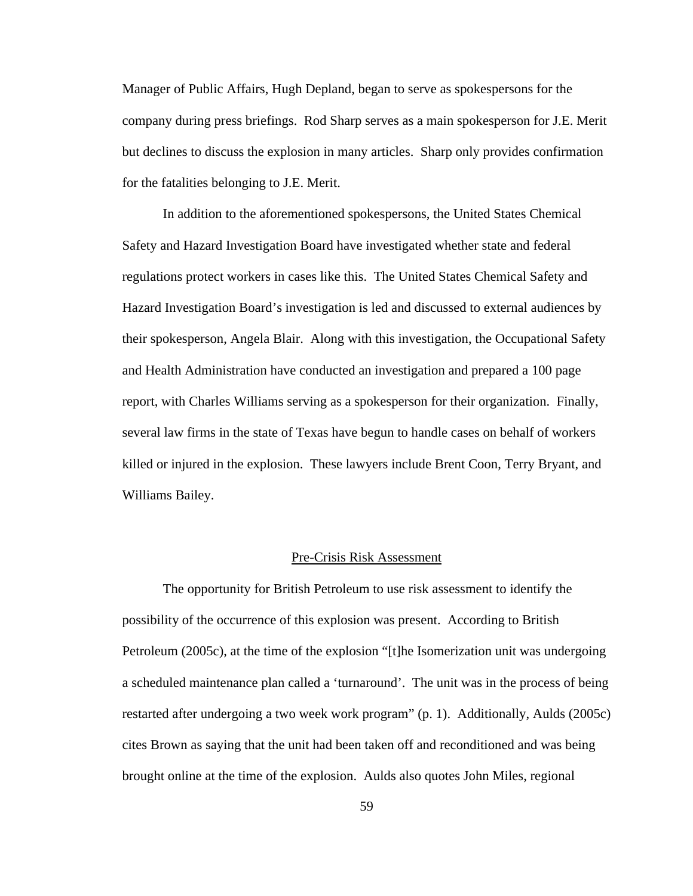Manager of Public Affairs, Hugh Depland, began to serve as spokespersons for the company during press briefings. Rod Sharp serves as a main spokesperson for J.E. Merit but declines to discuss the explosion in many articles. Sharp only provides confirmation for the fatalities belonging to J.E. Merit.

In addition to the aforementioned spokespersons, the United States Chemical Safety and Hazard Investigation Board have investigated whether state and federal regulations protect workers in cases like this. The United States Chemical Safety and Hazard Investigation Board's investigation is led and discussed to external audiences by their spokesperson, Angela Blair. Along with this investigation, the Occupational Safety and Health Administration have conducted an investigation and prepared a 100 page report, with Charles Williams serving as a spokesperson for their organization. Finally, several law firms in the state of Texas have begun to handle cases on behalf of workers killed or injured in the explosion. These lawyers include Brent Coon, Terry Bryant, and Williams Bailey.

### Pre-Crisis Risk Assessment

The opportunity for British Petroleum to use risk assessment to identify the possibility of the occurrence of this explosion was present. According to British Petroleum (2005c), at the time of the explosion "[t]he Isomerization unit was undergoing a scheduled maintenance plan called a 'turnaround'. The unit was in the process of being restarted after undergoing a two week work program" (p. 1). Additionally, Aulds (2005c) cites Brown as saying that the unit had been taken off and reconditioned and was being brought online at the time of the explosion. Aulds also quotes John Miles, regional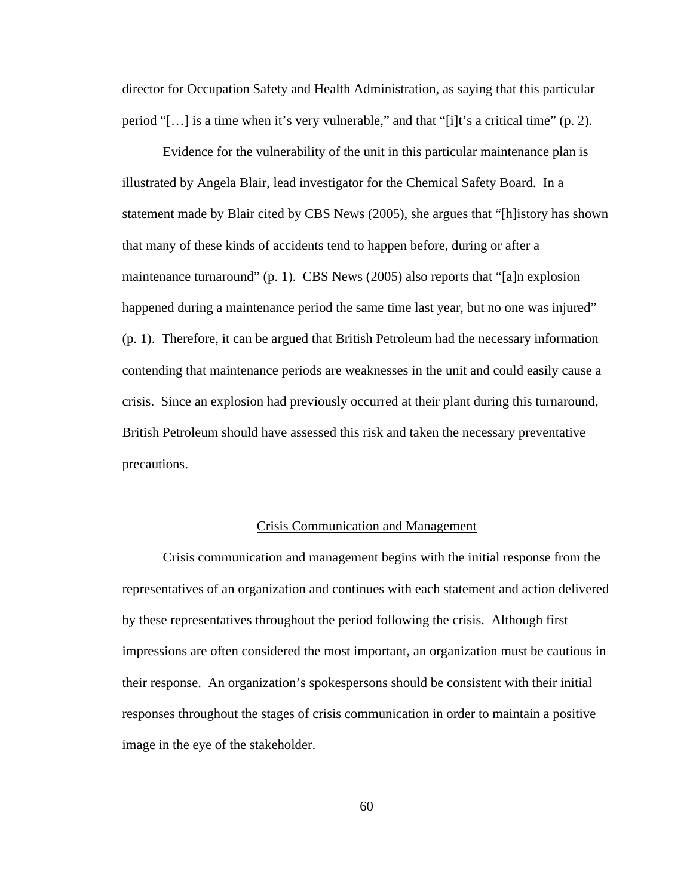director for Occupation Safety and Health Administration, as saying that this particular period "[…] is a time when it's very vulnerable," and that "[i]t's a critical time" (p. 2).

Evidence for the vulnerability of the unit in this particular maintenance plan is illustrated by Angela Blair, lead investigator for the Chemical Safety Board. In a statement made by Blair cited by CBS News (2005), she argues that "[h]istory has shown that many of these kinds of accidents tend to happen before, during or after a maintenance turnaround" (p. 1). CBS News (2005) also reports that "[a]n explosion happened during a maintenance period the same time last year, but no one was injured" (p. 1). Therefore, it can be argued that British Petroleum had the necessary information contending that maintenance periods are weaknesses in the unit and could easily cause a crisis. Since an explosion had previously occurred at their plant during this turnaround, British Petroleum should have assessed this risk and taken the necessary preventative precautions.

### Crisis Communication and Management

Crisis communication and management begins with the initial response from the representatives of an organization and continues with each statement and action delivered by these representatives throughout the period following the crisis. Although first impressions are often considered the most important, an organization must be cautious in their response. An organization's spokespersons should be consistent with their initial responses throughout the stages of crisis communication in order to maintain a positive image in the eye of the stakeholder.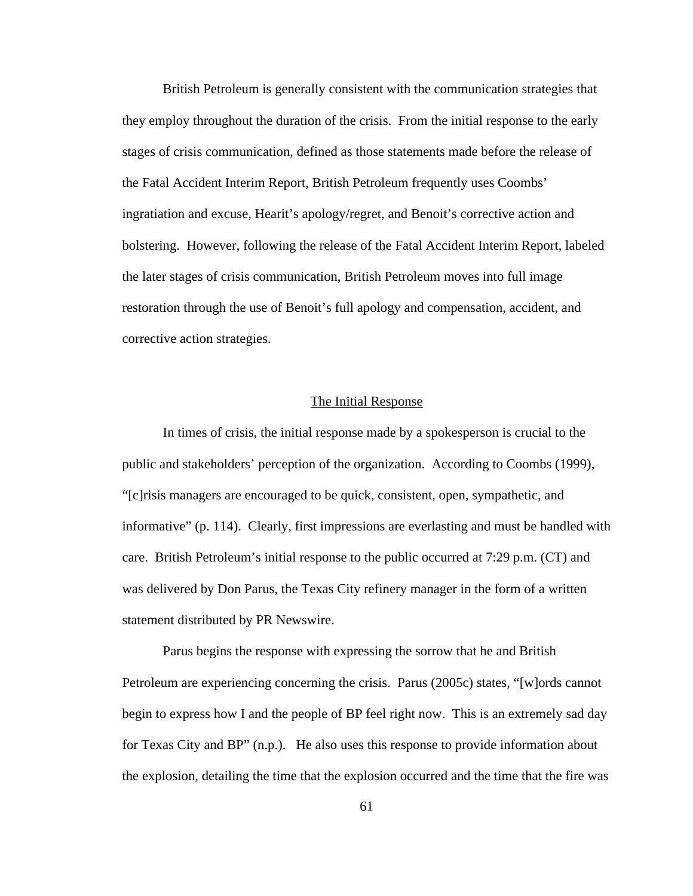British Petroleum is generally consistent with the communication strategies that they employ throughout the duration of the crisis. From the initial response to the early stages of crisis communication, defined as those statements made before the release of the Fatal Accident Interim Report, British Petroleum frequently uses Coombs' ingratiation and excuse, Hearit's apology/regret, and Benoit's corrective action and bolstering. However, following the release of the Fatal Accident Interim Report, labeled the later stages of crisis communication, British Petroleum moves into full image restoration through the use of Benoit's full apology and compensation, accident, and corrective action strategies.

## The Initial Response

In times of crisis, the initial response made by a spokesperson is crucial to the public and stakeholders' perception of the organization. According to Coombs (1999), "[c]risis managers are encouraged to be quick, consistent, open, sympathetic, and informative" (p. 114). Clearly, first impressions are everlasting and must be handled with care. British Petroleum's initial response to the public occurred at 7:29 p.m. (CT) and was delivered by Don Parus, the Texas City refinery manager in the form of a written statement distributed by PR Newswire.

Parus begins the response with expressing the sorrow that he and British Petroleum are experiencing concerning the crisis. Parus (2005c) states, "[w]ords cannot begin to express how I and the people of BP feel right now. This is an extremely sad day for Texas City and BP" (n.p.). He also uses this response to provide information about the explosion, detailing the time that the explosion occurred and the time that the fire was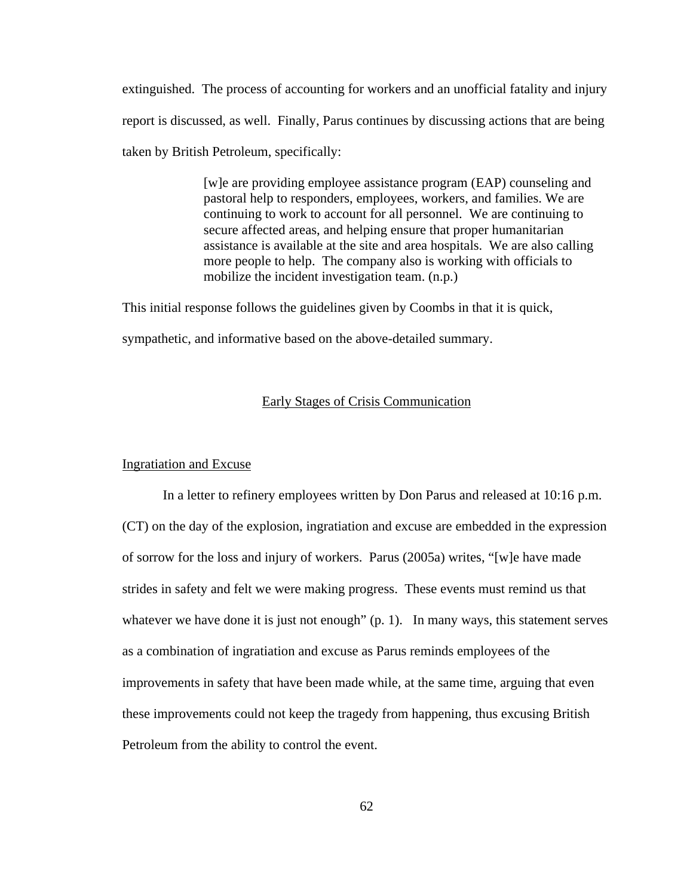extinguished. The process of accounting for workers and an unofficial fatality and injury report is discussed, as well. Finally, Parus continues by discussing actions that are being taken by British Petroleum, specifically:

> [w]e are providing employee assistance program (EAP) counseling and pastoral help to responders, employees, workers, and families. We are continuing to work to account for all personnel. We are continuing to secure affected areas, and helping ensure that proper humanitarian assistance is available at the site and area hospitals. We are also calling more people to help. The company also is working with officials to mobilize the incident investigation team. (n.p.)

This initial response follows the guidelines given by Coombs in that it is quick,

sympathetic, and informative based on the above-detailed summary.

# Early Stages of Crisis Communication

## Ingratiation and Excuse

In a letter to refinery employees written by Don Parus and released at 10:16 p.m. (CT) on the day of the explosion, ingratiation and excuse are embedded in the expression of sorrow for the loss and injury of workers. Parus (2005a) writes, "[w]e have made strides in safety and felt we were making progress. These events must remind us that whatever we have done it is just not enough" (p. 1). In many ways, this statement serves as a combination of ingratiation and excuse as Parus reminds employees of the improvements in safety that have been made while, at the same time, arguing that even these improvements could not keep the tragedy from happening, thus excusing British Petroleum from the ability to control the event.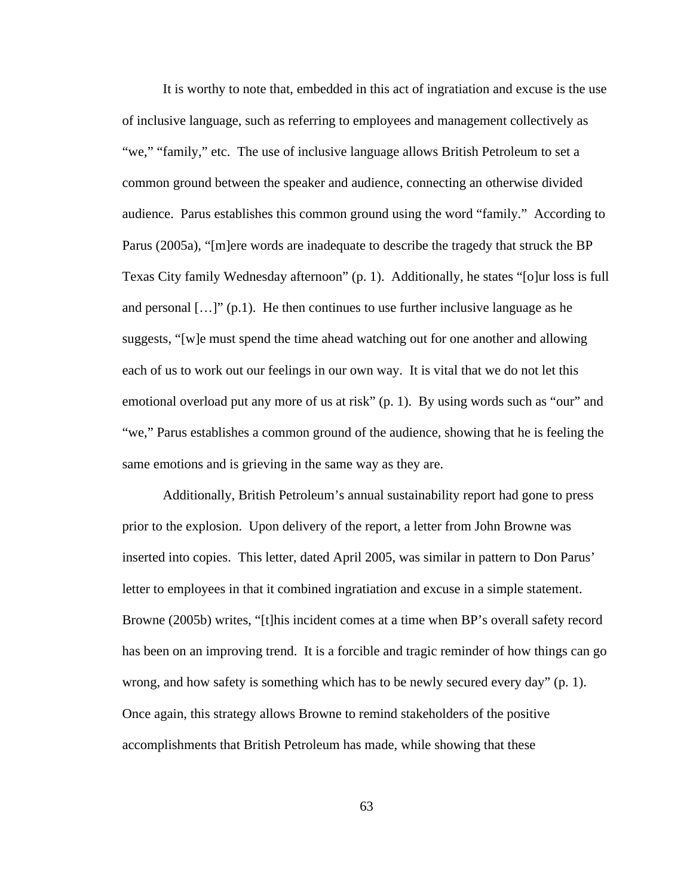It is worthy to note that, embedded in this act of ingratiation and excuse is the use of inclusive language, such as referring to employees and management collectively as "we," "family," etc. The use of inclusive language allows British Petroleum to set a common ground between the speaker and audience, connecting an otherwise divided audience. Parus establishes this common ground using the word "family." According to Parus (2005a), "[m]ere words are inadequate to describe the tragedy that struck the BP Texas City family Wednesday afternoon" (p. 1). Additionally, he states "[o]ur loss is full and personal  $[...]$ " (p.1). He then continues to use further inclusive language as he suggests, "[w]e must spend the time ahead watching out for one another and allowing each of us to work out our feelings in our own way. It is vital that we do not let this emotional overload put any more of us at risk" (p. 1). By using words such as "our" and "we," Parus establishes a common ground of the audience, showing that he is feeling the same emotions and is grieving in the same way as they are.

Additionally, British Petroleum's annual sustainability report had gone to press prior to the explosion. Upon delivery of the report, a letter from John Browne was inserted into copies. This letter, dated April 2005, was similar in pattern to Don Parus' letter to employees in that it combined ingratiation and excuse in a simple statement. Browne (2005b) writes, "[t]his incident comes at a time when BP's overall safety record has been on an improving trend. It is a forcible and tragic reminder of how things can go wrong, and how safety is something which has to be newly secured every day" (p. 1). Once again, this strategy allows Browne to remind stakeholders of the positive accomplishments that British Petroleum has made, while showing that these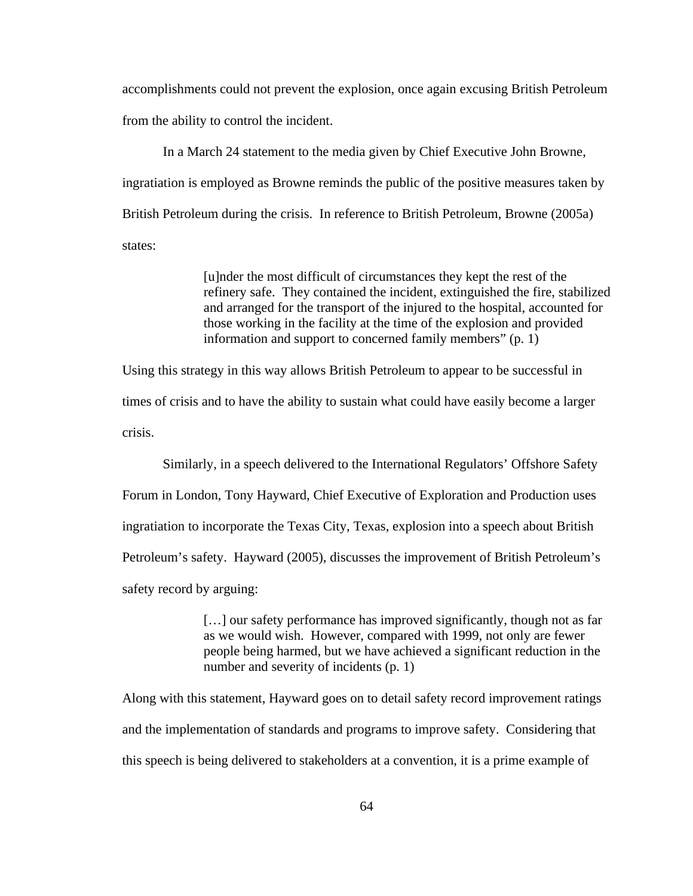accomplishments could not prevent the explosion, once again excusing British Petroleum from the ability to control the incident.

In a March 24 statement to the media given by Chief Executive John Browne, ingratiation is employed as Browne reminds the public of the positive measures taken by British Petroleum during the crisis. In reference to British Petroleum, Browne (2005a) states:

> [u]nder the most difficult of circumstances they kept the rest of the refinery safe. They contained the incident, extinguished the fire, stabilized and arranged for the transport of the injured to the hospital, accounted for those working in the facility at the time of the explosion and provided information and support to concerned family members" (p. 1)

Using this strategy in this way allows British Petroleum to appear to be successful in times of crisis and to have the ability to sustain what could have easily become a larger crisis.

Similarly, in a speech delivered to the International Regulators' Offshore Safety Forum in London, Tony Hayward, Chief Executive of Exploration and Production uses ingratiation to incorporate the Texas City, Texas, explosion into a speech about British Petroleum's safety. Hayward (2005), discusses the improvement of British Petroleum's safety record by arguing:

> [...] our safety performance has improved significantly, though not as far as we would wish. However, compared with 1999, not only are fewer people being harmed, but we have achieved a significant reduction in the number and severity of incidents (p. 1)

Along with this statement, Hayward goes on to detail safety record improvement ratings and the implementation of standards and programs to improve safety. Considering that this speech is being delivered to stakeholders at a convention, it is a prime example of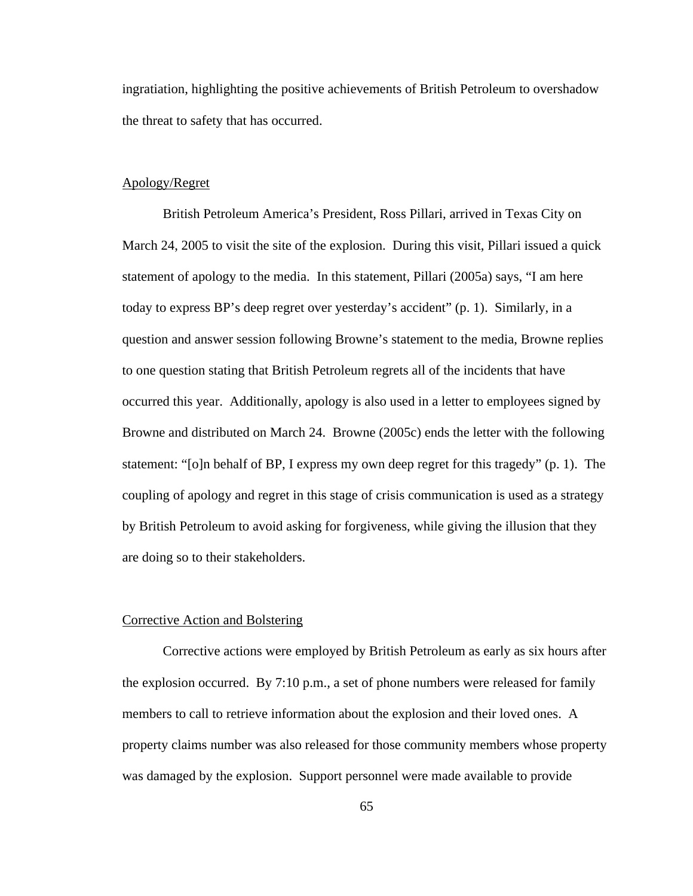ingratiation, highlighting the positive achievements of British Petroleum to overshadow the threat to safety that has occurred.

# Apology/Regret

British Petroleum America's President, Ross Pillari, arrived in Texas City on March 24, 2005 to visit the site of the explosion. During this visit, Pillari issued a quick statement of apology to the media. In this statement, Pillari (2005a) says, "I am here today to express BP's deep regret over yesterday's accident" (p. 1). Similarly, in a question and answer session following Browne's statement to the media, Browne replies to one question stating that British Petroleum regrets all of the incidents that have occurred this year. Additionally, apology is also used in a letter to employees signed by Browne and distributed on March 24. Browne (2005c) ends the letter with the following statement: "[o]n behalf of BP, I express my own deep regret for this tragedy" (p. 1). The coupling of apology and regret in this stage of crisis communication is used as a strategy by British Petroleum to avoid asking for forgiveness, while giving the illusion that they are doing so to their stakeholders.

#### Corrective Action and Bolstering

Corrective actions were employed by British Petroleum as early as six hours after the explosion occurred. By 7:10 p.m., a set of phone numbers were released for family members to call to retrieve information about the explosion and their loved ones. A property claims number was also released for those community members whose property was damaged by the explosion. Support personnel were made available to provide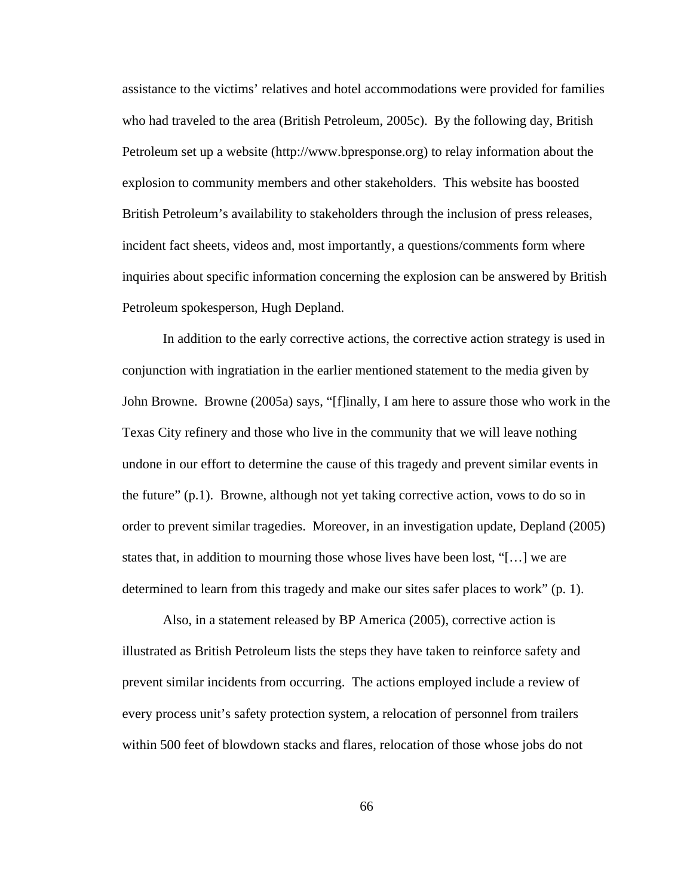assistance to the victims' relatives and hotel accommodations were provided for families who had traveled to the area (British Petroleum, 2005c). By the following day, British Petroleum set up a website (http://www.bpresponse.org) to relay information about the explosion to community members and other stakeholders. This website has boosted British Petroleum's availability to stakeholders through the inclusion of press releases, incident fact sheets, videos and, most importantly, a questions/comments form where inquiries about specific information concerning the explosion can be answered by British Petroleum spokesperson, Hugh Depland.

In addition to the early corrective actions, the corrective action strategy is used in conjunction with ingratiation in the earlier mentioned statement to the media given by John Browne. Browne (2005a) says, "[f]inally, I am here to assure those who work in the Texas City refinery and those who live in the community that we will leave nothing undone in our effort to determine the cause of this tragedy and prevent similar events in the future"  $(p,1)$ . Browne, although not yet taking corrective action, vows to do so in order to prevent similar tragedies. Moreover, in an investigation update, Depland (2005) states that, in addition to mourning those whose lives have been lost, "[…] we are determined to learn from this tragedy and make our sites safer places to work" (p. 1).

Also, in a statement released by BP America (2005), corrective action is illustrated as British Petroleum lists the steps they have taken to reinforce safety and prevent similar incidents from occurring. The actions employed include a review of every process unit's safety protection system, a relocation of personnel from trailers within 500 feet of blowdown stacks and flares, relocation of those whose jobs do not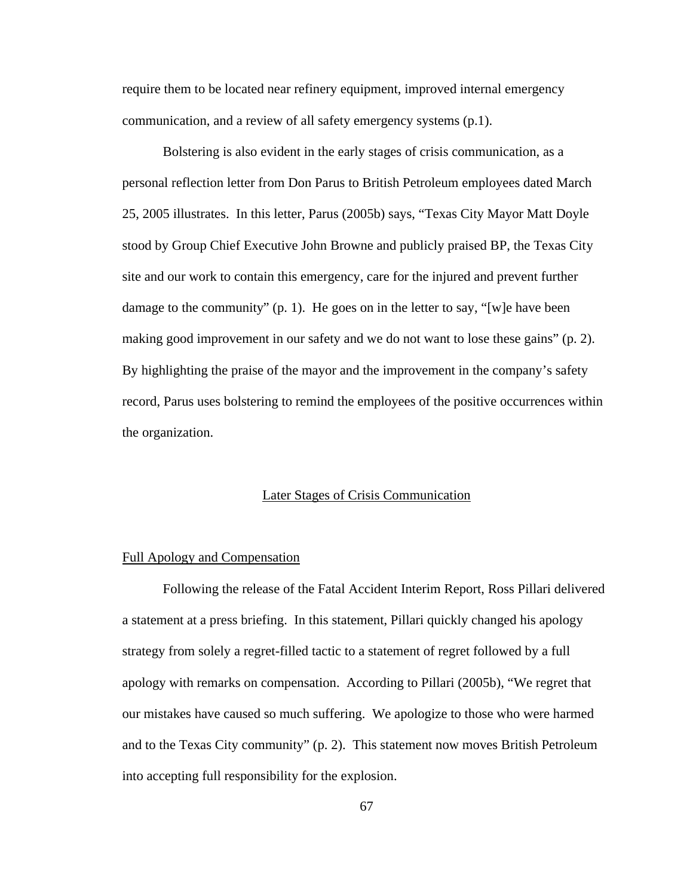require them to be located near refinery equipment, improved internal emergency communication, and a review of all safety emergency systems (p.1).

Bolstering is also evident in the early stages of crisis communication, as a personal reflection letter from Don Parus to British Petroleum employees dated March 25, 2005 illustrates. In this letter, Parus (2005b) says, "Texas City Mayor Matt Doyle stood by Group Chief Executive John Browne and publicly praised BP, the Texas City site and our work to contain this emergency, care for the injured and prevent further damage to the community" (p. 1). He goes on in the letter to say, "[w]e have been making good improvement in our safety and we do not want to lose these gains" (p. 2). By highlighting the praise of the mayor and the improvement in the company's safety record, Parus uses bolstering to remind the employees of the positive occurrences within the organization.

#### Later Stages of Crisis Communication

## Full Apology and Compensation

Following the release of the Fatal Accident Interim Report, Ross Pillari delivered a statement at a press briefing. In this statement, Pillari quickly changed his apology strategy from solely a regret-filled tactic to a statement of regret followed by a full apology with remarks on compensation. According to Pillari (2005b), "We regret that our mistakes have caused so much suffering. We apologize to those who were harmed and to the Texas City community" (p. 2). This statement now moves British Petroleum into accepting full responsibility for the explosion.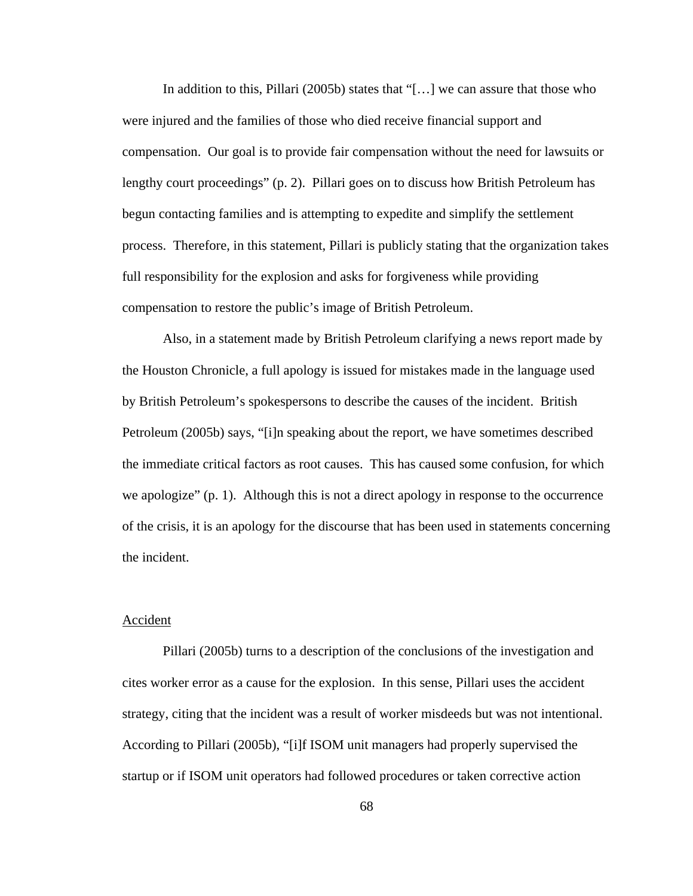In addition to this, Pillari (2005b) states that "[…] we can assure that those who were injured and the families of those who died receive financial support and compensation. Our goal is to provide fair compensation without the need for lawsuits or lengthy court proceedings" (p. 2). Pillari goes on to discuss how British Petroleum has begun contacting families and is attempting to expedite and simplify the settlement process. Therefore, in this statement, Pillari is publicly stating that the organization takes full responsibility for the explosion and asks for forgiveness while providing compensation to restore the public's image of British Petroleum.

Also, in a statement made by British Petroleum clarifying a news report made by the Houston Chronicle, a full apology is issued for mistakes made in the language used by British Petroleum's spokespersons to describe the causes of the incident. British Petroleum (2005b) says, "[i]n speaking about the report, we have sometimes described the immediate critical factors as root causes. This has caused some confusion, for which we apologize" (p. 1). Although this is not a direct apology in response to the occurrence of the crisis, it is an apology for the discourse that has been used in statements concerning the incident.

### Accident

Pillari (2005b) turns to a description of the conclusions of the investigation and cites worker error as a cause for the explosion. In this sense, Pillari uses the accident strategy, citing that the incident was a result of worker misdeeds but was not intentional. According to Pillari (2005b), "[i]f ISOM unit managers had properly supervised the startup or if ISOM unit operators had followed procedures or taken corrective action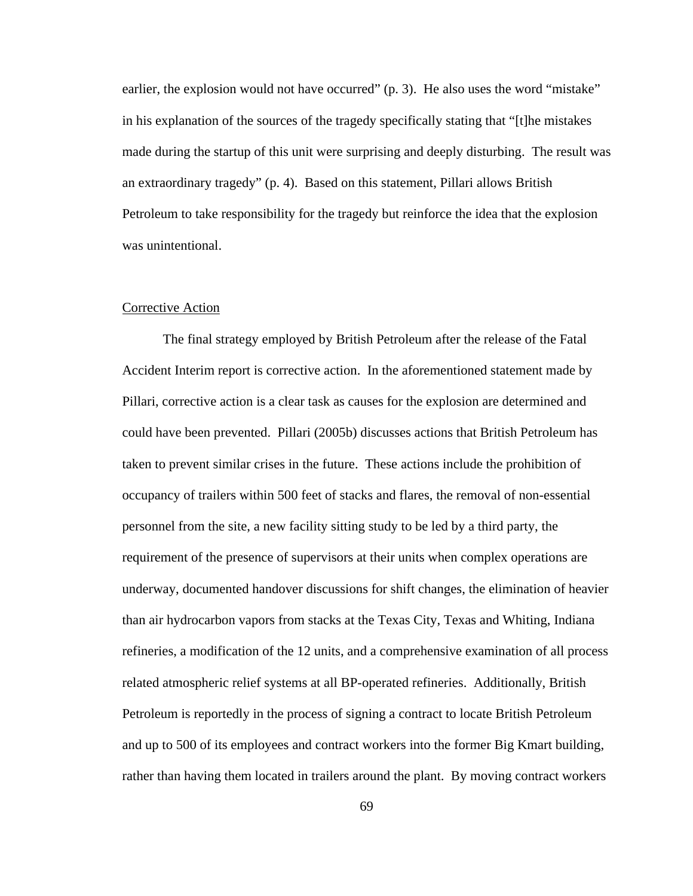earlier, the explosion would not have occurred" (p. 3). He also uses the word "mistake" in his explanation of the sources of the tragedy specifically stating that "[t]he mistakes made during the startup of this unit were surprising and deeply disturbing. The result was an extraordinary tragedy" (p. 4). Based on this statement, Pillari allows British Petroleum to take responsibility for the tragedy but reinforce the idea that the explosion was unintentional.

#### Corrective Action

The final strategy employed by British Petroleum after the release of the Fatal Accident Interim report is corrective action. In the aforementioned statement made by Pillari, corrective action is a clear task as causes for the explosion are determined and could have been prevented. Pillari (2005b) discusses actions that British Petroleum has taken to prevent similar crises in the future. These actions include the prohibition of occupancy of trailers within 500 feet of stacks and flares, the removal of non-essential personnel from the site, a new facility sitting study to be led by a third party, the requirement of the presence of supervisors at their units when complex operations are underway, documented handover discussions for shift changes, the elimination of heavier than air hydrocarbon vapors from stacks at the Texas City, Texas and Whiting, Indiana refineries, a modification of the 12 units, and a comprehensive examination of all process related atmospheric relief systems at all BP-operated refineries. Additionally, British Petroleum is reportedly in the process of signing a contract to locate British Petroleum and up to 500 of its employees and contract workers into the former Big Kmart building, rather than having them located in trailers around the plant. By moving contract workers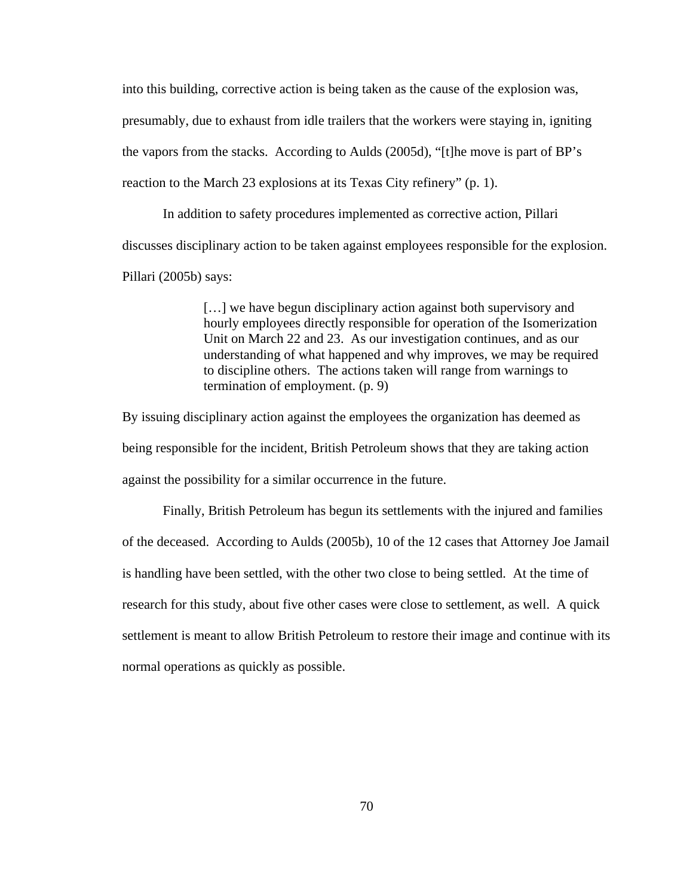into this building, corrective action is being taken as the cause of the explosion was, presumably, due to exhaust from idle trailers that the workers were staying in, igniting the vapors from the stacks. According to Aulds (2005d), "[t]he move is part of BP's reaction to the March 23 explosions at its Texas City refinery" (p. 1).

In addition to safety procedures implemented as corrective action, Pillari discusses disciplinary action to be taken against employees responsible for the explosion. Pillari (2005b) says:

> [...] we have begun disciplinary action against both supervisory and hourly employees directly responsible for operation of the Isomerization Unit on March 22 and 23. As our investigation continues, and as our understanding of what happened and why improves, we may be required to discipline others. The actions taken will range from warnings to termination of employment. (p. 9)

By issuing disciplinary action against the employees the organization has deemed as being responsible for the incident, British Petroleum shows that they are taking action against the possibility for a similar occurrence in the future.

Finally, British Petroleum has begun its settlements with the injured and families of the deceased. According to Aulds (2005b), 10 of the 12 cases that Attorney Joe Jamail is handling have been settled, with the other two close to being settled. At the time of research for this study, about five other cases were close to settlement, as well. A quick settlement is meant to allow British Petroleum to restore their image and continue with its normal operations as quickly as possible.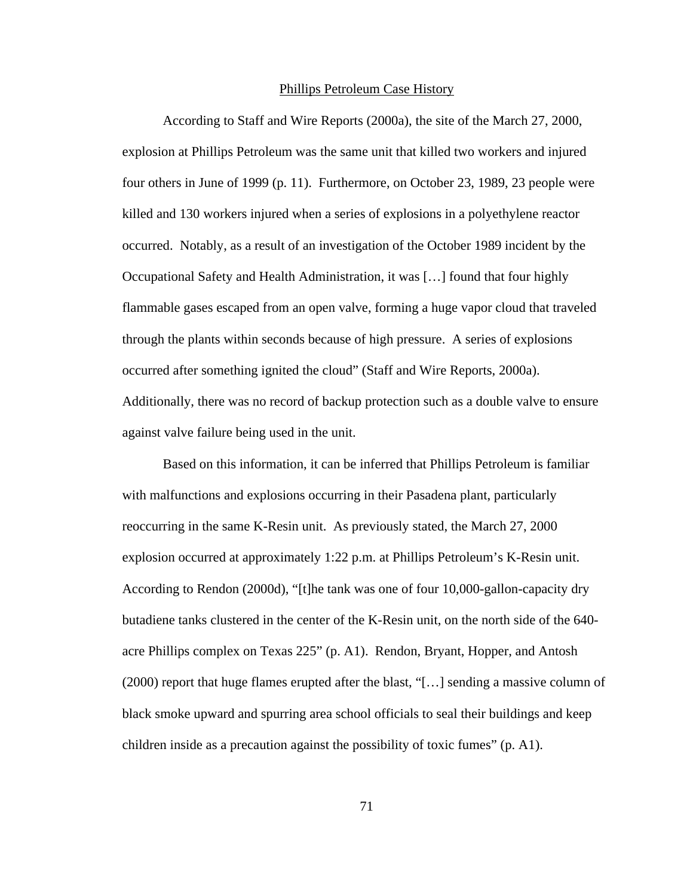#### Phillips Petroleum Case History

According to Staff and Wire Reports (2000a), the site of the March 27, 2000, explosion at Phillips Petroleum was the same unit that killed two workers and injured four others in June of 1999 (p. 11). Furthermore, on October 23, 1989, 23 people were killed and 130 workers injured when a series of explosions in a polyethylene reactor occurred. Notably, as a result of an investigation of the October 1989 incident by the Occupational Safety and Health Administration, it was […] found that four highly flammable gases escaped from an open valve, forming a huge vapor cloud that traveled through the plants within seconds because of high pressure. A series of explosions occurred after something ignited the cloud" (Staff and Wire Reports, 2000a). Additionally, there was no record of backup protection such as a double valve to ensure against valve failure being used in the unit.

Based on this information, it can be inferred that Phillips Petroleum is familiar with malfunctions and explosions occurring in their Pasadena plant, particularly reoccurring in the same K-Resin unit. As previously stated, the March 27, 2000 explosion occurred at approximately 1:22 p.m. at Phillips Petroleum's K-Resin unit. According to Rendon (2000d), "[t]he tank was one of four 10,000-gallon-capacity dry butadiene tanks clustered in the center of the K-Resin unit, on the north side of the 640 acre Phillips complex on Texas 225" (p. A1). Rendon, Bryant, Hopper, and Antosh (2000) report that huge flames erupted after the blast, "[…] sending a massive column of black smoke upward and spurring area school officials to seal their buildings and keep children inside as a precaution against the possibility of toxic fumes" (p. A1).

71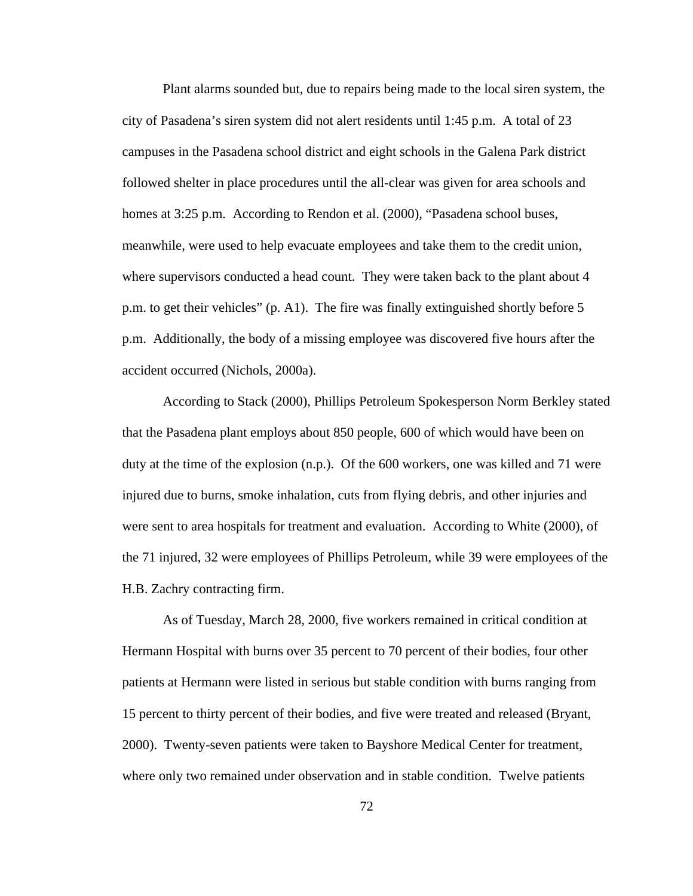Plant alarms sounded but, due to repairs being made to the local siren system, the city of Pasadena's siren system did not alert residents until 1:45 p.m. A total of 23 campuses in the Pasadena school district and eight schools in the Galena Park district followed shelter in place procedures until the all-clear was given for area schools and homes at 3:25 p.m. According to Rendon et al. (2000), "Pasadena school buses, meanwhile, were used to help evacuate employees and take them to the credit union, where supervisors conducted a head count. They were taken back to the plant about 4 p.m. to get their vehicles" (p. A1). The fire was finally extinguished shortly before 5 p.m. Additionally, the body of a missing employee was discovered five hours after the accident occurred (Nichols, 2000a).

According to Stack (2000), Phillips Petroleum Spokesperson Norm Berkley stated that the Pasadena plant employs about 850 people, 600 of which would have been on duty at the time of the explosion (n.p.). Of the 600 workers, one was killed and 71 were injured due to burns, smoke inhalation, cuts from flying debris, and other injuries and were sent to area hospitals for treatment and evaluation. According to White (2000), of the 71 injured, 32 were employees of Phillips Petroleum, while 39 were employees of the H.B. Zachry contracting firm.

As of Tuesday, March 28, 2000, five workers remained in critical condition at Hermann Hospital with burns over 35 percent to 70 percent of their bodies, four other patients at Hermann were listed in serious but stable condition with burns ranging from 15 percent to thirty percent of their bodies, and five were treated and released (Bryant, 2000). Twenty-seven patients were taken to Bayshore Medical Center for treatment, where only two remained under observation and in stable condition. Twelve patients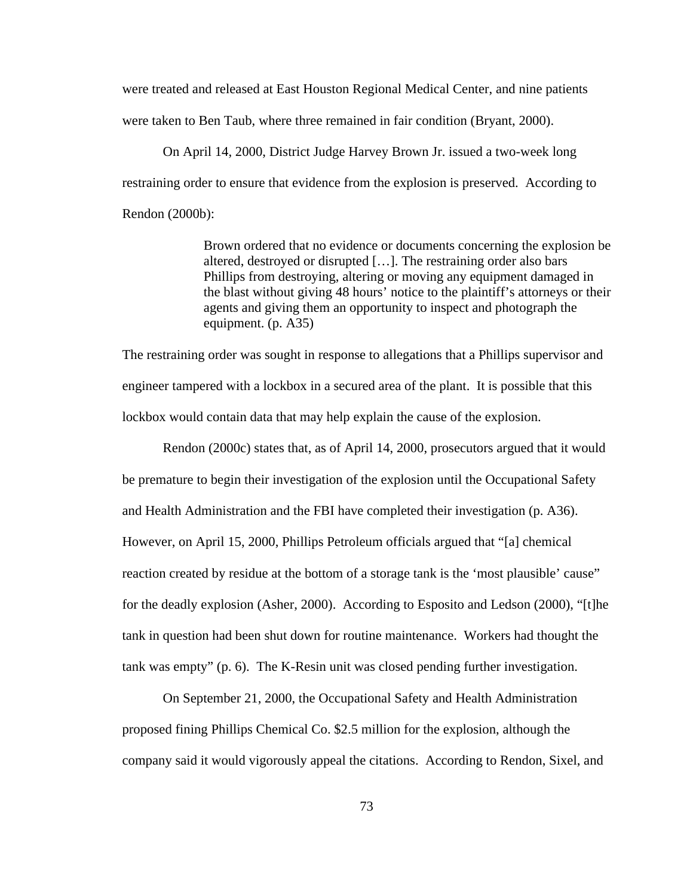were treated and released at East Houston Regional Medical Center, and nine patients were taken to Ben Taub, where three remained in fair condition (Bryant, 2000).

On April 14, 2000, District Judge Harvey Brown Jr. issued a two-week long restraining order to ensure that evidence from the explosion is preserved. According to Rendon (2000b):

> Brown ordered that no evidence or documents concerning the explosion be altered, destroyed or disrupted […]. The restraining order also bars Phillips from destroying, altering or moving any equipment damaged in the blast without giving 48 hours' notice to the plaintiff's attorneys or their agents and giving them an opportunity to inspect and photograph the equipment. (p. A35)

The restraining order was sought in response to allegations that a Phillips supervisor and engineer tampered with a lockbox in a secured area of the plant. It is possible that this lockbox would contain data that may help explain the cause of the explosion.

Rendon (2000c) states that, as of April 14, 2000, prosecutors argued that it would be premature to begin their investigation of the explosion until the Occupational Safety and Health Administration and the FBI have completed their investigation (p. A36). However, on April 15, 2000, Phillips Petroleum officials argued that "[a] chemical reaction created by residue at the bottom of a storage tank is the 'most plausible' cause'' for the deadly explosion (Asher, 2000). According to Esposito and Ledson (2000), "[t]he tank in question had been shut down for routine maintenance. Workers had thought the tank was empty" (p. 6). The K-Resin unit was closed pending further investigation.

On September 21, 2000, the Occupational Safety and Health Administration proposed fining Phillips Chemical Co. \$2.5 million for the explosion, although the company said it would vigorously appeal the citations. According to Rendon, Sixel, and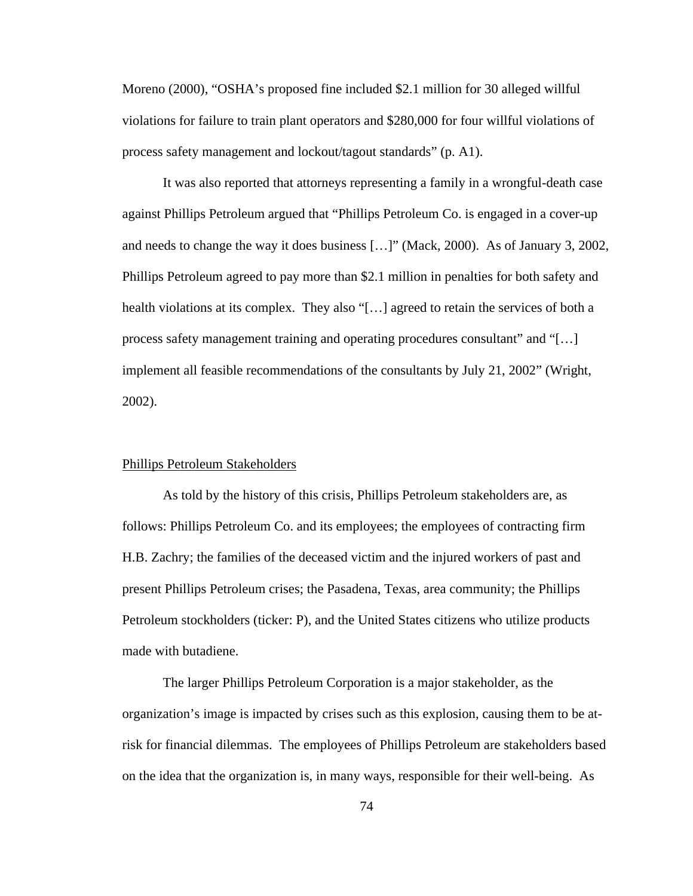Moreno (2000), "OSHA's proposed fine included \$2.1 million for 30 alleged willful violations for failure to train plant operators and \$280,000 for four willful violations of process safety management and lockout/tagout standards" (p. A1).

It was also reported that attorneys representing a family in a wrongful-death case against Phillips Petroleum argued that "Phillips Petroleum Co. is engaged in a cover-up and needs to change the way it does business […]" (Mack, 2000). As of January 3, 2002, Phillips Petroleum agreed to pay more than \$2.1 million in penalties for both safety and health violations at its complex. They also "[...] agreed to retain the services of both a process safety management training and operating procedures consultant" and "[…] implement all feasible recommendations of the consultants by July 21, 2002" (Wright, 2002).

## Phillips Petroleum Stakeholders

As told by the history of this crisis, Phillips Petroleum stakeholders are, as follows: Phillips Petroleum Co. and its employees; the employees of contracting firm H.B. Zachry; the families of the deceased victim and the injured workers of past and present Phillips Petroleum crises; the Pasadena, Texas, area community; the Phillips Petroleum stockholders (ticker: P), and the United States citizens who utilize products made with butadiene.

The larger Phillips Petroleum Corporation is a major stakeholder, as the organization's image is impacted by crises such as this explosion, causing them to be atrisk for financial dilemmas. The employees of Phillips Petroleum are stakeholders based on the idea that the organization is, in many ways, responsible for their well-being. As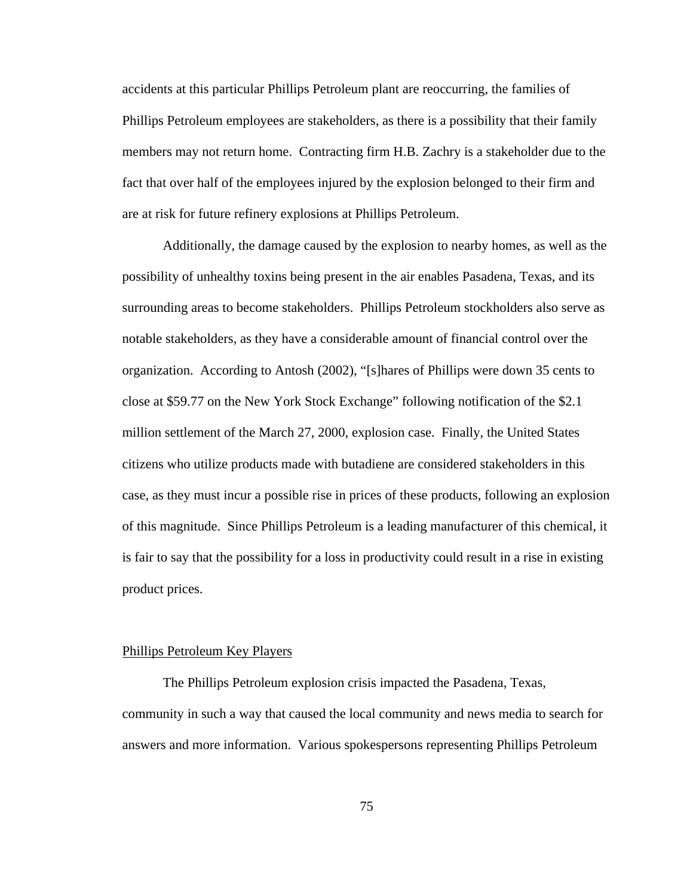accidents at this particular Phillips Petroleum plant are reoccurring, the families of Phillips Petroleum employees are stakeholders, as there is a possibility that their family members may not return home. Contracting firm H.B. Zachry is a stakeholder due to the fact that over half of the employees injured by the explosion belonged to their firm and are at risk for future refinery explosions at Phillips Petroleum.

Additionally, the damage caused by the explosion to nearby homes, as well as the possibility of unhealthy toxins being present in the air enables Pasadena, Texas, and its surrounding areas to become stakeholders. Phillips Petroleum stockholders also serve as notable stakeholders, as they have a considerable amount of financial control over the organization. According to Antosh (2002), "[s]hares of Phillips were down 35 cents to close at \$59.77 on the New York Stock Exchange" following notification of the \$2.1 million settlement of the March 27, 2000, explosion case. Finally, the United States citizens who utilize products made with butadiene are considered stakeholders in this case, as they must incur a possible rise in prices of these products, following an explosion of this magnitude. Since Phillips Petroleum is a leading manufacturer of this chemical, it is fair to say that the possibility for a loss in productivity could result in a rise in existing product prices.

### Phillips Petroleum Key Players

The Phillips Petroleum explosion crisis impacted the Pasadena, Texas, community in such a way that caused the local community and news media to search for answers and more information. Various spokespersons representing Phillips Petroleum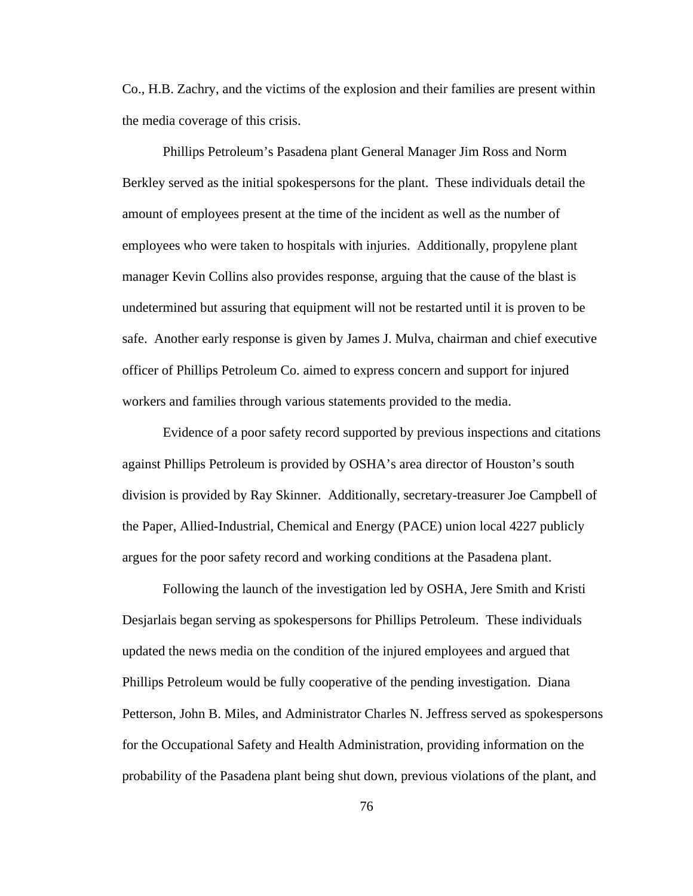Co., H.B. Zachry, and the victims of the explosion and their families are present within the media coverage of this crisis.

Phillips Petroleum's Pasadena plant General Manager Jim Ross and Norm Berkley served as the initial spokespersons for the plant. These individuals detail the amount of employees present at the time of the incident as well as the number of employees who were taken to hospitals with injuries. Additionally, propylene plant manager Kevin Collins also provides response, arguing that the cause of the blast is undetermined but assuring that equipment will not be restarted until it is proven to be safe. Another early response is given by James J. Mulva, chairman and chief executive officer of Phillips Petroleum Co. aimed to express concern and support for injured workers and families through various statements provided to the media.

Evidence of a poor safety record supported by previous inspections and citations against Phillips Petroleum is provided by OSHA's area director of Houston's south division is provided by Ray Skinner. Additionally, secretary-treasurer Joe Campbell of the Paper, Allied-Industrial, Chemical and Energy (PACE) union local 4227 publicly argues for the poor safety record and working conditions at the Pasadena plant.

Following the launch of the investigation led by OSHA, Jere Smith and Kristi Desjarlais began serving as spokespersons for Phillips Petroleum. These individuals updated the news media on the condition of the injured employees and argued that Phillips Petroleum would be fully cooperative of the pending investigation. Diana Petterson, John B. Miles, and Administrator Charles N. Jeffress served as spokespersons for the Occupational Safety and Health Administration, providing information on the probability of the Pasadena plant being shut down, previous violations of the plant, and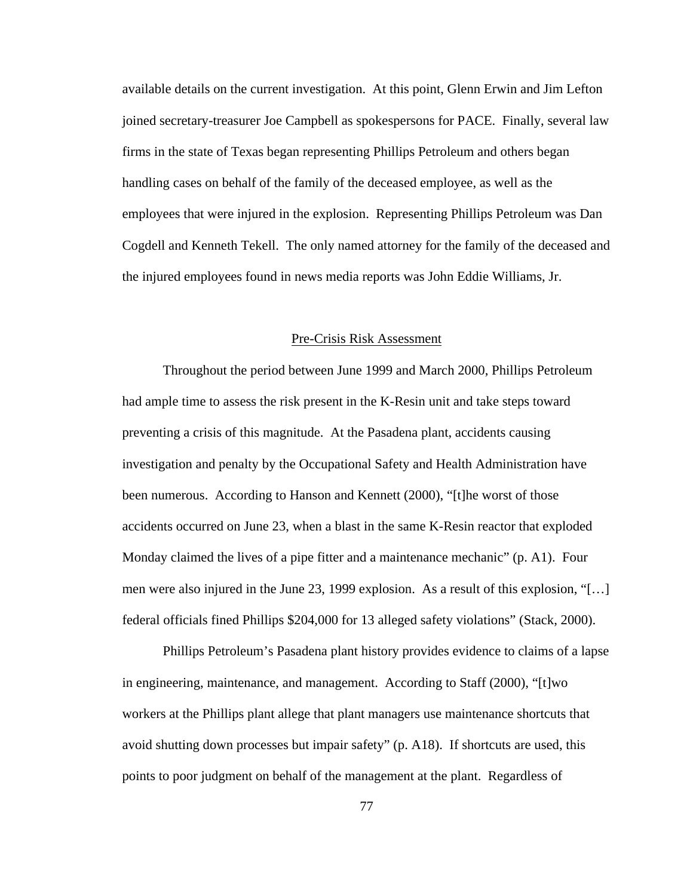available details on the current investigation. At this point, Glenn Erwin and Jim Lefton joined secretary-treasurer Joe Campbell as spokespersons for PACE. Finally, several law firms in the state of Texas began representing Phillips Petroleum and others began handling cases on behalf of the family of the deceased employee, as well as the employees that were injured in the explosion. Representing Phillips Petroleum was Dan Cogdell and Kenneth Tekell. The only named attorney for the family of the deceased and the injured employees found in news media reports was John Eddie Williams, Jr.

### Pre-Crisis Risk Assessment

Throughout the period between June 1999 and March 2000, Phillips Petroleum had ample time to assess the risk present in the K-Resin unit and take steps toward preventing a crisis of this magnitude. At the Pasadena plant, accidents causing investigation and penalty by the Occupational Safety and Health Administration have been numerous. According to Hanson and Kennett (2000), "[t]he worst of those accidents occurred on June 23, when a blast in the same K-Resin reactor that exploded Monday claimed the lives of a pipe fitter and a maintenance mechanic" (p. A1). Four men were also injured in the June 23, 1999 explosion. As a result of this explosion, "[…] federal officials fined Phillips \$204,000 for 13 alleged safety violations" (Stack, 2000).

Phillips Petroleum's Pasadena plant history provides evidence to claims of a lapse in engineering, maintenance, and management. According to Staff (2000), "[t]wo workers at the Phillips plant allege that plant managers use maintenance shortcuts that avoid shutting down processes but impair safety" (p. A18). If shortcuts are used, this points to poor judgment on behalf of the management at the plant. Regardless of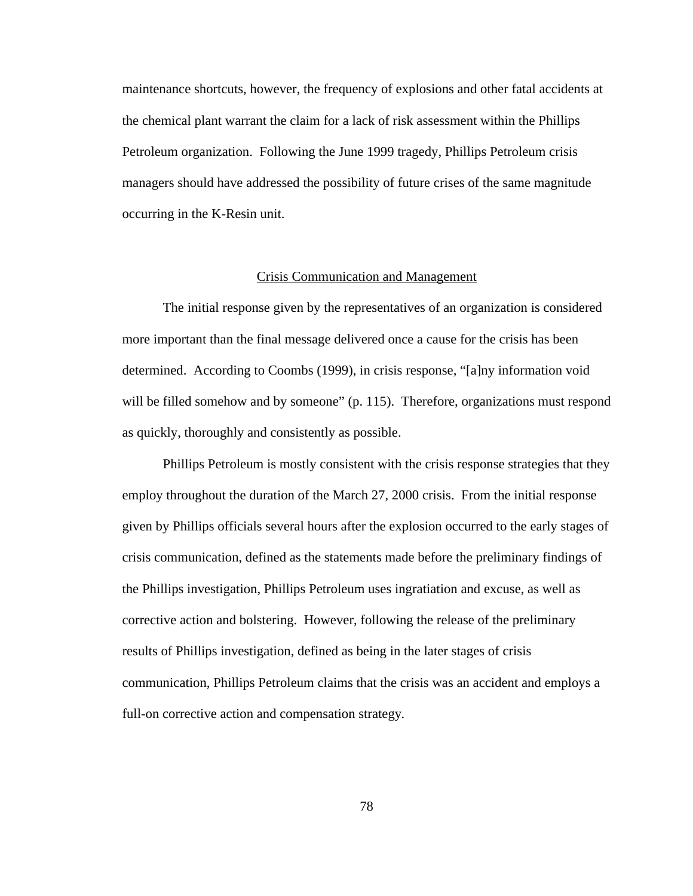maintenance shortcuts, however, the frequency of explosions and other fatal accidents at the chemical plant warrant the claim for a lack of risk assessment within the Phillips Petroleum organization. Following the June 1999 tragedy, Phillips Petroleum crisis managers should have addressed the possibility of future crises of the same magnitude occurring in the K-Resin unit.

### Crisis Communication and Management

The initial response given by the representatives of an organization is considered more important than the final message delivered once a cause for the crisis has been determined. According to Coombs (1999), in crisis response, "[a]ny information void will be filled somehow and by someone" (p. 115). Therefore, organizations must respond as quickly, thoroughly and consistently as possible.

Phillips Petroleum is mostly consistent with the crisis response strategies that they employ throughout the duration of the March 27, 2000 crisis. From the initial response given by Phillips officials several hours after the explosion occurred to the early stages of crisis communication, defined as the statements made before the preliminary findings of the Phillips investigation, Phillips Petroleum uses ingratiation and excuse, as well as corrective action and bolstering. However, following the release of the preliminary results of Phillips investigation, defined as being in the later stages of crisis communication, Phillips Petroleum claims that the crisis was an accident and employs a full-on corrective action and compensation strategy.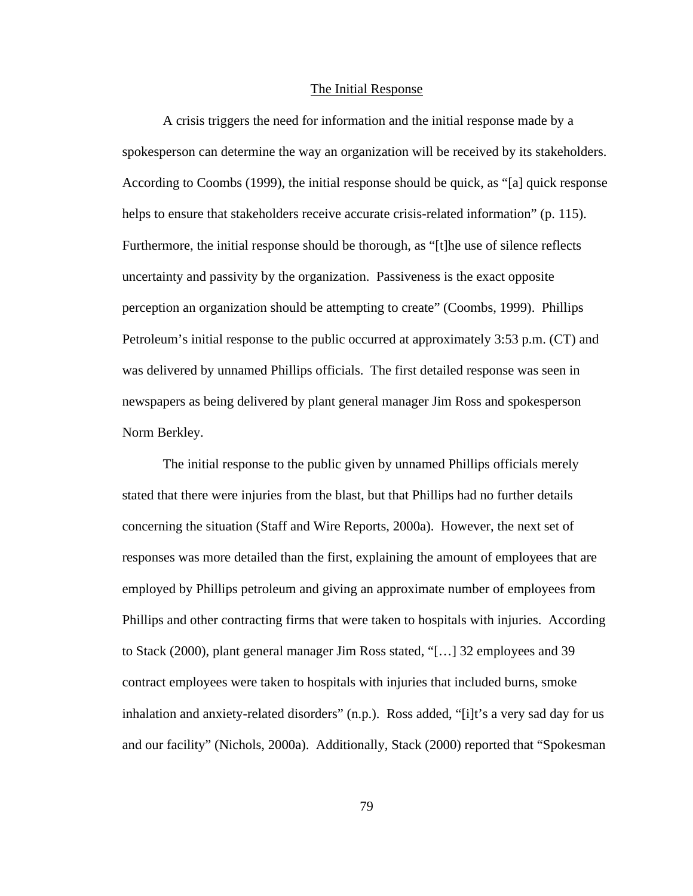#### The Initial Response

A crisis triggers the need for information and the initial response made by a spokesperson can determine the way an organization will be received by its stakeholders. According to Coombs (1999), the initial response should be quick, as "[a] quick response helps to ensure that stakeholders receive accurate crisis-related information" (p. 115). Furthermore, the initial response should be thorough, as "[t]he use of silence reflects uncertainty and passivity by the organization. Passiveness is the exact opposite perception an organization should be attempting to create" (Coombs, 1999). Phillips Petroleum's initial response to the public occurred at approximately 3:53 p.m. (CT) and was delivered by unnamed Phillips officials. The first detailed response was seen in newspapers as being delivered by plant general manager Jim Ross and spokesperson Norm Berkley.

The initial response to the public given by unnamed Phillips officials merely stated that there were injuries from the blast, but that Phillips had no further details concerning the situation (Staff and Wire Reports, 2000a). However, the next set of responses was more detailed than the first, explaining the amount of employees that are employed by Phillips petroleum and giving an approximate number of employees from Phillips and other contracting firms that were taken to hospitals with injuries. According to Stack (2000), plant general manager Jim Ross stated, "[…] 32 employees and 39 contract employees were taken to hospitals with injuries that included burns, smoke inhalation and anxiety-related disorders" (n.p.). Ross added, "[i]t's a very sad day for us and our facility" (Nichols, 2000a). Additionally, Stack (2000) reported that "Spokesman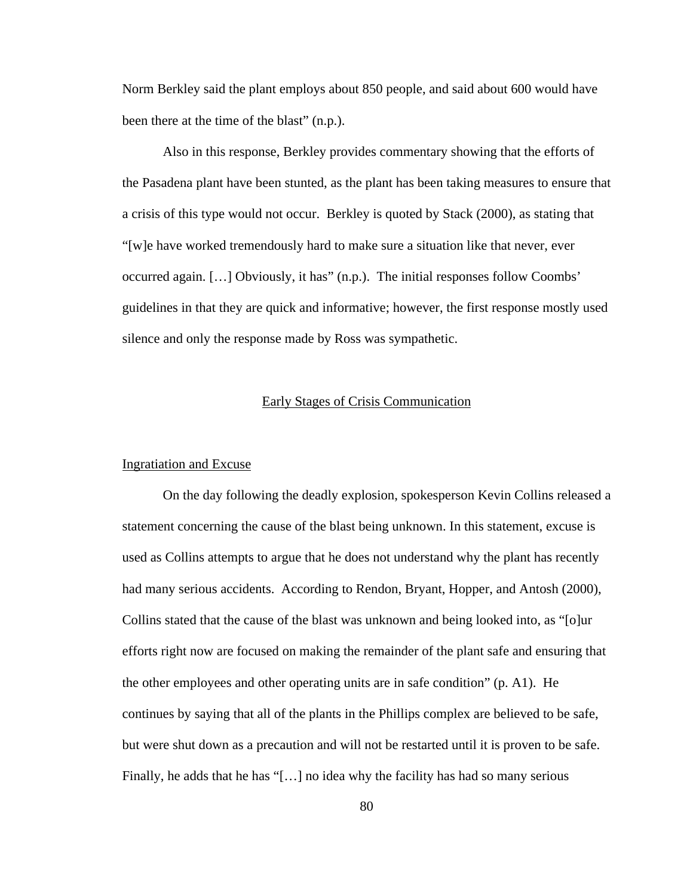Norm Berkley said the plant employs about 850 people, and said about 600 would have been there at the time of the blast" (n.p.).

Also in this response, Berkley provides commentary showing that the efforts of the Pasadena plant have been stunted, as the plant has been taking measures to ensure that a crisis of this type would not occur. Berkley is quoted by Stack (2000), as stating that "[w]e have worked tremendously hard to make sure a situation like that never, ever occurred again. […] Obviously, it has" (n.p.). The initial responses follow Coombs' guidelines in that they are quick and informative; however, the first response mostly used silence and only the response made by Ross was sympathetic.

# Early Stages of Crisis Communication

### Ingratiation and Excuse

On the day following the deadly explosion, spokesperson Kevin Collins released a statement concerning the cause of the blast being unknown. In this statement, excuse is used as Collins attempts to argue that he does not understand why the plant has recently had many serious accidents. According to Rendon, Bryant, Hopper, and Antosh (2000), Collins stated that the cause of the blast was unknown and being looked into, as "[o]ur efforts right now are focused on making the remainder of the plant safe and ensuring that the other employees and other operating units are in safe condition" (p. A1). He continues by saying that all of the plants in the Phillips complex are believed to be safe, but were shut down as a precaution and will not be restarted until it is proven to be safe. Finally, he adds that he has "[…] no idea why the facility has had so many serious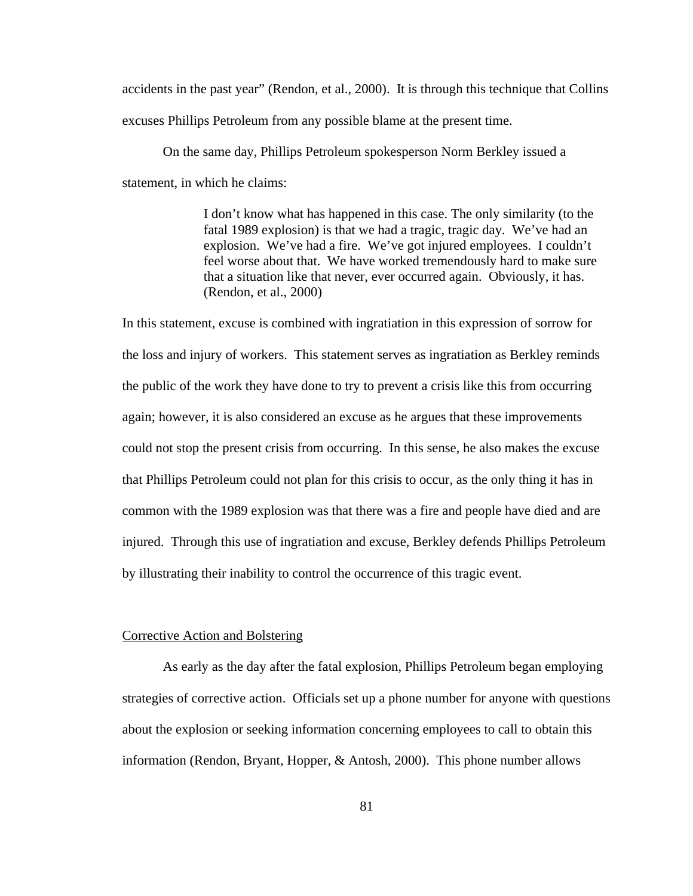accidents in the past year" (Rendon, et al., 2000). It is through this technique that Collins excuses Phillips Petroleum from any possible blame at the present time.

On the same day, Phillips Petroleum spokesperson Norm Berkley issued a statement, in which he claims:

> I don't know what has happened in this case. The only similarity (to the fatal 1989 explosion) is that we had a tragic, tragic day. We've had an explosion. We've had a fire. We've got injured employees. I couldn't feel worse about that. We have worked tremendously hard to make sure that a situation like that never, ever occurred again. Obviously, it has. (Rendon, et al., 2000)

In this statement, excuse is combined with ingratiation in this expression of sorrow for the loss and injury of workers. This statement serves as ingratiation as Berkley reminds the public of the work they have done to try to prevent a crisis like this from occurring again; however, it is also considered an excuse as he argues that these improvements could not stop the present crisis from occurring. In this sense, he also makes the excuse that Phillips Petroleum could not plan for this crisis to occur, as the only thing it has in common with the 1989 explosion was that there was a fire and people have died and are injured. Through this use of ingratiation and excuse, Berkley defends Phillips Petroleum by illustrating their inability to control the occurrence of this tragic event.

#### Corrective Action and Bolstering

As early as the day after the fatal explosion, Phillips Petroleum began employing strategies of corrective action. Officials set up a phone number for anyone with questions about the explosion or seeking information concerning employees to call to obtain this information (Rendon, Bryant, Hopper, & Antosh, 2000). This phone number allows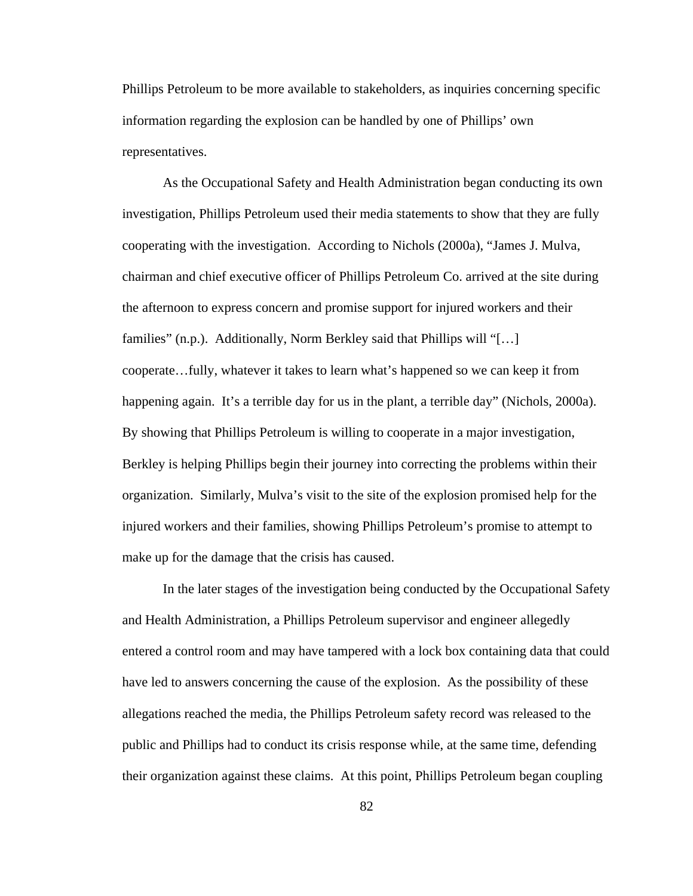Phillips Petroleum to be more available to stakeholders, as inquiries concerning specific information regarding the explosion can be handled by one of Phillips' own representatives.

As the Occupational Safety and Health Administration began conducting its own investigation, Phillips Petroleum used their media statements to show that they are fully cooperating with the investigation. According to Nichols (2000a), "James J. Mulva, chairman and chief executive officer of Phillips Petroleum Co. arrived at the site during the afternoon to express concern and promise support for injured workers and their families" (n.p.). Additionally, Norm Berkley said that Phillips will "[…] cooperate…fully, whatever it takes to learn what's happened so we can keep it from happening again. It's a terrible day for us in the plant, a terrible day" (Nichols, 2000a). By showing that Phillips Petroleum is willing to cooperate in a major investigation, Berkley is helping Phillips begin their journey into correcting the problems within their organization. Similarly, Mulva's visit to the site of the explosion promised help for the injured workers and their families, showing Phillips Petroleum's promise to attempt to make up for the damage that the crisis has caused.

In the later stages of the investigation being conducted by the Occupational Safety and Health Administration, a Phillips Petroleum supervisor and engineer allegedly entered a control room and may have tampered with a lock box containing data that could have led to answers concerning the cause of the explosion. As the possibility of these allegations reached the media, the Phillips Petroleum safety record was released to the public and Phillips had to conduct its crisis response while, at the same time, defending their organization against these claims. At this point, Phillips Petroleum began coupling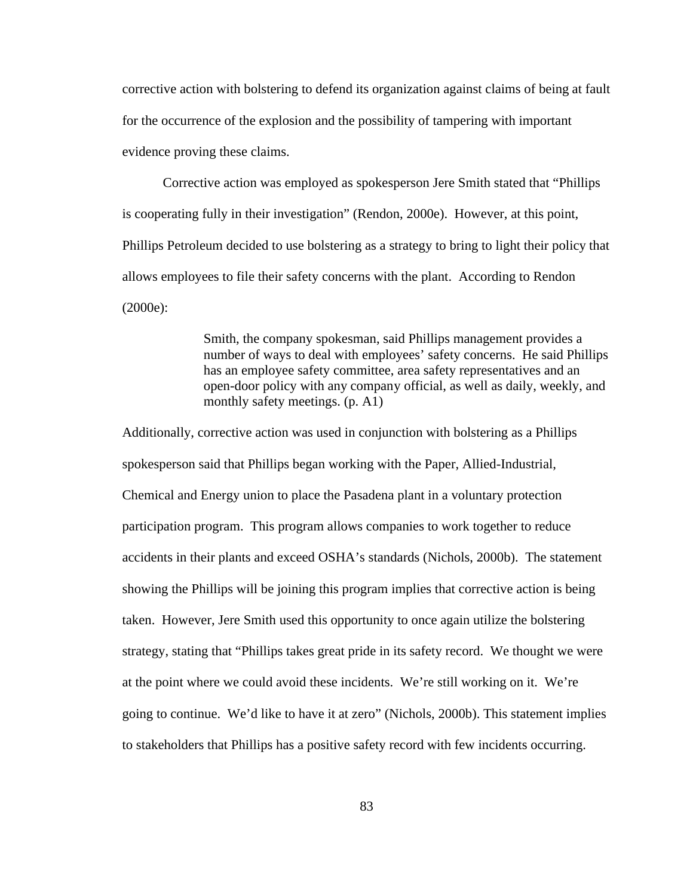corrective action with bolstering to defend its organization against claims of being at fault for the occurrence of the explosion and the possibility of tampering with important evidence proving these claims.

Corrective action was employed as spokesperson Jere Smith stated that "Phillips is cooperating fully in their investigation" (Rendon, 2000e). However, at this point, Phillips Petroleum decided to use bolstering as a strategy to bring to light their policy that allows employees to file their safety concerns with the plant. According to Rendon (2000e):

> Smith, the company spokesman, said Phillips management provides a number of ways to deal with employees' safety concerns. He said Phillips has an employee safety committee, area safety representatives and an open-door policy with any company official, as well as daily, weekly, and monthly safety meetings. (p. A1)

Additionally, corrective action was used in conjunction with bolstering as a Phillips spokesperson said that Phillips began working with the Paper, Allied-Industrial, Chemical and Energy union to place the Pasadena plant in a voluntary protection participation program. This program allows companies to work together to reduce accidents in their plants and exceed OSHA's standards (Nichols, 2000b). The statement showing the Phillips will be joining this program implies that corrective action is being taken. However, Jere Smith used this opportunity to once again utilize the bolstering strategy, stating that "Phillips takes great pride in its safety record. We thought we were at the point where we could avoid these incidents. We're still working on it. We're going to continue. We'd like to have it at zero" (Nichols, 2000b). This statement implies to stakeholders that Phillips has a positive safety record with few incidents occurring.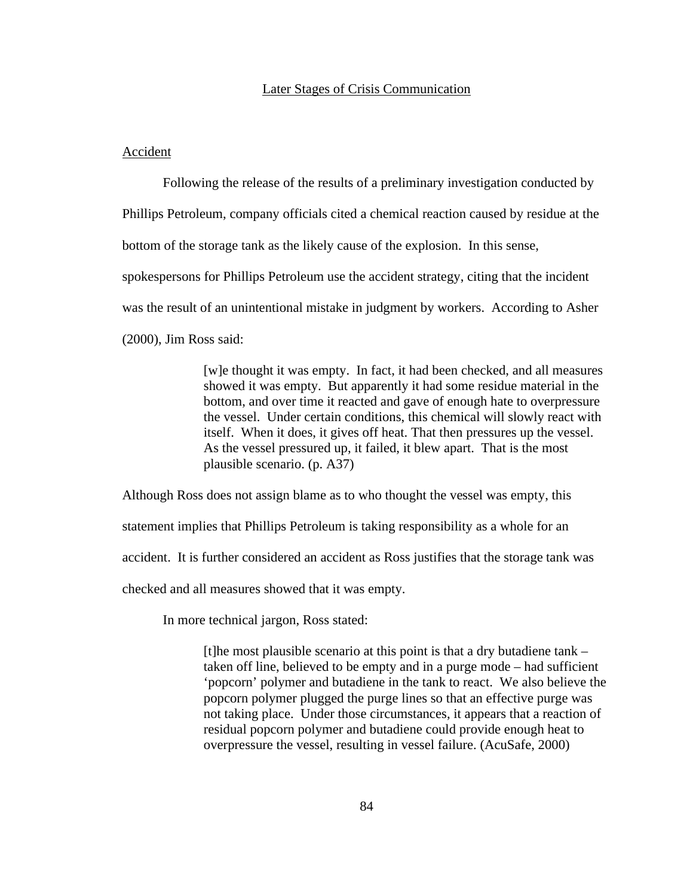### Later Stages of Crisis Communication

#### Accident

Following the release of the results of a preliminary investigation conducted by Phillips Petroleum, company officials cited a chemical reaction caused by residue at the bottom of the storage tank as the likely cause of the explosion. In this sense, spokespersons for Phillips Petroleum use the accident strategy, citing that the incident was the result of an unintentional mistake in judgment by workers. According to Asher (2000), Jim Ross said:

> [w]e thought it was empty. In fact, it had been checked, and all measures showed it was empty. But apparently it had some residue material in the bottom, and over time it reacted and gave of enough hate to overpressure the vessel. Under certain conditions, this chemical will slowly react with itself. When it does, it gives off heat. That then pressures up the vessel. As the vessel pressured up, it failed, it blew apart. That is the most plausible scenario. (p. A37)

Although Ross does not assign blame as to who thought the vessel was empty, this statement implies that Phillips Petroleum is taking responsibility as a whole for an accident. It is further considered an accident as Ross justifies that the storage tank was checked and all measures showed that it was empty.

In more technical jargon, Ross stated:

[t]he most plausible scenario at this point is that a dry butadiene tank – taken off line, believed to be empty and in a purge mode – had sufficient 'popcorn' polymer and butadiene in the tank to react. We also believe the popcorn polymer plugged the purge lines so that an effective purge was not taking place. Under those circumstances, it appears that a reaction of residual popcorn polymer and butadiene could provide enough heat to overpressure the vessel, resulting in vessel failure. (AcuSafe, 2000)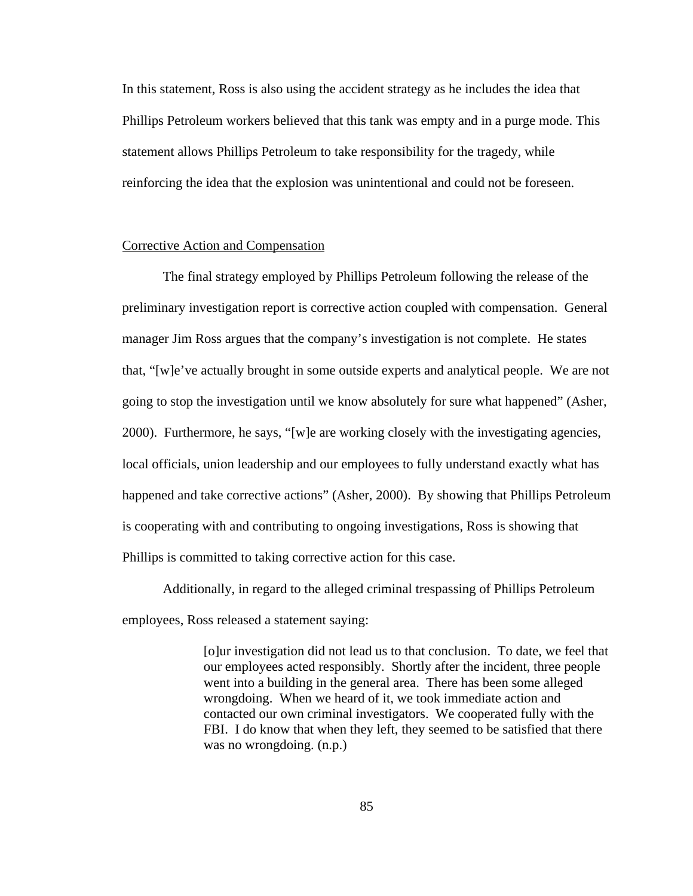In this statement, Ross is also using the accident strategy as he includes the idea that Phillips Petroleum workers believed that this tank was empty and in a purge mode. This statement allows Phillips Petroleum to take responsibility for the tragedy, while reinforcing the idea that the explosion was unintentional and could not be foreseen.

## Corrective Action and Compensation

The final strategy employed by Phillips Petroleum following the release of the preliminary investigation report is corrective action coupled with compensation. General manager Jim Ross argues that the company's investigation is not complete. He states that, "[w]e've actually brought in some outside experts and analytical people. We are not going to stop the investigation until we know absolutely for sure what happened" (Asher,  $2000$ ). Furthermore, he says, "[w]e are working closely with the investigating agencies, local officials, union leadership and our employees to fully understand exactly what has happened and take corrective actions" (Asher, 2000). By showing that Phillips Petroleum is cooperating with and contributing to ongoing investigations, Ross is showing that Phillips is committed to taking corrective action for this case.

Additionally, in regard to the alleged criminal trespassing of Phillips Petroleum employees, Ross released a statement saying:

> [o]ur investigation did not lead us to that conclusion. To date, we feel that our employees acted responsibly. Shortly after the incident, three people went into a building in the general area. There has been some alleged wrongdoing. When we heard of it, we took immediate action and contacted our own criminal investigators. We cooperated fully with the FBI. I do know that when they left, they seemed to be satisfied that there was no wrongdoing.  $(n.p.)$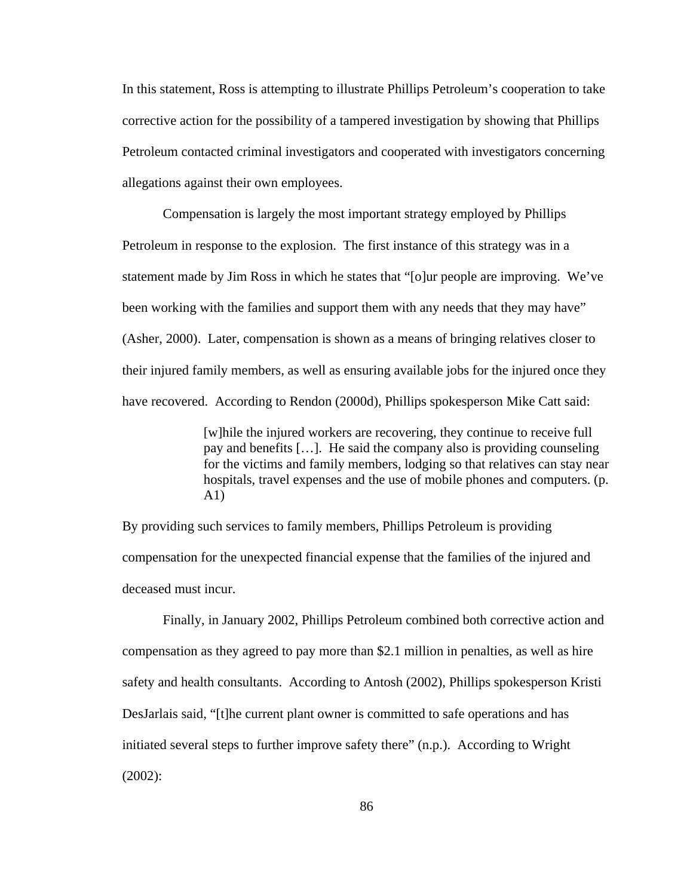In this statement, Ross is attempting to illustrate Phillips Petroleum's cooperation to take corrective action for the possibility of a tampered investigation by showing that Phillips Petroleum contacted criminal investigators and cooperated with investigators concerning allegations against their own employees.

Compensation is largely the most important strategy employed by Phillips Petroleum in response to the explosion. The first instance of this strategy was in a statement made by Jim Ross in which he states that "[o]ur people are improving. We've been working with the families and support them with any needs that they may have" (Asher, 2000). Later, compensation is shown as a means of bringing relatives closer to their injured family members, as well as ensuring available jobs for the injured once they have recovered. According to Rendon (2000d), Phillips spokesperson Mike Catt said:

> [w]hile the injured workers are recovering, they continue to receive full pay and benefits […]. He said the company also is providing counseling for the victims and family members, lodging so that relatives can stay near hospitals, travel expenses and the use of mobile phones and computers. (p. A1)

By providing such services to family members, Phillips Petroleum is providing compensation for the unexpected financial expense that the families of the injured and deceased must incur.

Finally, in January 2002, Phillips Petroleum combined both corrective action and compensation as they agreed to pay more than \$2.1 million in penalties, as well as hire safety and health consultants. According to Antosh (2002), Phillips spokesperson Kristi DesJarlais said, "[t]he current plant owner is committed to safe operations and has initiated several steps to further improve safety there" (n.p.). According to Wright (2002):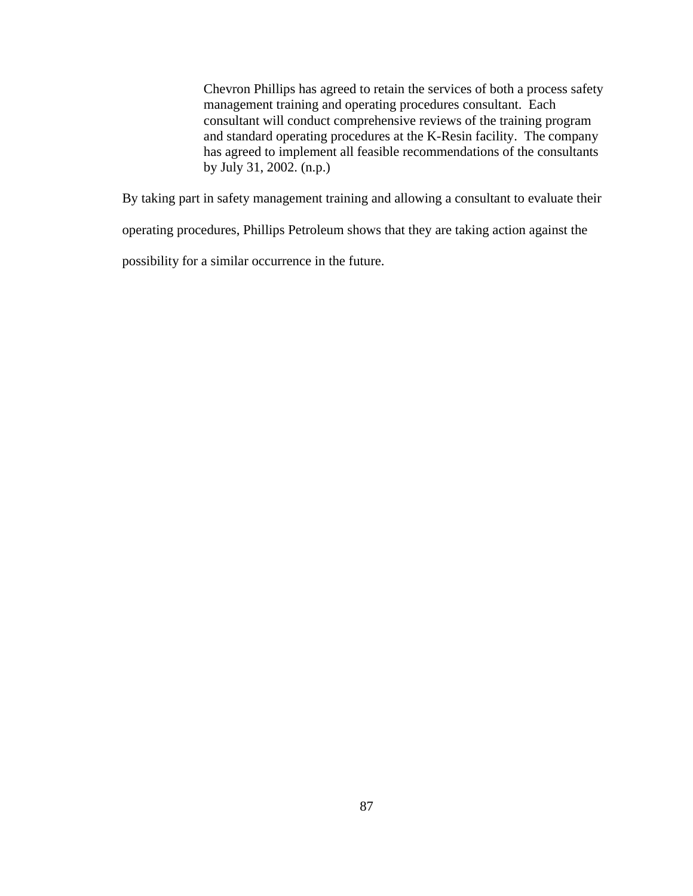Chevron Phillips has agreed to retain the services of both a process safety management training and operating procedures consultant. Each consultant will conduct comprehensive reviews of the training program and standard operating procedures at the K-Resin facility. The company has agreed to implement all feasible recommendations of the consultants by July 31, 2002. (n.p.)

By taking part in safety management training and allowing a consultant to evaluate their

operating procedures, Phillips Petroleum shows that they are taking action against the

possibility for a similar occurrence in the future.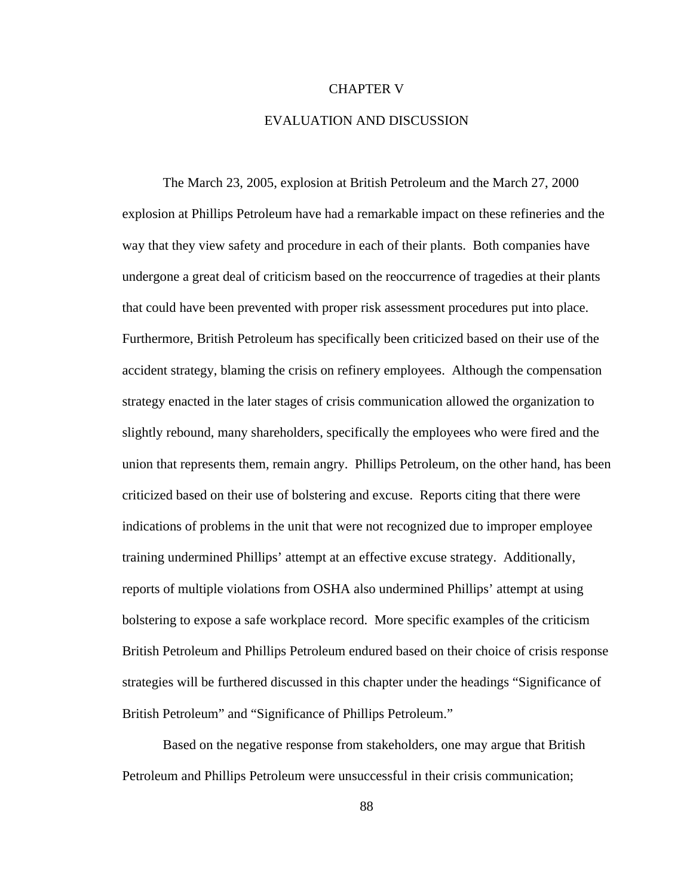## CHAPTER V

## EVALUATION AND DISCUSSION

The March 23, 2005, explosion at British Petroleum and the March 27, 2000 explosion at Phillips Petroleum have had a remarkable impact on these refineries and the way that they view safety and procedure in each of their plants. Both companies have undergone a great deal of criticism based on the reoccurrence of tragedies at their plants that could have been prevented with proper risk assessment procedures put into place. Furthermore, British Petroleum has specifically been criticized based on their use of the accident strategy, blaming the crisis on refinery employees. Although the compensation strategy enacted in the later stages of crisis communication allowed the organization to slightly rebound, many shareholders, specifically the employees who were fired and the union that represents them, remain angry. Phillips Petroleum, on the other hand, has been criticized based on their use of bolstering and excuse. Reports citing that there were indications of problems in the unit that were not recognized due to improper employee training undermined Phillips' attempt at an effective excuse strategy. Additionally, reports of multiple violations from OSHA also undermined Phillips' attempt at using bolstering to expose a safe workplace record. More specific examples of the criticism British Petroleum and Phillips Petroleum endured based on their choice of crisis response strategies will be furthered discussed in this chapter under the headings "Significance of British Petroleum" and "Significance of Phillips Petroleum."

Based on the negative response from stakeholders, one may argue that British Petroleum and Phillips Petroleum were unsuccessful in their crisis communication;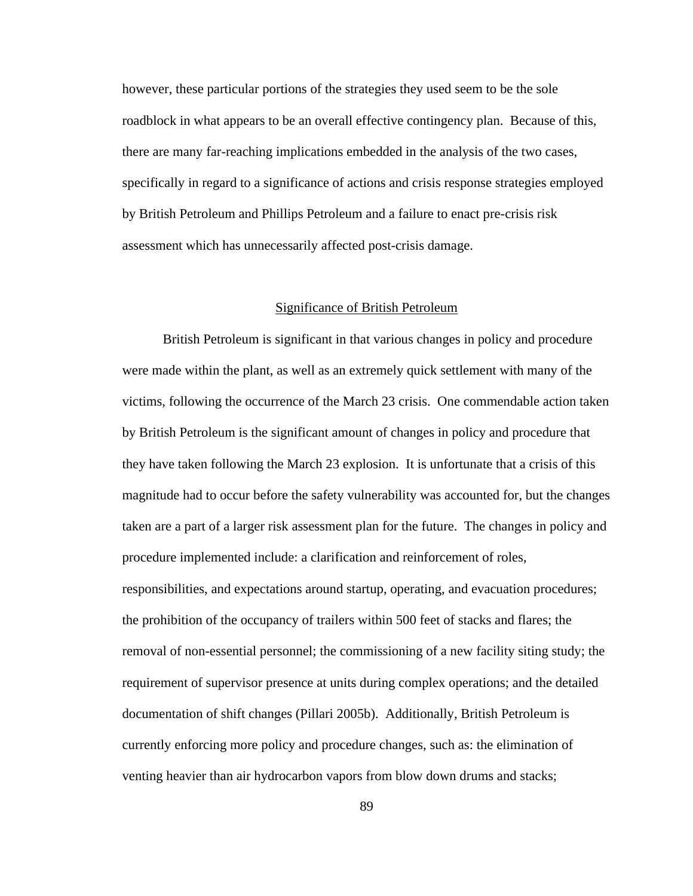however, these particular portions of the strategies they used seem to be the sole roadblock in what appears to be an overall effective contingency plan. Because of this, there are many far-reaching implications embedded in the analysis of the two cases, specifically in regard to a significance of actions and crisis response strategies employed by British Petroleum and Phillips Petroleum and a failure to enact pre-crisis risk assessment which has unnecessarily affected post-crisis damage.

### Significance of British Petroleum

British Petroleum is significant in that various changes in policy and procedure were made within the plant, as well as an extremely quick settlement with many of the victims, following the occurrence of the March 23 crisis. One commendable action taken by British Petroleum is the significant amount of changes in policy and procedure that they have taken following the March 23 explosion. It is unfortunate that a crisis of this magnitude had to occur before the safety vulnerability was accounted for, but the changes taken are a part of a larger risk assessment plan for the future. The changes in policy and procedure implemented include: a clarification and reinforcement of roles, responsibilities, and expectations around startup, operating, and evacuation procedures; the prohibition of the occupancy of trailers within 500 feet of stacks and flares; the removal of non-essential personnel; the commissioning of a new facility siting study; the requirement of supervisor presence at units during complex operations; and the detailed documentation of shift changes (Pillari 2005b). Additionally, British Petroleum is currently enforcing more policy and procedure changes, such as: the elimination of venting heavier than air hydrocarbon vapors from blow down drums and stacks;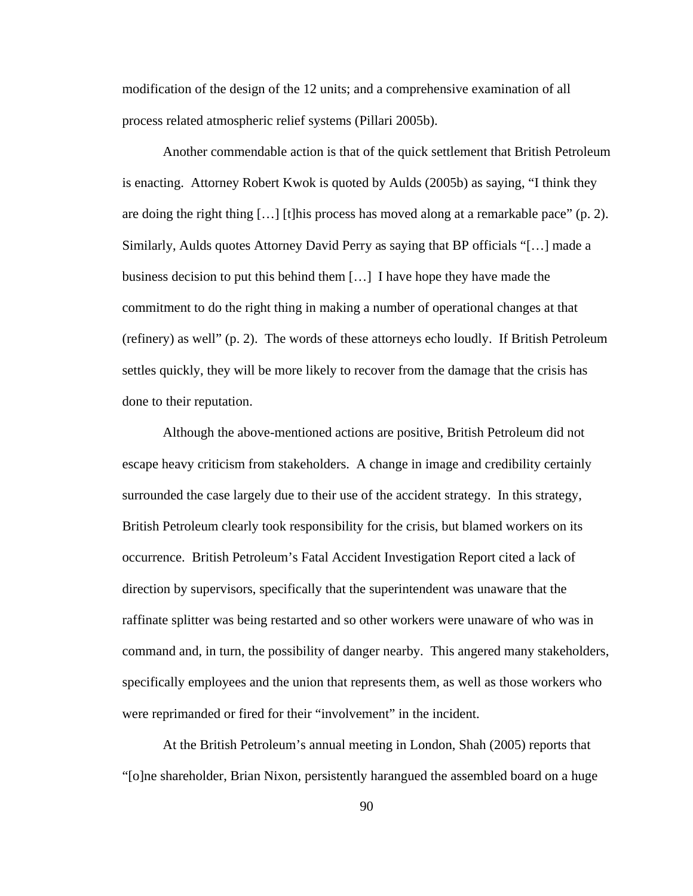modification of the design of the 12 units; and a comprehensive examination of all process related atmospheric relief systems (Pillari 2005b).

Another commendable action is that of the quick settlement that British Petroleum is enacting. Attorney Robert Kwok is quoted by Aulds (2005b) as saying, "I think they are doing the right thing  $[\ldots]$  [t]his process has moved along at a remarkable pace" (p. 2). Similarly, Aulds quotes Attorney David Perry as saying that BP officials "[…] made a business decision to put this behind them […] I have hope they have made the commitment to do the right thing in making a number of operational changes at that (refinery) as well" (p. 2). The words of these attorneys echo loudly. If British Petroleum settles quickly, they will be more likely to recover from the damage that the crisis has done to their reputation.

Although the above-mentioned actions are positive, British Petroleum did not escape heavy criticism from stakeholders. A change in image and credibility certainly surrounded the case largely due to their use of the accident strategy. In this strategy, British Petroleum clearly took responsibility for the crisis, but blamed workers on its occurrence. British Petroleum's Fatal Accident Investigation Report cited a lack of direction by supervisors, specifically that the superintendent was unaware that the raffinate splitter was being restarted and so other workers were unaware of who was in command and, in turn, the possibility of danger nearby. This angered many stakeholders, specifically employees and the union that represents them, as well as those workers who were reprimanded or fired for their "involvement" in the incident.

At the British Petroleum's annual meeting in London, Shah (2005) reports that "[o]ne shareholder, Brian Nixon, persistently harangued the assembled board on a huge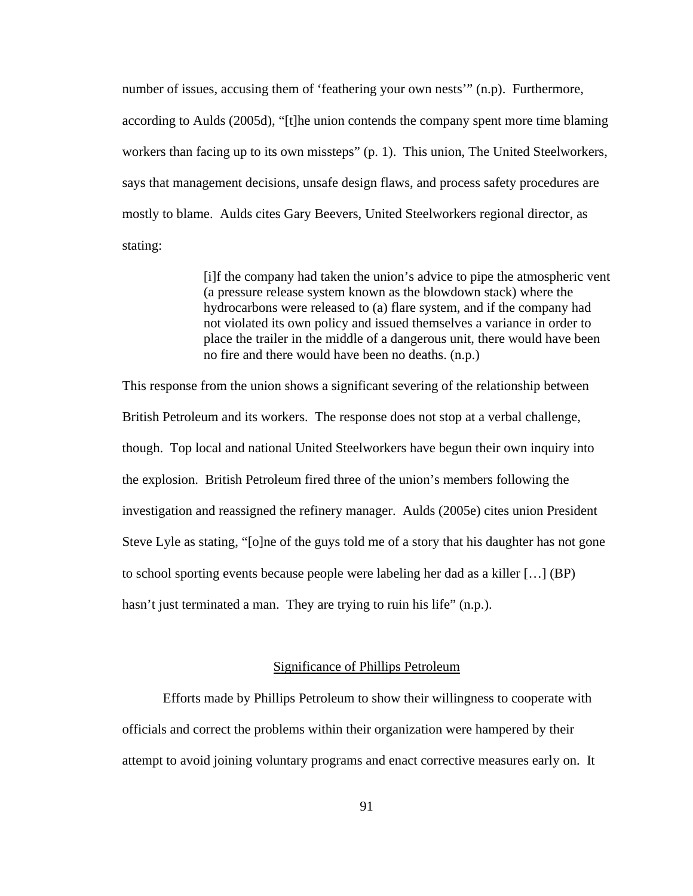number of issues, accusing them of 'feathering your own nests'" (n.p). Furthermore, according to Aulds (2005d), "[t]he union contends the company spent more time blaming workers than facing up to its own missteps" (p. 1). This union, The United Steelworkers, says that management decisions, unsafe design flaws, and process safety procedures are mostly to blame. Aulds cites Gary Beevers, United Steelworkers regional director, as stating:

> [i]f the company had taken the union's advice to pipe the atmospheric vent (a pressure release system known as the blowdown stack) where the hydrocarbons were released to (a) flare system, and if the company had not violated its own policy and issued themselves a variance in order to place the trailer in the middle of a dangerous unit, there would have been no fire and there would have been no deaths. (n.p.)

This response from the union shows a significant severing of the relationship between British Petroleum and its workers. The response does not stop at a verbal challenge, though. Top local and national United Steelworkers have begun their own inquiry into the explosion. British Petroleum fired three of the union's members following the investigation and reassigned the refinery manager. Aulds (2005e) cites union President Steve Lyle as stating, "[o]ne of the guys told me of a story that his daughter has not gone to school sporting events because people were labeling her dad as a killer […] (BP) hasn't just terminated a man. They are trying to ruin his life" (n.p.).

# Significance of Phillips Petroleum

Efforts made by Phillips Petroleum to show their willingness to cooperate with officials and correct the problems within their organization were hampered by their attempt to avoid joining voluntary programs and enact corrective measures early on. It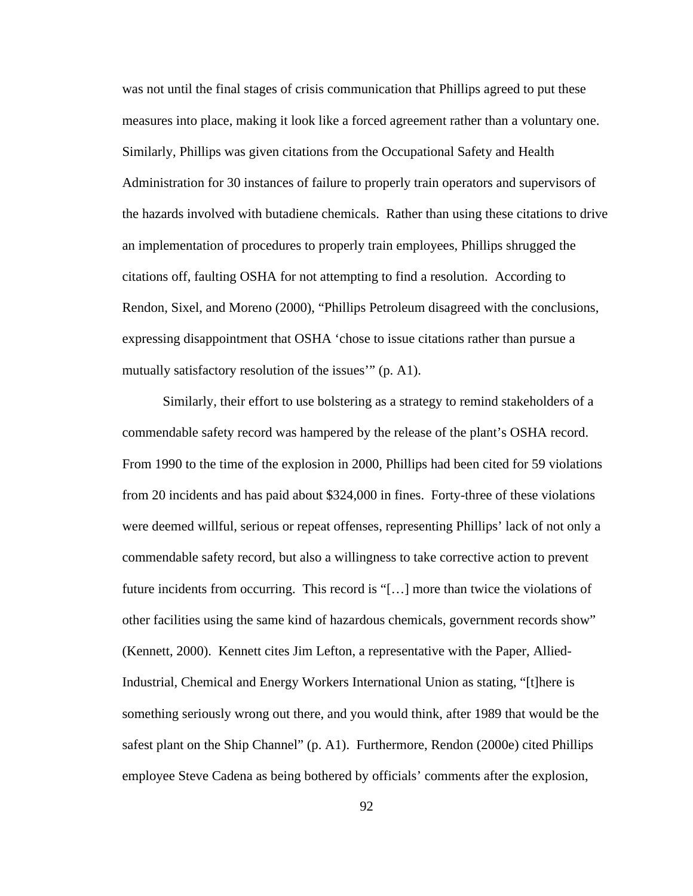was not until the final stages of crisis communication that Phillips agreed to put these measures into place, making it look like a forced agreement rather than a voluntary one. Similarly, Phillips was given citations from the Occupational Safety and Health Administration for 30 instances of failure to properly train operators and supervisors of the hazards involved with butadiene chemicals. Rather than using these citations to drive an implementation of procedures to properly train employees, Phillips shrugged the citations off, faulting OSHA for not attempting to find a resolution. According to Rendon, Sixel, and Moreno (2000), "Phillips Petroleum disagreed with the conclusions, expressing disappointment that OSHA 'chose to issue citations rather than pursue a mutually satisfactory resolution of the issues'" (p. A1).

Similarly, their effort to use bolstering as a strategy to remind stakeholders of a commendable safety record was hampered by the release of the plant's OSHA record. From 1990 to the time of the explosion in 2000, Phillips had been cited for 59 violations from 20 incidents and has paid about \$324,000 in fines. Forty-three of these violations were deemed willful, serious or repeat offenses, representing Phillips' lack of not only a commendable safety record, but also a willingness to take corrective action to prevent future incidents from occurring. This record is "[…] more than twice the violations of other facilities using the same kind of hazardous chemicals, government records show" (Kennett, 2000). Kennett cites Jim Lefton, a representative with the Paper, Allied-Industrial, Chemical and Energy Workers International Union as stating, "[t]here is something seriously wrong out there, and you would think, after 1989 that would be the safest plant on the Ship Channel" (p. A1). Furthermore, Rendon (2000e) cited Phillips employee Steve Cadena as being bothered by officials' comments after the explosion,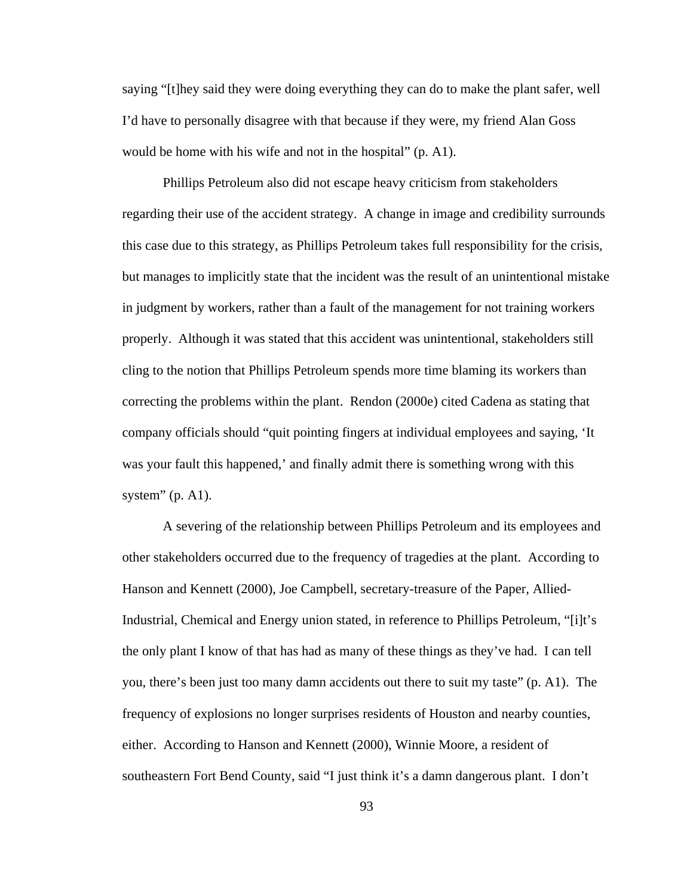saying "[t]hey said they were doing everything they can do to make the plant safer, well I'd have to personally disagree with that because if they were, my friend Alan Goss would be home with his wife and not in the hospital" (p. A1).

Phillips Petroleum also did not escape heavy criticism from stakeholders regarding their use of the accident strategy. A change in image and credibility surrounds this case due to this strategy, as Phillips Petroleum takes full responsibility for the crisis, but manages to implicitly state that the incident was the result of an unintentional mistake in judgment by workers, rather than a fault of the management for not training workers properly. Although it was stated that this accident was unintentional, stakeholders still cling to the notion that Phillips Petroleum spends more time blaming its workers than correcting the problems within the plant. Rendon (2000e) cited Cadena as stating that company officials should "quit pointing fingers at individual employees and saying, 'It was your fault this happened,' and finally admit there is something wrong with this system" (p. A1).

A severing of the relationship between Phillips Petroleum and its employees and other stakeholders occurred due to the frequency of tragedies at the plant. According to Hanson and Kennett (2000), Joe Campbell, secretary-treasure of the Paper, Allied-Industrial, Chemical and Energy union stated, in reference to Phillips Petroleum, "[i]t's the only plant I know of that has had as many of these things as they've had. I can tell you, there's been just too many damn accidents out there to suit my taste" (p. A1). The frequency of explosions no longer surprises residents of Houston and nearby counties, either. According to Hanson and Kennett (2000), Winnie Moore, a resident of southeastern Fort Bend County, said "I just think it's a damn dangerous plant. I don't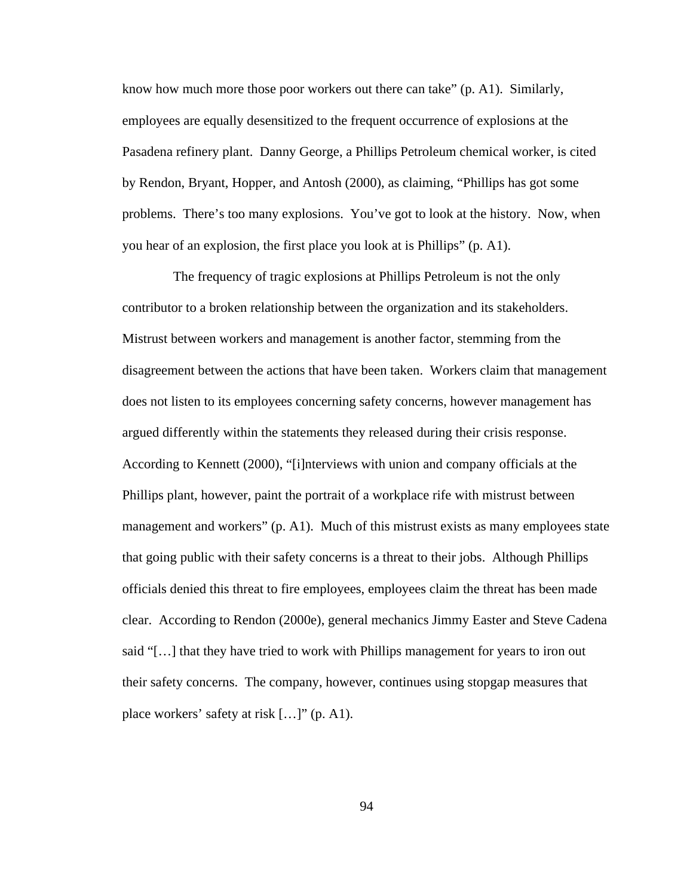know how much more those poor workers out there can take" (p. A1). Similarly, employees are equally desensitized to the frequent occurrence of explosions at the Pasadena refinery plant. Danny George, a Phillips Petroleum chemical worker, is cited by Rendon, Bryant, Hopper, and Antosh (2000), as claiming, "Phillips has got some problems. There's too many explosions. You've got to look at the history. Now, when you hear of an explosion, the first place you look at is Phillips" (p. A1).

 The frequency of tragic explosions at Phillips Petroleum is not the only contributor to a broken relationship between the organization and its stakeholders. Mistrust between workers and management is another factor, stemming from the disagreement between the actions that have been taken. Workers claim that management does not listen to its employees concerning safety concerns, however management has argued differently within the statements they released during their crisis response. According to Kennett (2000), "[i]nterviews with union and company officials at the Phillips plant, however, paint the portrait of a workplace rife with mistrust between management and workers" (p. A1). Much of this mistrust exists as many employees state that going public with their safety concerns is a threat to their jobs. Although Phillips officials denied this threat to fire employees, employees claim the threat has been made clear. According to Rendon (2000e), general mechanics Jimmy Easter and Steve Cadena said "[…] that they have tried to work with Phillips management for years to iron out their safety concerns. The company, however, continues using stopgap measures that place workers' safety at risk […]" (p. A1).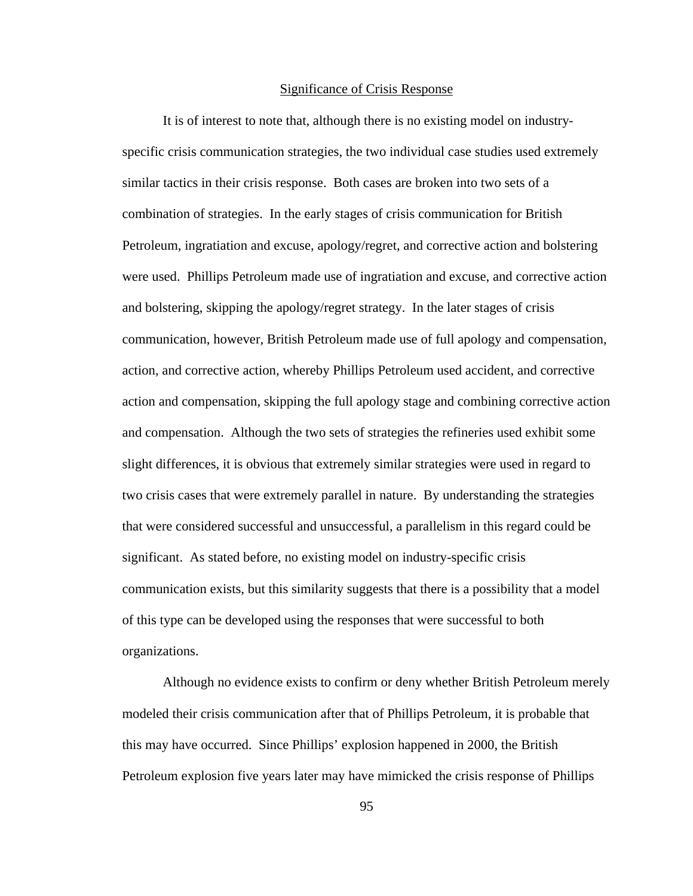#### Significance of Crisis Response

It is of interest to note that, although there is no existing model on industryspecific crisis communication strategies, the two individual case studies used extremely similar tactics in their crisis response. Both cases are broken into two sets of a combination of strategies. In the early stages of crisis communication for British Petroleum, ingratiation and excuse, apology/regret, and corrective action and bolstering were used. Phillips Petroleum made use of ingratiation and excuse, and corrective action and bolstering, skipping the apology/regret strategy. In the later stages of crisis communication, however, British Petroleum made use of full apology and compensation, action, and corrective action, whereby Phillips Petroleum used accident, and corrective action and compensation, skipping the full apology stage and combining corrective action and compensation. Although the two sets of strategies the refineries used exhibit some slight differences, it is obvious that extremely similar strategies were used in regard to two crisis cases that were extremely parallel in nature. By understanding the strategies that were considered successful and unsuccessful, a parallelism in this regard could be significant. As stated before, no existing model on industry-specific crisis communication exists, but this similarity suggests that there is a possibility that a model of this type can be developed using the responses that were successful to both organizations.

Although no evidence exists to confirm or deny whether British Petroleum merely modeled their crisis communication after that of Phillips Petroleum, it is probable that this may have occurred. Since Phillips' explosion happened in 2000, the British Petroleum explosion five years later may have mimicked the crisis response of Phillips

95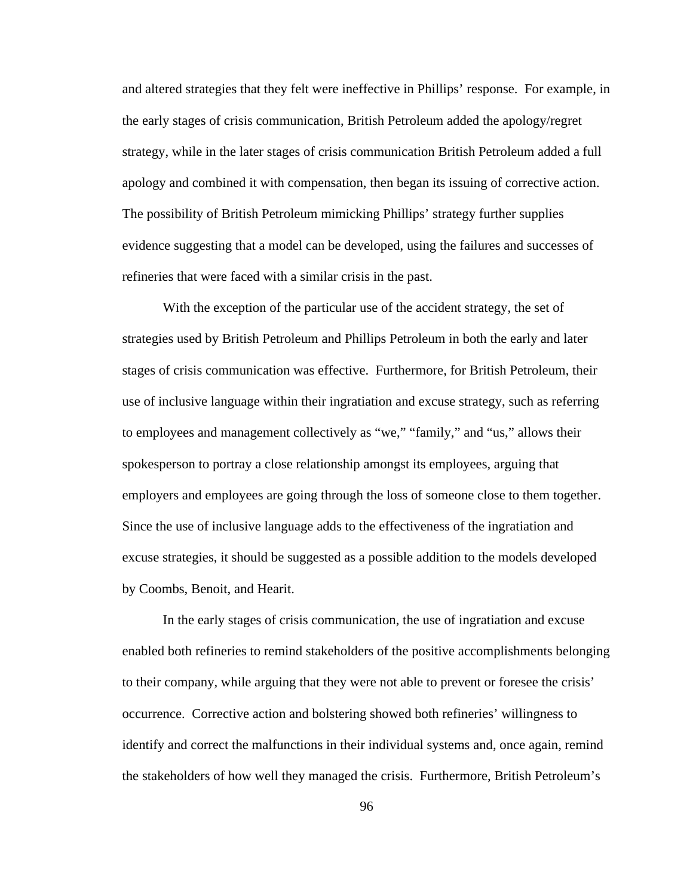and altered strategies that they felt were ineffective in Phillips' response. For example, in the early stages of crisis communication, British Petroleum added the apology/regret strategy, while in the later stages of crisis communication British Petroleum added a full apology and combined it with compensation, then began its issuing of corrective action. The possibility of British Petroleum mimicking Phillips' strategy further supplies evidence suggesting that a model can be developed, using the failures and successes of refineries that were faced with a similar crisis in the past.

With the exception of the particular use of the accident strategy, the set of strategies used by British Petroleum and Phillips Petroleum in both the early and later stages of crisis communication was effective. Furthermore, for British Petroleum, their use of inclusive language within their ingratiation and excuse strategy, such as referring to employees and management collectively as "we," "family," and "us," allows their spokesperson to portray a close relationship amongst its employees, arguing that employers and employees are going through the loss of someone close to them together. Since the use of inclusive language adds to the effectiveness of the ingratiation and excuse strategies, it should be suggested as a possible addition to the models developed by Coombs, Benoit, and Hearit.

In the early stages of crisis communication, the use of ingratiation and excuse enabled both refineries to remind stakeholders of the positive accomplishments belonging to their company, while arguing that they were not able to prevent or foresee the crisis' occurrence. Corrective action and bolstering showed both refineries' willingness to identify and correct the malfunctions in their individual systems and, once again, remind the stakeholders of how well they managed the crisis. Furthermore, British Petroleum's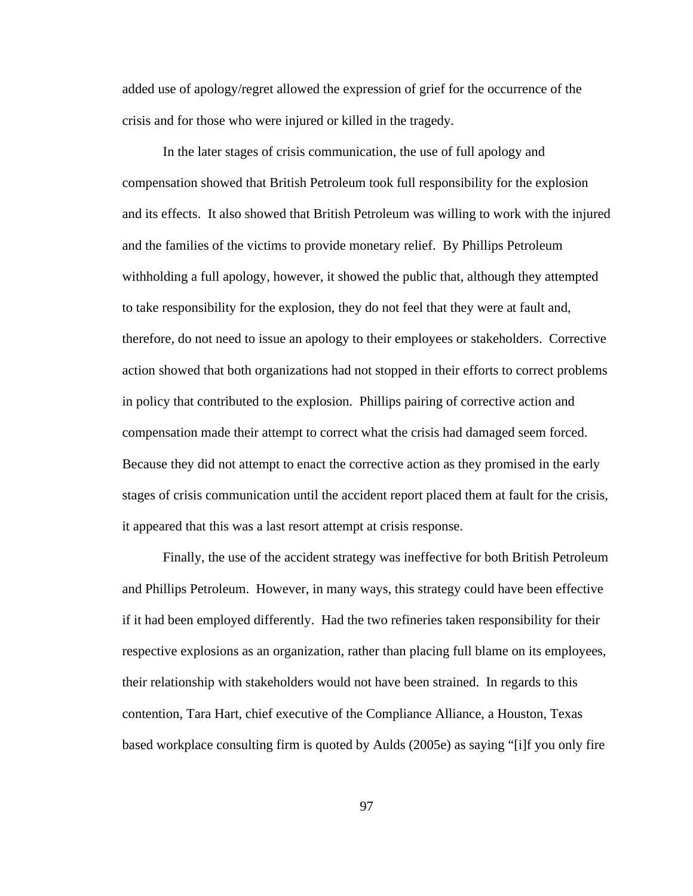added use of apology/regret allowed the expression of grief for the occurrence of the crisis and for those who were injured or killed in the tragedy.

In the later stages of crisis communication, the use of full apology and compensation showed that British Petroleum took full responsibility for the explosion and its effects. It also showed that British Petroleum was willing to work with the injured and the families of the victims to provide monetary relief. By Phillips Petroleum withholding a full apology, however, it showed the public that, although they attempted to take responsibility for the explosion, they do not feel that they were at fault and, therefore, do not need to issue an apology to their employees or stakeholders. Corrective action showed that both organizations had not stopped in their efforts to correct problems in policy that contributed to the explosion. Phillips pairing of corrective action and compensation made their attempt to correct what the crisis had damaged seem forced. Because they did not attempt to enact the corrective action as they promised in the early stages of crisis communication until the accident report placed them at fault for the crisis, it appeared that this was a last resort attempt at crisis response.

Finally, the use of the accident strategy was ineffective for both British Petroleum and Phillips Petroleum. However, in many ways, this strategy could have been effective if it had been employed differently. Had the two refineries taken responsibility for their respective explosions as an organization, rather than placing full blame on its employees, their relationship with stakeholders would not have been strained. In regards to this contention, Tara Hart, chief executive of the Compliance Alliance, a Houston, Texas based workplace consulting firm is quoted by Aulds (2005e) as saying "[i]f you only fire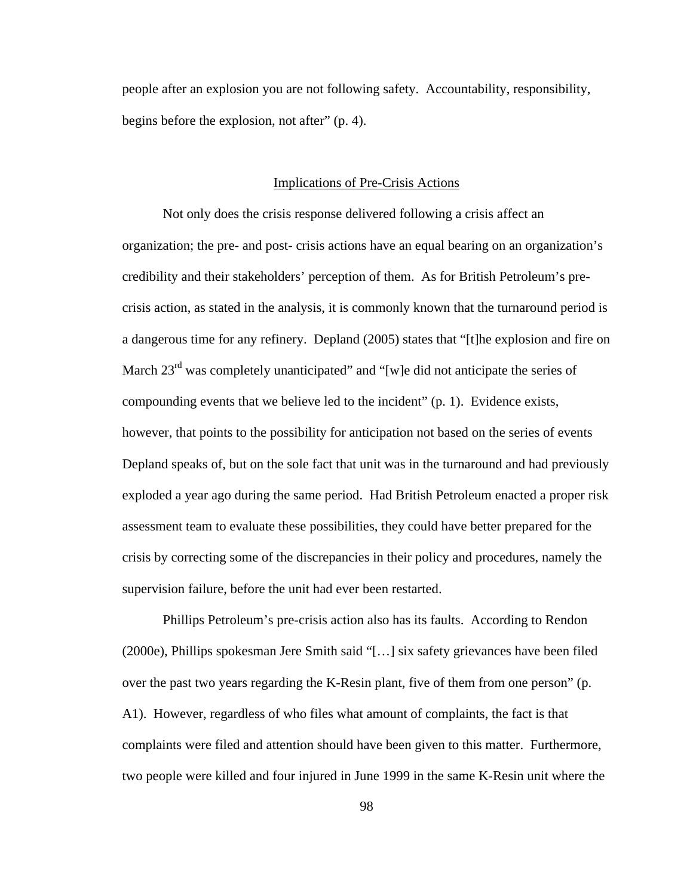people after an explosion you are not following safety. Accountability, responsibility, begins before the explosion, not after" (p. 4).

## Implications of Pre-Crisis Actions

Not only does the crisis response delivered following a crisis affect an organization; the pre- and post- crisis actions have an equal bearing on an organization's credibility and their stakeholders' perception of them. As for British Petroleum's precrisis action, as stated in the analysis, it is commonly known that the turnaround period is a dangerous time for any refinery. Depland (2005) states that "[t]he explosion and fire on March  $23<sup>rd</sup>$  was completely unanticipated" and "[w]e did not anticipate the series of compounding events that we believe led to the incident" (p. 1). Evidence exists, however, that points to the possibility for anticipation not based on the series of events Depland speaks of, but on the sole fact that unit was in the turnaround and had previously exploded a year ago during the same period. Had British Petroleum enacted a proper risk assessment team to evaluate these possibilities, they could have better prepared for the crisis by correcting some of the discrepancies in their policy and procedures, namely the supervision failure, before the unit had ever been restarted.

Phillips Petroleum's pre-crisis action also has its faults. According to Rendon (2000e), Phillips spokesman Jere Smith said "[…] six safety grievances have been filed over the past two years regarding the K-Resin plant, five of them from one person" (p. A1). However, regardless of who files what amount of complaints, the fact is that complaints were filed and attention should have been given to this matter. Furthermore, two people were killed and four injured in June 1999 in the same K-Resin unit where the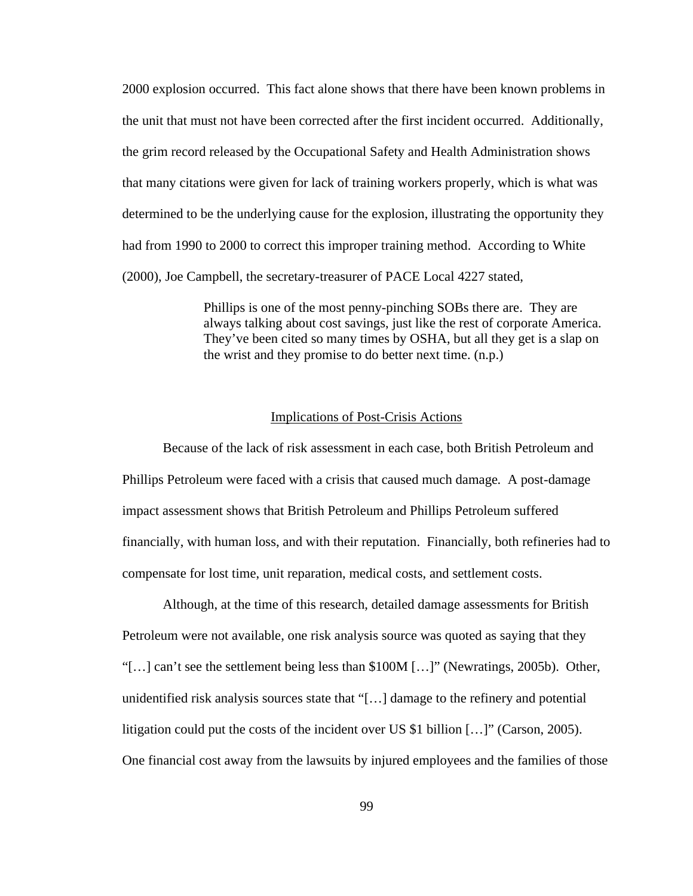2000 explosion occurred. This fact alone shows that there have been known problems in the unit that must not have been corrected after the first incident occurred. Additionally, the grim record released by the Occupational Safety and Health Administration shows that many citations were given for lack of training workers properly, which is what was determined to be the underlying cause for the explosion, illustrating the opportunity they had from 1990 to 2000 to correct this improper training method. According to White (2000), Joe Campbell, the secretary-treasurer of PACE Local 4227 stated,

> Phillips is one of the most penny-pinching SOBs there are. They are always talking about cost savings, just like the rest of corporate America. They've been cited so many times by OSHA, but all they get is a slap on the wrist and they promise to do better next time. (n.p.)

## Implications of Post-Crisis Actions

Because of the lack of risk assessment in each case, both British Petroleum and Phillips Petroleum were faced with a crisis that caused much damage. A post-damage impact assessment shows that British Petroleum and Phillips Petroleum suffered financially, with human loss, and with their reputation. Financially, both refineries had to compensate for lost time, unit reparation, medical costs, and settlement costs.

Although, at the time of this research, detailed damage assessments for British Petroleum were not available, one risk analysis source was quoted as saying that they "[…] can't see the settlement being less than \$100M […]" (Newratings, 2005b). Other, unidentified risk analysis sources state that "[…] damage to the refinery and potential litigation could put the costs of the incident over US \$1 billion […]" (Carson, 2005). One financial cost away from the lawsuits by injured employees and the families of those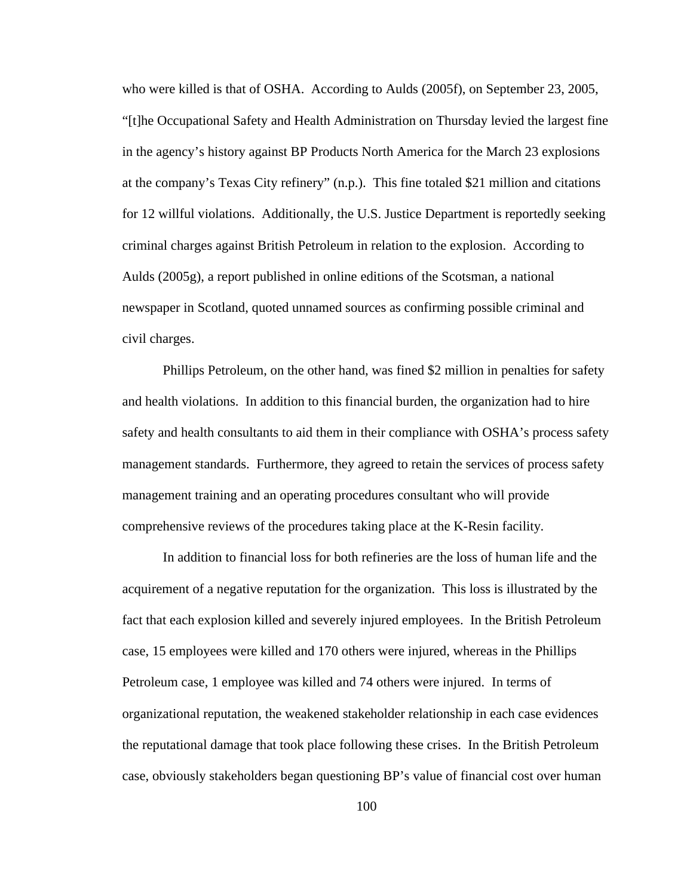who were killed is that of OSHA. According to Aulds (2005f), on September 23, 2005, "[t]he Occupational Safety and Health Administration on Thursday levied the largest fine in the agency's history against BP Products North America for the March 23 explosions at the company's Texas City refinery" (n.p.). This fine totaled \$21 million and citations for 12 willful violations. Additionally, the U.S. Justice Department is reportedly seeking criminal charges against British Petroleum in relation to the explosion. According to Aulds (2005g), a report published in online editions of the Scotsman, a national newspaper in Scotland, quoted unnamed sources as confirming possible criminal and civil charges.

Phillips Petroleum, on the other hand, was fined \$2 million in penalties for safety and health violations. In addition to this financial burden, the organization had to hire safety and health consultants to aid them in their compliance with OSHA's process safety management standards. Furthermore, they agreed to retain the services of process safety management training and an operating procedures consultant who will provide comprehensive reviews of the procedures taking place at the K-Resin facility.

In addition to financial loss for both refineries are the loss of human life and the acquirement of a negative reputation for the organization. This loss is illustrated by the fact that each explosion killed and severely injured employees. In the British Petroleum case, 15 employees were killed and 170 others were injured, whereas in the Phillips Petroleum case, 1 employee was killed and 74 others were injured. In terms of organizational reputation, the weakened stakeholder relationship in each case evidences the reputational damage that took place following these crises. In the British Petroleum case, obviously stakeholders began questioning BP's value of financial cost over human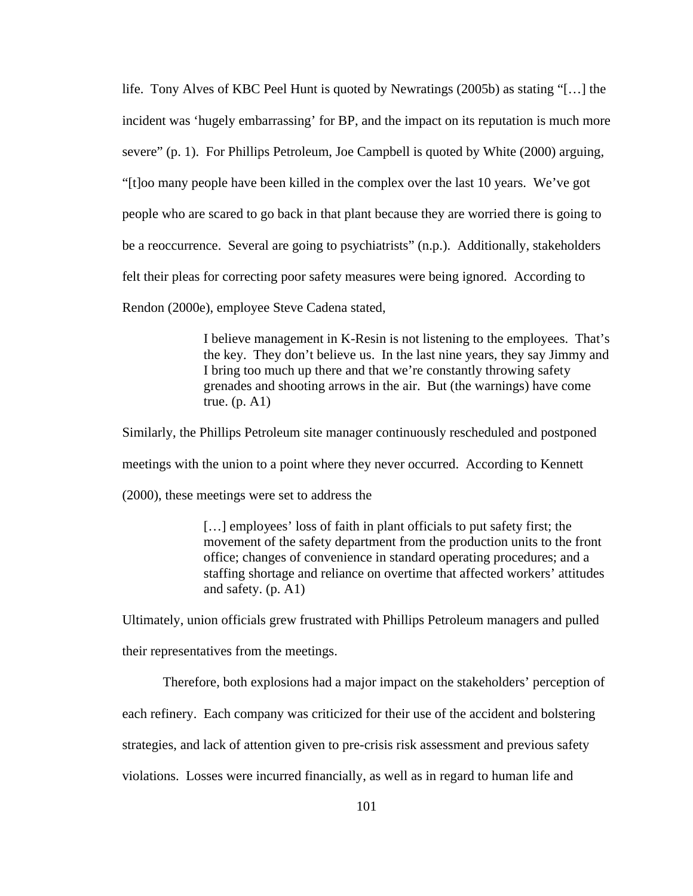life. Tony Alves of KBC Peel Hunt is quoted by Newratings (2005b) as stating "[…] the incident was 'hugely embarrassing' for BP, and the impact on its reputation is much more severe" (p. 1). For Phillips Petroleum, Joe Campbell is quoted by White (2000) arguing, "[t]oo many people have been killed in the complex over the last 10 years. We've got people who are scared to go back in that plant because they are worried there is going to be a reoccurrence. Several are going to psychiatrists" (n.p.). Additionally, stakeholders felt their pleas for correcting poor safety measures were being ignored. According to

Rendon (2000e), employee Steve Cadena stated,

I believe management in K-Resin is not listening to the employees. That's the key. They don't believe us. In the last nine years, they say Jimmy and I bring too much up there and that we're constantly throwing safety grenades and shooting arrows in the air. But (the warnings) have come true.  $(p. A1)$ 

Similarly, the Phillips Petroleum site manager continuously rescheduled and postponed

meetings with the union to a point where they never occurred. According to Kennett

(2000), these meetings were set to address the

[…] employees' loss of faith in plant officials to put safety first; the movement of the safety department from the production units to the front office; changes of convenience in standard operating procedures; and a staffing shortage and reliance on overtime that affected workers' attitudes and safety. (p. A1)

Ultimately, union officials grew frustrated with Phillips Petroleum managers and pulled

their representatives from the meetings.

Therefore, both explosions had a major impact on the stakeholders' perception of

each refinery. Each company was criticized for their use of the accident and bolstering

strategies, and lack of attention given to pre-crisis risk assessment and previous safety

violations. Losses were incurred financially, as well as in regard to human life and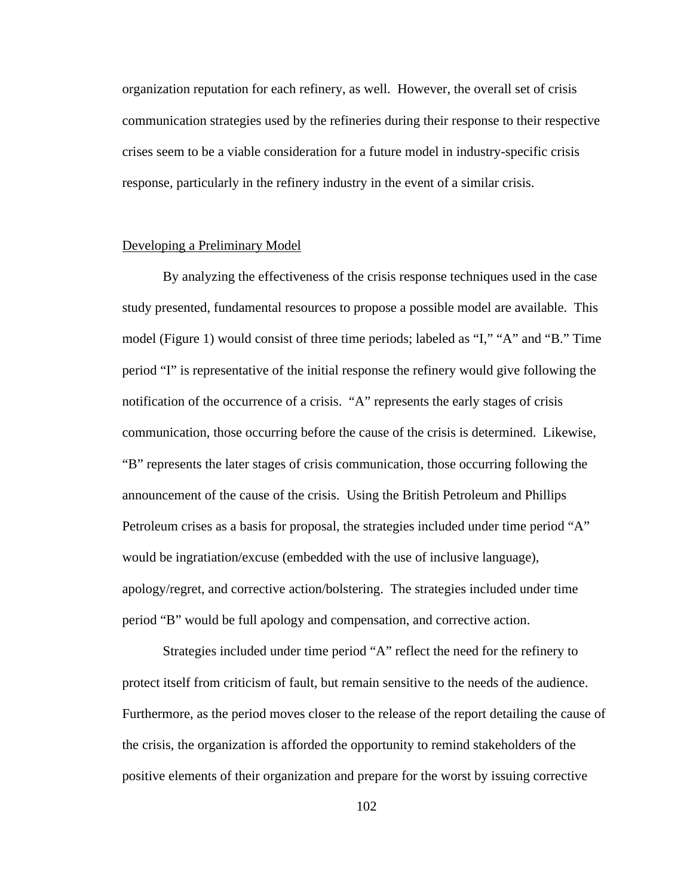organization reputation for each refinery, as well. However, the overall set of crisis communication strategies used by the refineries during their response to their respective crises seem to be a viable consideration for a future model in industry-specific crisis response, particularly in the refinery industry in the event of a similar crisis.

## Developing a Preliminary Model

By analyzing the effectiveness of the crisis response techniques used in the case study presented, fundamental resources to propose a possible model are available. This model (Figure 1) would consist of three time periods; labeled as "I," "A" and "B." Time period "I" is representative of the initial response the refinery would give following the notification of the occurrence of a crisis. "A" represents the early stages of crisis communication, those occurring before the cause of the crisis is determined. Likewise, "B" represents the later stages of crisis communication, those occurring following the announcement of the cause of the crisis. Using the British Petroleum and Phillips Petroleum crises as a basis for proposal, the strategies included under time period "A" would be ingratiation/excuse (embedded with the use of inclusive language), apology/regret, and corrective action/bolstering. The strategies included under time period "B" would be full apology and compensation, and corrective action.

Strategies included under time period "A" reflect the need for the refinery to protect itself from criticism of fault, but remain sensitive to the needs of the audience. Furthermore, as the period moves closer to the release of the report detailing the cause of the crisis, the organization is afforded the opportunity to remind stakeholders of the positive elements of their organization and prepare for the worst by issuing corrective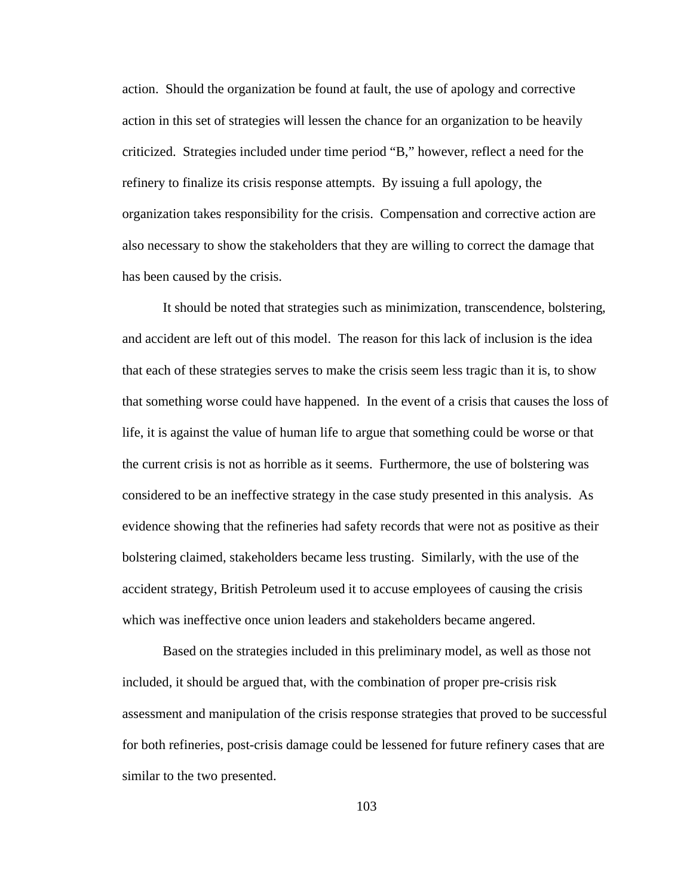action. Should the organization be found at fault, the use of apology and corrective action in this set of strategies will lessen the chance for an organization to be heavily criticized. Strategies included under time period "B," however, reflect a need for the refinery to finalize its crisis response attempts. By issuing a full apology, the organization takes responsibility for the crisis. Compensation and corrective action are also necessary to show the stakeholders that they are willing to correct the damage that has been caused by the crisis.

It should be noted that strategies such as minimization, transcendence, bolstering, and accident are left out of this model. The reason for this lack of inclusion is the idea that each of these strategies serves to make the crisis seem less tragic than it is, to show that something worse could have happened. In the event of a crisis that causes the loss of life, it is against the value of human life to argue that something could be worse or that the current crisis is not as horrible as it seems. Furthermore, the use of bolstering was considered to be an ineffective strategy in the case study presented in this analysis. As evidence showing that the refineries had safety records that were not as positive as their bolstering claimed, stakeholders became less trusting. Similarly, with the use of the accident strategy, British Petroleum used it to accuse employees of causing the crisis which was ineffective once union leaders and stakeholders became angered.

Based on the strategies included in this preliminary model, as well as those not included, it should be argued that, with the combination of proper pre-crisis risk assessment and manipulation of the crisis response strategies that proved to be successful for both refineries, post-crisis damage could be lessened for future refinery cases that are similar to the two presented.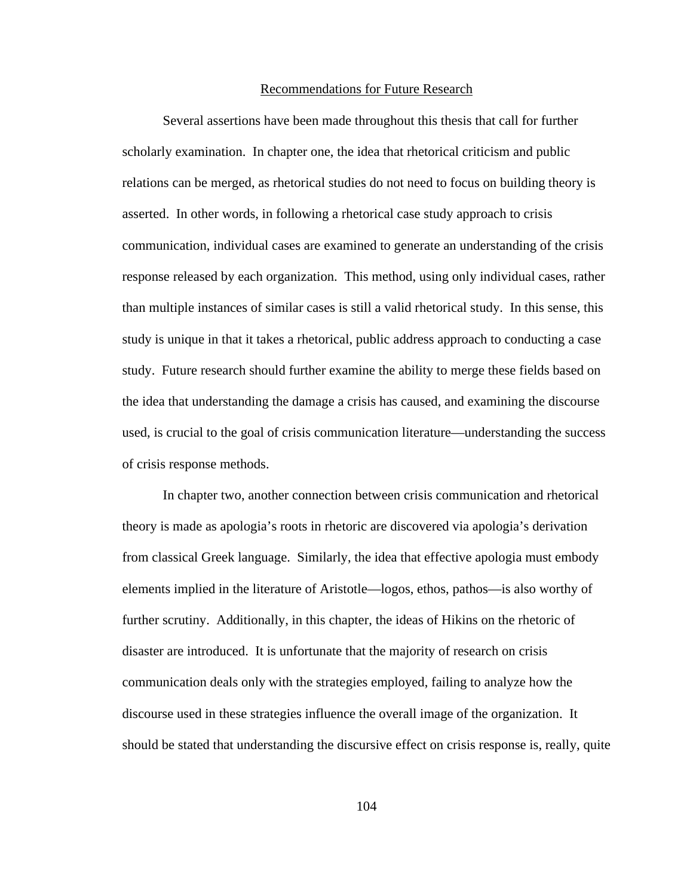#### Recommendations for Future Research

Several assertions have been made throughout this thesis that call for further scholarly examination. In chapter one, the idea that rhetorical criticism and public relations can be merged, as rhetorical studies do not need to focus on building theory is asserted. In other words, in following a rhetorical case study approach to crisis communication, individual cases are examined to generate an understanding of the crisis response released by each organization. This method, using only individual cases, rather than multiple instances of similar cases is still a valid rhetorical study. In this sense, this study is unique in that it takes a rhetorical, public address approach to conducting a case study. Future research should further examine the ability to merge these fields based on the idea that understanding the damage a crisis has caused, and examining the discourse used, is crucial to the goal of crisis communication literature—understanding the success of crisis response methods.

In chapter two, another connection between crisis communication and rhetorical theory is made as apologia's roots in rhetoric are discovered via apologia's derivation from classical Greek language. Similarly, the idea that effective apologia must embody elements implied in the literature of Aristotle—logos, ethos, pathos—is also worthy of further scrutiny. Additionally, in this chapter, the ideas of Hikins on the rhetoric of disaster are introduced. It is unfortunate that the majority of research on crisis communication deals only with the strategies employed, failing to analyze how the discourse used in these strategies influence the overall image of the organization. It should be stated that understanding the discursive effect on crisis response is, really, quite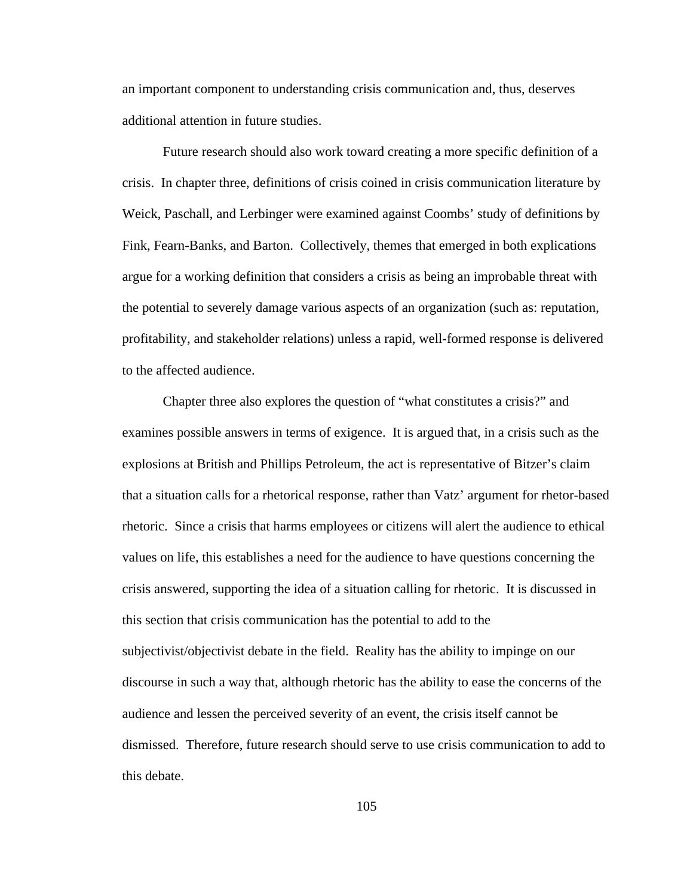an important component to understanding crisis communication and, thus, deserves additional attention in future studies.

Future research should also work toward creating a more specific definition of a crisis. In chapter three, definitions of crisis coined in crisis communication literature by Weick, Paschall, and Lerbinger were examined against Coombs' study of definitions by Fink, Fearn-Banks, and Barton. Collectively, themes that emerged in both explications argue for a working definition that considers a crisis as being an improbable threat with the potential to severely damage various aspects of an organization (such as: reputation, profitability, and stakeholder relations) unless a rapid, well-formed response is delivered to the affected audience.

Chapter three also explores the question of "what constitutes a crisis?" and examines possible answers in terms of exigence. It is argued that, in a crisis such as the explosions at British and Phillips Petroleum, the act is representative of Bitzer's claim that a situation calls for a rhetorical response, rather than Vatz' argument for rhetor-based rhetoric. Since a crisis that harms employees or citizens will alert the audience to ethical values on life, this establishes a need for the audience to have questions concerning the crisis answered, supporting the idea of a situation calling for rhetoric. It is discussed in this section that crisis communication has the potential to add to the subjectivist/objectivist debate in the field. Reality has the ability to impinge on our discourse in such a way that, although rhetoric has the ability to ease the concerns of the audience and lessen the perceived severity of an event, the crisis itself cannot be dismissed. Therefore, future research should serve to use crisis communication to add to this debate.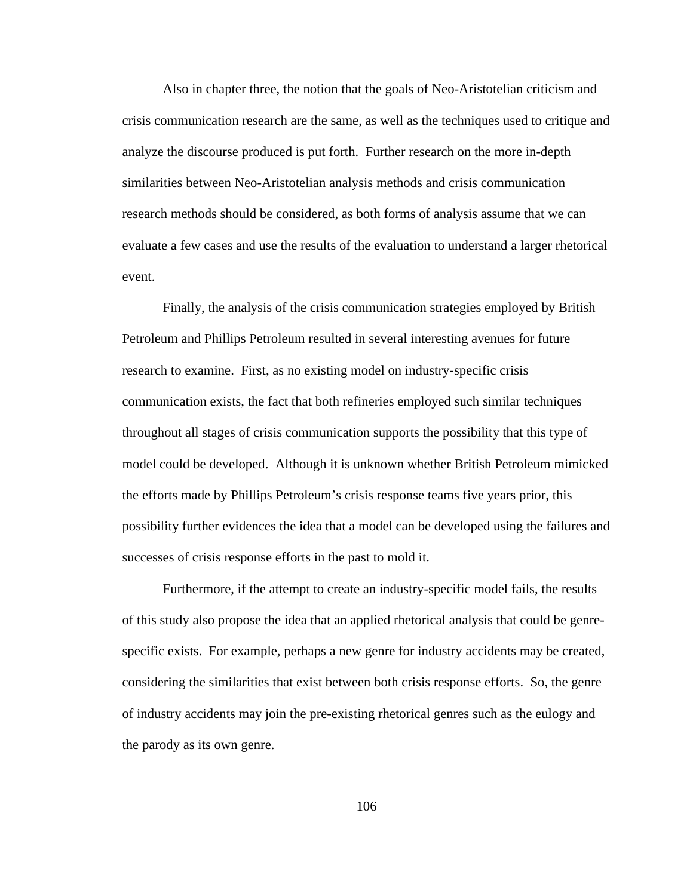Also in chapter three, the notion that the goals of Neo-Aristotelian criticism and crisis communication research are the same, as well as the techniques used to critique and analyze the discourse produced is put forth. Further research on the more in-depth similarities between Neo-Aristotelian analysis methods and crisis communication research methods should be considered, as both forms of analysis assume that we can evaluate a few cases and use the results of the evaluation to understand a larger rhetorical event.

Finally, the analysis of the crisis communication strategies employed by British Petroleum and Phillips Petroleum resulted in several interesting avenues for future research to examine. First, as no existing model on industry-specific crisis communication exists, the fact that both refineries employed such similar techniques throughout all stages of crisis communication supports the possibility that this type of model could be developed. Although it is unknown whether British Petroleum mimicked the efforts made by Phillips Petroleum's crisis response teams five years prior, this possibility further evidences the idea that a model can be developed using the failures and successes of crisis response efforts in the past to mold it.

Furthermore, if the attempt to create an industry-specific model fails, the results of this study also propose the idea that an applied rhetorical analysis that could be genrespecific exists. For example, perhaps a new genre for industry accidents may be created, considering the similarities that exist between both crisis response efforts. So, the genre of industry accidents may join the pre-existing rhetorical genres such as the eulogy and the parody as its own genre.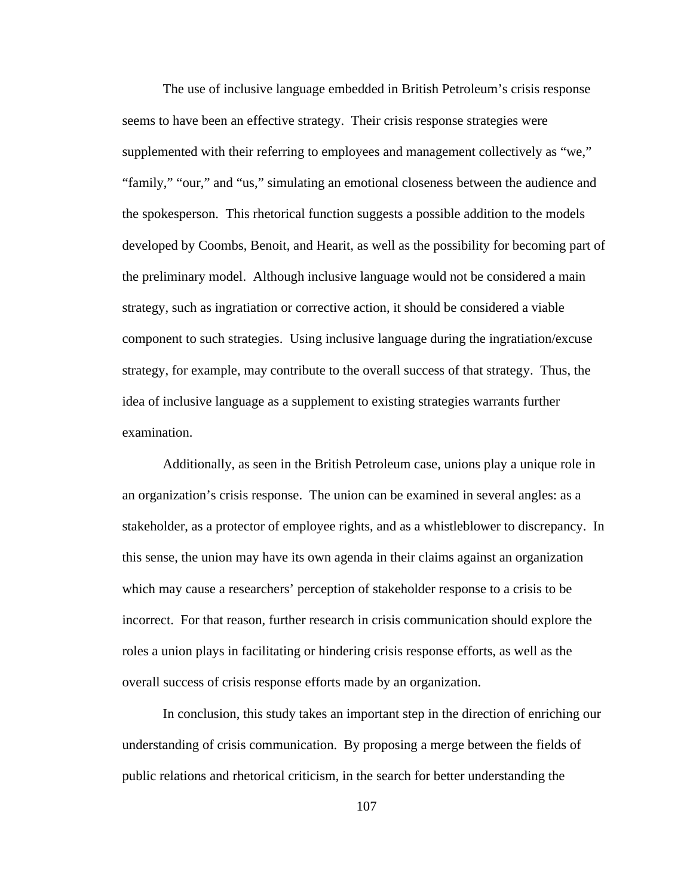The use of inclusive language embedded in British Petroleum's crisis response seems to have been an effective strategy. Their crisis response strategies were supplemented with their referring to employees and management collectively as "we," "family," "our," and "us," simulating an emotional closeness between the audience and the spokesperson. This rhetorical function suggests a possible addition to the models developed by Coombs, Benoit, and Hearit, as well as the possibility for becoming part of the preliminary model. Although inclusive language would not be considered a main strategy, such as ingratiation or corrective action, it should be considered a viable component to such strategies. Using inclusive language during the ingratiation/excuse strategy, for example, may contribute to the overall success of that strategy. Thus, the idea of inclusive language as a supplement to existing strategies warrants further examination.

Additionally, as seen in the British Petroleum case, unions play a unique role in an organization's crisis response. The union can be examined in several angles: as a stakeholder, as a protector of employee rights, and as a whistleblower to discrepancy. In this sense, the union may have its own agenda in their claims against an organization which may cause a researchers' perception of stakeholder response to a crisis to be incorrect. For that reason, further research in crisis communication should explore the roles a union plays in facilitating or hindering crisis response efforts, as well as the overall success of crisis response efforts made by an organization.

In conclusion, this study takes an important step in the direction of enriching our understanding of crisis communication. By proposing a merge between the fields of public relations and rhetorical criticism, in the search for better understanding the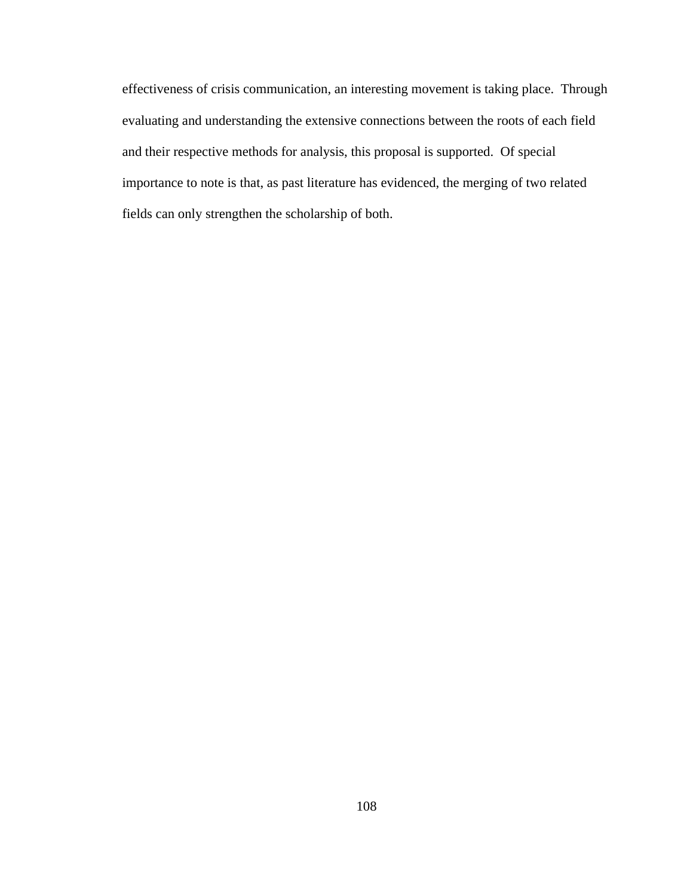effectiveness of crisis communication, an interesting movement is taking place. Through evaluating and understanding the extensive connections between the roots of each field and their respective methods for analysis, this proposal is supported. Of special importance to note is that, as past literature has evidenced, the merging of two related fields can only strengthen the scholarship of both.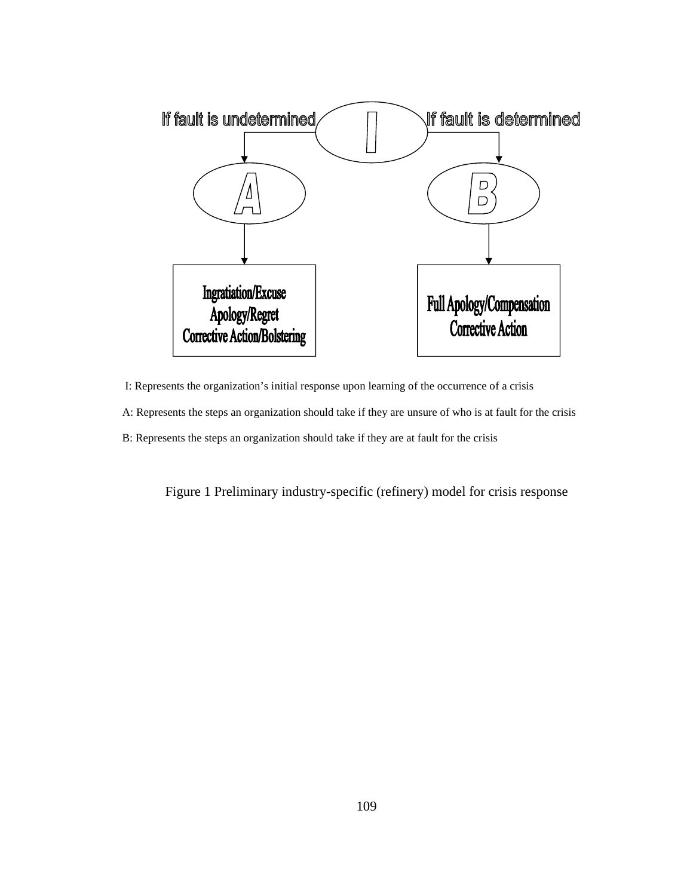

I: Represents the organization's initial response upon learning of the occurrence of a crisis

A: Represents the steps an organization should take if they are unsure of who is at fault for the crisis

B: Represents the steps an organization should take if they are at fault for the crisis

Figure 1 Preliminary industry-specific (refinery) model for crisis response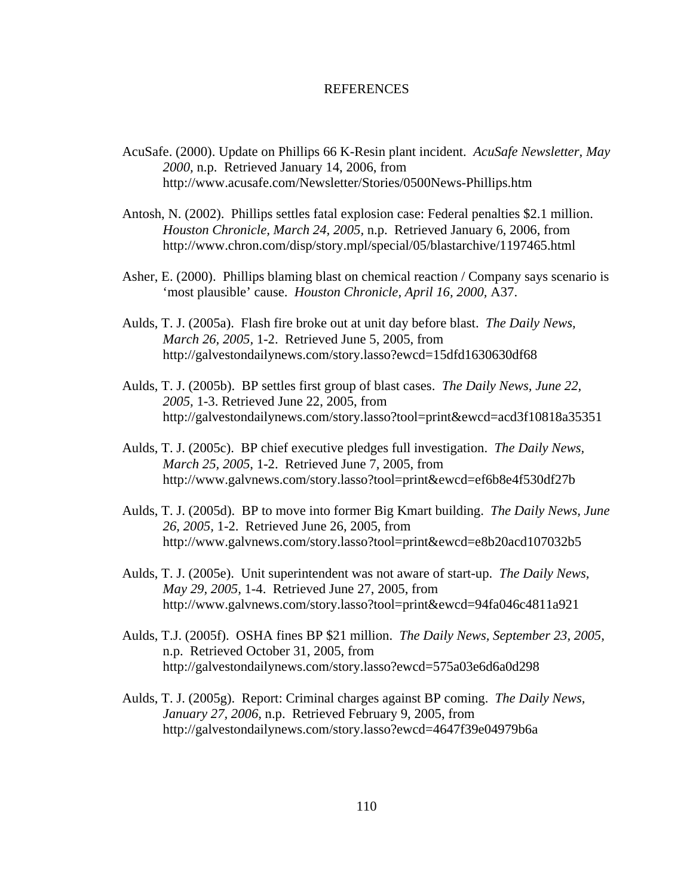## **REFERENCES**

- AcuSafe. (2000). Update on Phillips 66 K-Resin plant incident. *AcuSafe Newsletter, May 2000,* n.p. Retrieved January 14, 2006, from http://www.acusafe.com/Newsletter/Stories/0500News-Phillips.htm
- Antosh, N. (2002). Phillips settles fatal explosion case: Federal penalties \$2.1 million. *Houston Chronicle, March 24, 2005,* n.p. Retrieved January 6, 2006, from http://www.chron.com/disp/story.mpl/special/05/blastarchive/1197465.html
- Asher, E. (2000). Phillips blaming blast on chemical reaction / Company says scenario is 'most plausible' cause. *Houston Chronicle, April 16, 2000,* A37.
- Aulds, T. J. (2005a). Flash fire broke out at unit day before blast. *The Daily News, March 26, 2005,* 1-2. Retrieved June 5, 2005, from http://galvestondailynews.com/story.lasso?ewcd=15dfd1630630df68
- Aulds, T. J. (2005b). BP settles first group of blast cases. *The Daily News, June 22, 2005,* 1-3. Retrieved June 22, 2005, from http://galvestondailynews.com/story.lasso?tool=print&ewcd=acd3f10818a35351
- Aulds, T. J. (2005c). BP chief executive pledges full investigation. *The Daily News, March 25, 2005*, 1-2. Retrieved June 7, 2005, from http://www.galvnews.com/story.lasso?tool=print&ewcd=ef6b8e4f530df27b
- Aulds, T. J. (2005d). BP to move into former Big Kmart building. *The Daily News, June 26, 2005,* 1-2. Retrieved June 26, 2005, from http://www.galvnews.com/story.lasso?tool=print&ewcd=e8b20acd107032b5
- Aulds, T. J. (2005e). Unit superintendent was not aware of start-up. *The Daily News, May 29, 2005,* 1-4. Retrieved June 27, 2005, from http://www.galvnews.com/story.lasso?tool=print&ewcd=94fa046c4811a921
- Aulds, T.J. (2005f). OSHA fines BP \$21 million. *The Daily News, September 23, 2005,* n.p. Retrieved October 31, 2005, from http://galvestondailynews.com/story.lasso?ewcd=575a03e6d6a0d298
- Aulds, T. J. (2005g). Report: Criminal charges against BP coming. *The Daily News, January 27, 2006,* n.p. Retrieved February 9, 2005, from http://galvestondailynews.com/story.lasso?ewcd=4647f39e04979b6a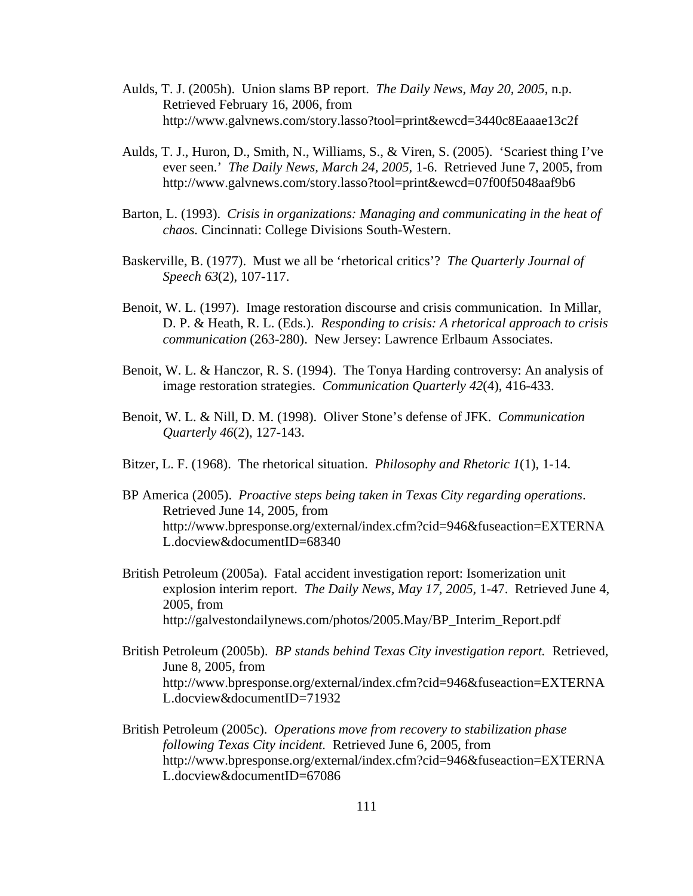- Aulds, T. J. (2005h). Union slams BP report. *The Daily News, May 20, 2005*, n.p. Retrieved February 16, 2006, from http://www.galvnews.com/story.lasso?tool=print&ewcd=3440c8Eaaae13c2f
- Aulds, T. J., Huron, D., Smith, N., Williams, S., & Viren, S. (2005). 'Scariest thing I've ever seen.' *The Daily News, March 24, 2005,* 1-6. Retrieved June 7, 2005, from http://www.galvnews.com/story.lasso?tool=print&ewcd=07f00f5048aaf9b6
- Barton, L. (1993). *Crisis in organizations: Managing and communicating in the heat of chaos.* Cincinnati: College Divisions South-Western.
- Baskerville, B. (1977). Must we all be 'rhetorical critics'? *The Quarterly Journal of Speech 63*(2), 107-117.
- Benoit, W. L. (1997). Image restoration discourse and crisis communication. In Millar, D. P. & Heath, R. L. (Eds.). *Responding to crisis: A rhetorical approach to crisis communication* (263-280). New Jersey: Lawrence Erlbaum Associates.
- Benoit, W. L. & Hanczor, R. S. (1994). The Tonya Harding controversy: An analysis of image restoration strategies. *Communication Quarterly 42*(4), 416-433.
- Benoit, W. L. & Nill, D. M. (1998). Oliver Stone's defense of JFK. *Communication Quarterly 46*(2), 127-143.
- Bitzer, L. F. (1968). The rhetorical situation. *Philosophy and Rhetoric 1*(1), 1-14.
- BP America (2005). *Proactive steps being taken in Texas City regarding operations*. Retrieved June 14, 2005, from http://www.bpresponse.org/external/index.cfm?cid=946&fuseaction=EXTERNA L.docview&documentID=68340
- British Petroleum (2005a). Fatal accident investigation report: Isomerization unit explosion interim report. *The Daily News, May 17, 2005,* 1-47. Retrieved June 4, 2005, from http://galvestondailynews.com/photos/2005.May/BP\_Interim\_Report.pdf
- British Petroleum (2005b). *BP stands behind Texas City investigation report.* Retrieved, June 8, 2005, from http://www.bpresponse.org/external/index.cfm?cid=946&fuseaction=EXTERNA L.docview&documentID=71932
- British Petroleum (2005c). *Operations move from recovery to stabilization phase following Texas City incident.* Retrieved June 6, 2005, from http://www.bpresponse.org/external/index.cfm?cid=946&fuseaction=EXTERNA L.docview&documentID=67086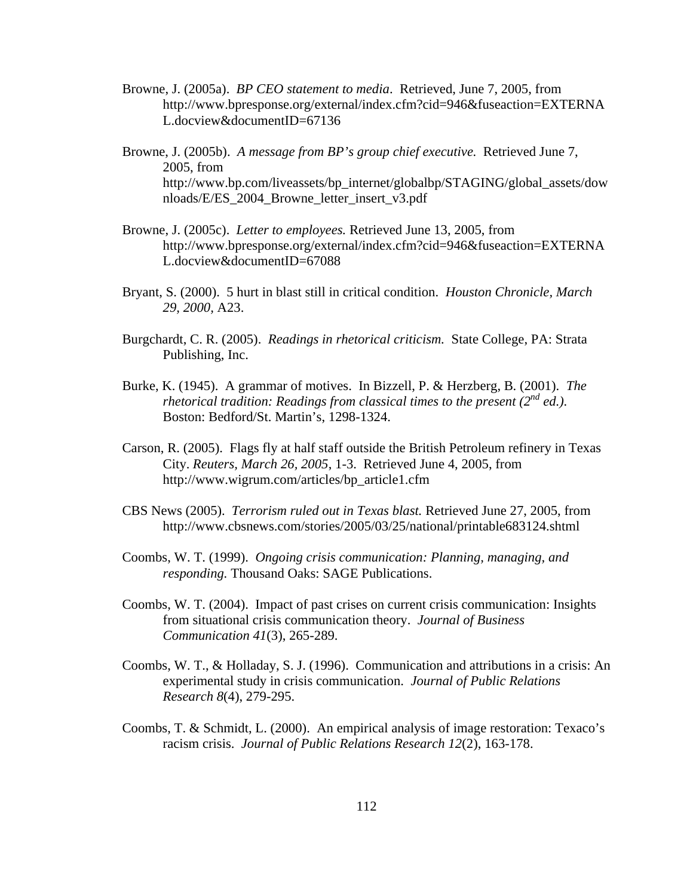- Browne, J. (2005a). *BP CEO statement to media*. Retrieved, June 7, 2005, from http://www.bpresponse.org/external/index.cfm?cid=946&fuseaction=EXTERNA L.docview&documentID=67136
- Browne, J. (2005b). *A message from BP's group chief executive.* Retrieved June 7, 2005, from http://www.bp.com/liveassets/bp\_internet/globalbp/STAGING/global\_assets/dow nloads/E/ES\_2004\_Browne\_letter\_insert\_v3.pdf
- Browne, J. (2005c). *Letter to employees.* Retrieved June 13, 2005, from http://www.bpresponse.org/external/index.cfm?cid=946&fuseaction=EXTERNA L.docview&documentID=67088
- Bryant, S. (2000). 5 hurt in blast still in critical condition. *Houston Chronicle, March 29, 2000,* A23.
- Burgchardt, C. R. (2005). *Readings in rhetorical criticism.* State College, PA: Strata Publishing, Inc.
- Burke, K. (1945). A grammar of motives. In Bizzell, P. & Herzberg, B. (2001). *The rhetorical tradition: Readings from classical times to the present (2<sup>nd</sup> ed.).* Boston: Bedford/St. Martin's, 1298-1324.
- Carson, R. (2005). Flags fly at half staff outside the British Petroleum refinery in Texas City. *Reuters, March 26, 2005*, 1-3. Retrieved June 4, 2005, from http://www.wigrum.com/articles/bp\_article1.cfm
- CBS News (2005). *Terrorism ruled out in Texas blast.* Retrieved June 27, 2005, from http://www.cbsnews.com/stories/2005/03/25/national/printable683124.shtml
- Coombs, W. T. (1999). *Ongoing crisis communication: Planning, managing, and responding.* Thousand Oaks: SAGE Publications.
- Coombs, W. T. (2004). Impact of past crises on current crisis communication: Insights from situational crisis communication theory. *Journal of Business Communication 41*(3), 265-289.
- Coombs, W. T., & Holladay, S. J. (1996). Communication and attributions in a crisis: An experimental study in crisis communication. *Journal of Public Relations Research 8*(4), 279-295.
- Coombs, T. & Schmidt, L. (2000). An empirical analysis of image restoration: Texaco's racism crisis. *Journal of Public Relations Research 12*(2), 163-178.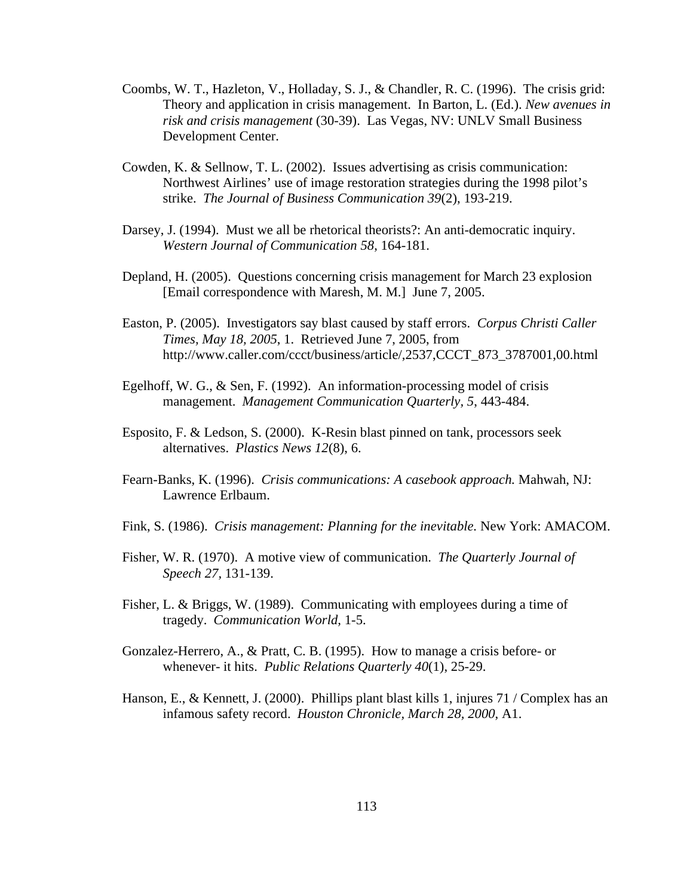- Coombs, W. T., Hazleton, V., Holladay, S. J., & Chandler, R. C. (1996). The crisis grid: Theory and application in crisis management. In Barton, L. (Ed.). *New avenues in risk and crisis management* (30-39). Las Vegas, NV: UNLV Small Business Development Center.
- Cowden, K. & Sellnow, T. L. (2002). Issues advertising as crisis communication: Northwest Airlines' use of image restoration strategies during the 1998 pilot's strike. *The Journal of Business Communication 39*(2), 193-219.
- Darsey, J. (1994). Must we all be rhetorical theorists?: An anti-democratic inquiry. *Western Journal of Communication 58*, 164-181.
- Depland, H. (2005). Questions concerning crisis management for March 23 explosion [Email correspondence with Maresh, M. M.] June 7, 2005.
- Easton, P. (2005). Investigators say blast caused by staff errors. *Corpus Christi Caller Times, May 18, 2005*, 1. Retrieved June 7, 2005, from http://www.caller.com/ccct/business/article/,2537,CCCT\_873\_3787001,00.html
- Egelhoff, W. G., & Sen, F. (1992). An information-processing model of crisis management. *Management Communication Quarterly, 5*, 443-484.
- Esposito, F. & Ledson, S. (2000). K-Resin blast pinned on tank, processors seek alternatives. *Plastics News 12*(8), 6.
- Fearn-Banks, K. (1996). *Crisis communications: A casebook approach.* Mahwah, NJ: Lawrence Erlbaum.
- Fink, S. (1986). *Crisis management: Planning for the inevitable.* New York: AMACOM.
- Fisher, W. R. (1970). A motive view of communication. *The Quarterly Journal of Speech 27,* 131-139.
- Fisher, L. & Briggs, W. (1989). Communicating with employees during a time of tragedy. *Communication World,* 1-5.
- Gonzalez-Herrero, A., & Pratt, C. B. (1995). How to manage a crisis before- or whenever- it hits. *Public Relations Quarterly 40*(1), 25-29.
- Hanson, E., & Kennett, J. (2000). Phillips plant blast kills 1, injures 71 / Complex has an infamous safety record. *Houston Chronicle, March 28, 2000*, A1.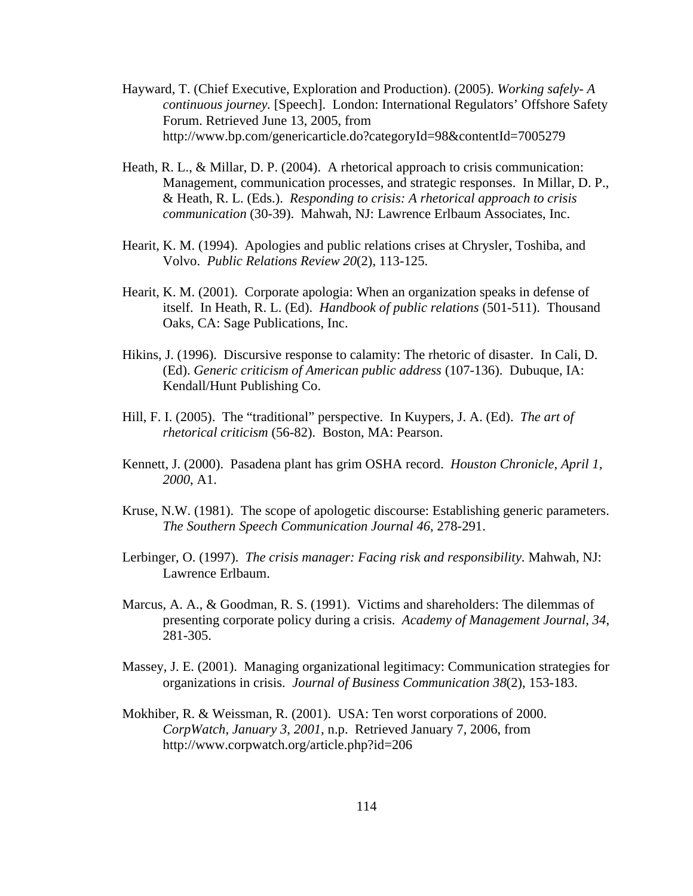- Hayward, T. (Chief Executive, Exploration and Production). (2005). *Working safely- A continuous journey.* [Speech]. London: International Regulators' Offshore Safety Forum. Retrieved June 13, 2005, from http://www.bp.com/genericarticle.do?categoryId=98&contentId=7005279
- Heath, R. L., & Millar, D. P. (2004). A rhetorical approach to crisis communication: Management, communication processes, and strategic responses. In Millar, D. P., & Heath, R. L. (Eds.). *Responding to crisis: A rhetorical approach to crisis communication* (30-39). Mahwah, NJ: Lawrence Erlbaum Associates, Inc.
- Hearit, K. M. (1994). Apologies and public relations crises at Chrysler, Toshiba, and Volvo. *Public Relations Review 20*(2), 113-125.
- Hearit, K. M. (2001). Corporate apologia: When an organization speaks in defense of itself. In Heath, R. L. (Ed). *Handbook of public relations* (501-511). Thousand Oaks, CA: Sage Publications, Inc.
- Hikins, J. (1996). Discursive response to calamity: The rhetoric of disaster. In Cali, D. (Ed). *Generic criticism of American public address* (107-136). Dubuque, IA: Kendall/Hunt Publishing Co.
- Hill, F. I. (2005). The "traditional" perspective. In Kuypers, J. A. (Ed). *The art of rhetorical criticism* (56-82). Boston, MA: Pearson.
- Kennett, J. (2000). Pasadena plant has grim OSHA record. *Houston Chronicle, April 1, 2000*, A1.
- Kruse, N.W. (1981). The scope of apologetic discourse: Establishing generic parameters. *The Southern Speech Communication Journal 46*, 278-291.
- Lerbinger, O. (1997). *The crisis manager: Facing risk and responsibility.* Mahwah, NJ: Lawrence Erlbaum.
- Marcus, A. A., & Goodman, R. S. (1991). Victims and shareholders: The dilemmas of presenting corporate policy during a crisis. *Academy of Management Journal, 34*, 281-305.
- Massey, J. E. (2001). Managing organizational legitimacy: Communication strategies for organizations in crisis. *Journal of Business Communication 38*(2), 153-183.
- Mokhiber, R. & Weissman, R. (2001). USA: Ten worst corporations of 2000. *CorpWatch, January 3, 2001,* n.p. Retrieved January 7, 2006, from http://www.corpwatch.org/article.php?id=206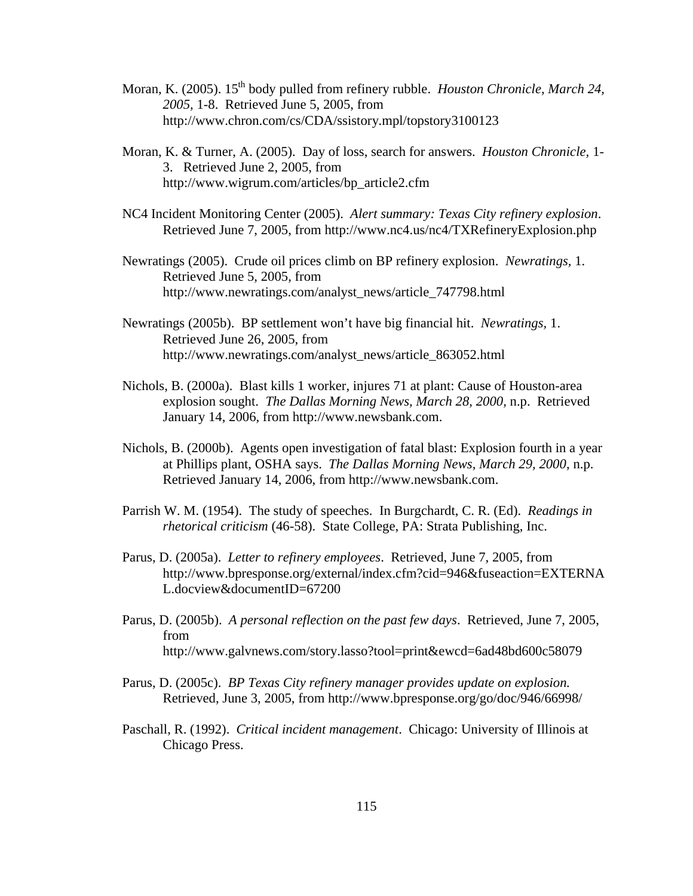- Moran, K. (2005). 15<sup>th</sup> body pulled from refinery rubble. *Houston Chronicle, March 24*, *2005,* 1-8. Retrieved June 5, 2005, from http://www.chron.com/cs/CDA/ssistory.mpl/topstory3100123
- Moran, K. & Turner, A. (2005). Day of loss, search for answers. *Houston Chronicle,* 1- 3. Retrieved June 2, 2005, from http://www.wigrum.com/articles/bp\_article2.cfm
- NC4 Incident Monitoring Center (2005). *Alert summary: Texas City refinery explosion*. Retrieved June 7, 2005, from http://www.nc4.us/nc4/TXRefineryExplosion.php
- Newratings (2005). Crude oil prices climb on BP refinery explosion. *Newratings,* 1. Retrieved June 5, 2005, from http://www.newratings.com/analyst\_news/article\_747798.html
- Newratings (2005b). BP settlement won't have big financial hit. *Newratings,* 1. Retrieved June 26, 2005, from http://www.newratings.com/analyst\_news/article\_863052.html
- Nichols, B. (2000a). Blast kills 1 worker, injures 71 at plant: Cause of Houston-area explosion sought. *The Dallas Morning News, March 28, 2000,* n.p. Retrieved January 14, 2006, from http://www.newsbank.com.
- Nichols, B. (2000b). Agents open investigation of fatal blast: Explosion fourth in a year at Phillips plant, OSHA says. *The Dallas Morning News, March 29, 2000*, n.p. Retrieved January 14, 2006, from http://www.newsbank.com.
- Parrish W. M. (1954). The study of speeches. In Burgchardt, C. R. (Ed). *Readings in rhetorical criticism* (46-58). State College, PA: Strata Publishing, Inc.
- Parus, D. (2005a). *Letter to refinery employees*. Retrieved, June 7, 2005, from http://www.bpresponse.org/external/index.cfm?cid=946&fuseaction=EXTERNA L.docview&documentID=67200
- Parus, D. (2005b). *A personal reflection on the past few days*. Retrieved, June 7, 2005, from http://www.galvnews.com/story.lasso?tool=print&ewcd=6ad48bd600c58079
- Parus, D. (2005c). *BP Texas City refinery manager provides update on explosion.* Retrieved, June 3, 2005, from http://www.bpresponse.org/go/doc/946/66998/
- Paschall, R. (1992). *Critical incident management*. Chicago: University of Illinois at Chicago Press.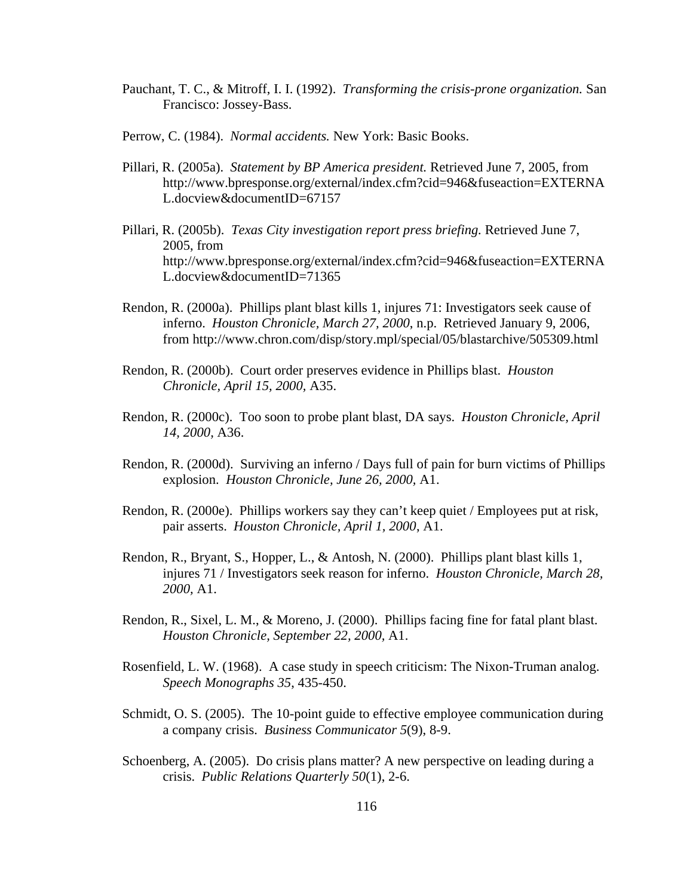- Pauchant, T. C., & Mitroff, I. I. (1992). *Transforming the crisis-prone organization.* San Francisco: Jossey-Bass.
- Perrow, C. (1984). *Normal accidents.* New York: Basic Books.
- Pillari, R. (2005a). *Statement by BP America president.* Retrieved June 7, 2005, from http://www.bpresponse.org/external/index.cfm?cid=946&fuseaction=EXTERNA L.docview&documentID=67157
- Pillari, R. (2005b). *Texas City investigation report press briefing.* Retrieved June 7, 2005, from http://www.bpresponse.org/external/index.cfm?cid=946&fuseaction=EXTERNA L.docview&documentID=71365
- Rendon, R. (2000a). Phillips plant blast kills 1, injures 71: Investigators seek cause of inferno. *Houston Chronicle, March 27, 2000*, n.p. Retrieved January 9, 2006, from http://www.chron.com/disp/story.mpl/special/05/blastarchive/505309.html
- Rendon, R. (2000b). Court order preserves evidence in Phillips blast. *Houston Chronicle, April 15, 2000,* A35.
- Rendon, R. (2000c). Too soon to probe plant blast, DA says. *Houston Chronicle, April 14, 2000,* A36.
- Rendon, R. (2000d). Surviving an inferno / Days full of pain for burn victims of Phillips explosion. *Houston Chronicle, June 26, 2000,* A1.
- Rendon, R. (2000e). Phillips workers say they can't keep quiet / Employees put at risk, pair asserts. *Houston Chronicle, April 1, 2000*, A1.
- Rendon, R., Bryant, S., Hopper, L., & Antosh, N. (2000). Phillips plant blast kills 1, injures 71 / Investigators seek reason for inferno. *Houston Chronicle, March 28, 2000,* A1.
- Rendon, R., Sixel, L. M., & Moreno, J. (2000). Phillips facing fine for fatal plant blast. *Houston Chronicle, September 22, 2000,* A1.
- Rosenfield, L. W. (1968). A case study in speech criticism: The Nixon-Truman analog. *Speech Monographs 35*, 435-450.
- Schmidt, O. S. (2005). The 10-point guide to effective employee communication during a company crisis. *Business Communicator 5*(9), 8-9.
- Schoenberg, A. (2005). Do crisis plans matter? A new perspective on leading during a crisis. *Public Relations Quarterly 50*(1), 2-6.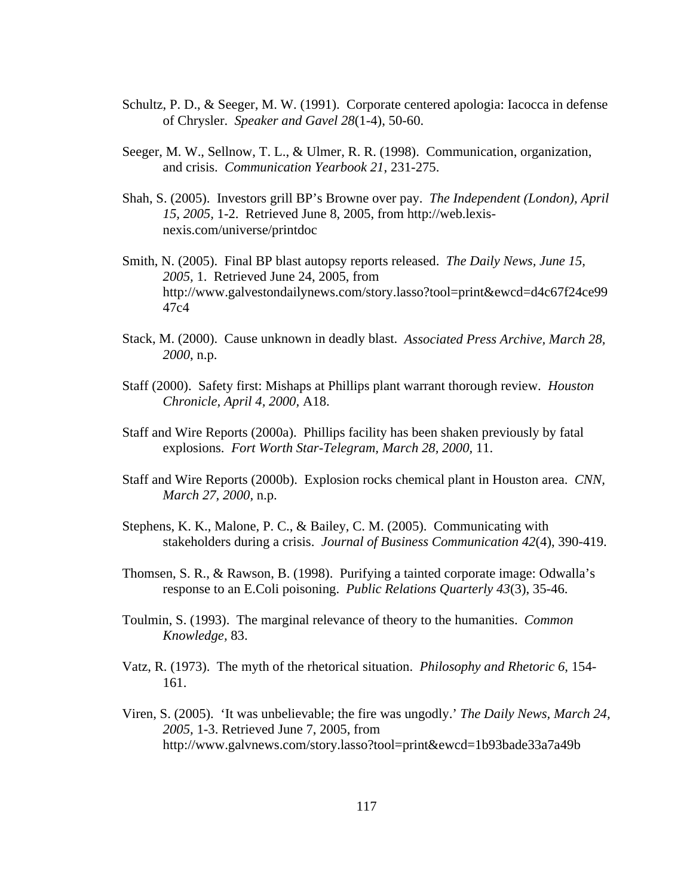- Schultz, P. D., & Seeger, M. W. (1991). Corporate centered apologia: Iacocca in defense of Chrysler. *Speaker and Gavel 28*(1-4), 50-60.
- Seeger, M. W., Sellnow, T. L., & Ulmer, R. R. (1998). Communication, organization, and crisis. *Communication Yearbook 21*, 231-275.
- Shah, S. (2005). Investors grill BP's Browne over pay. *The Independent (London), April 15, 2005,* 1-2. Retrieved June 8, 2005, from http://web.lexisnexis.com/universe/printdoc
- Smith, N. (2005). Final BP blast autopsy reports released. *The Daily News, June 15, 2005,* 1. Retrieved June 24, 2005, from http://www.galvestondailynews.com/story.lasso?tool=print&ewcd=d4c67f24ce99 47c4
- Stack, M. (2000). Cause unknown in deadly blast. *Associated Press Archive, March 28, 2000*, n.p.
- Staff (2000). Safety first: Mishaps at Phillips plant warrant thorough review. *Houston Chronicle, April 4, 2000,* A18.
- Staff and Wire Reports (2000a). Phillips facility has been shaken previously by fatal explosions. *Fort Worth Star-Telegram, March 28, 2000,* 11.
- Staff and Wire Reports (2000b). Explosion rocks chemical plant in Houston area. *CNN, March 27, 2000,* n.p.
- Stephens, K. K., Malone, P. C., & Bailey, C. M. (2005). Communicating with stakeholders during a crisis. *Journal of Business Communication 42*(4), 390-419.
- Thomsen, S. R., & Rawson, B. (1998). Purifying a tainted corporate image: Odwalla's response to an E.Coli poisoning. *Public Relations Quarterly 43*(3), 35-46.
- Toulmin, S. (1993). The marginal relevance of theory to the humanities. *Common Knowledge,* 83.
- Vatz, R. (1973). The myth of the rhetorical situation. *Philosophy and Rhetoric 6*, 154- 161.
- Viren, S. (2005). 'It was unbelievable; the fire was ungodly.' *The Daily News, March 24, 2005,* 1-3. Retrieved June 7, 2005, from http://www.galvnews.com/story.lasso?tool=print&ewcd=1b93bade33a7a49b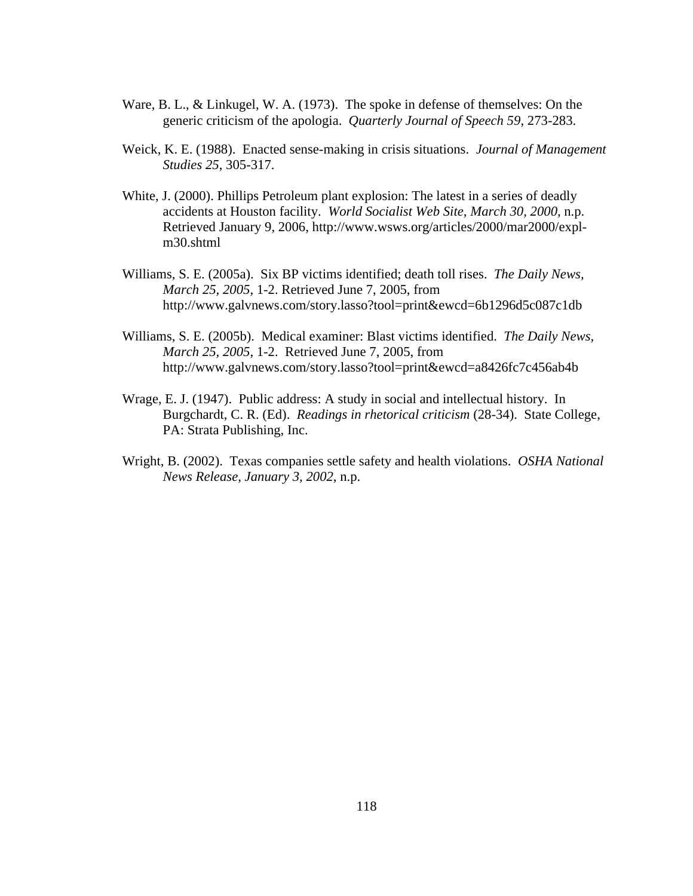- Ware, B. L., & Linkugel, W. A. (1973). The spoke in defense of themselves: On the generic criticism of the apologia. *Quarterly Journal of Speech 59*, 273-283.
- Weick, K. E. (1988). Enacted sense-making in crisis situations. *Journal of Management Studies 25*, 305-317.
- White, J. (2000). Phillips Petroleum plant explosion: The latest in a series of deadly accidents at Houston facility. *World Socialist Web Site, March 30, 2000,* n.p. Retrieved January 9, 2006, http://www.wsws.org/articles/2000/mar2000/explm30.shtml
- Williams, S. E. (2005a). Six BP victims identified; death toll rises. *The Daily News, March 25, 2005,* 1-2. Retrieved June 7, 2005, from http://www.galvnews.com/story.lasso?tool=print&ewcd=6b1296d5c087c1db
- Williams, S. E. (2005b). Medical examiner: Blast victims identified. *The Daily News, March 25, 2005,* 1-2. Retrieved June 7, 2005, from http://www.galvnews.com/story.lasso?tool=print&ewcd=a8426fc7c456ab4b
- Wrage, E. J. (1947). Public address: A study in social and intellectual history. In Burgchardt, C. R. (Ed). *Readings in rhetorical criticism* (28-34). State College, PA: Strata Publishing, Inc.
- Wright, B. (2002). Texas companies settle safety and health violations. *OSHA National News Release, January 3, 2002*, n.p.